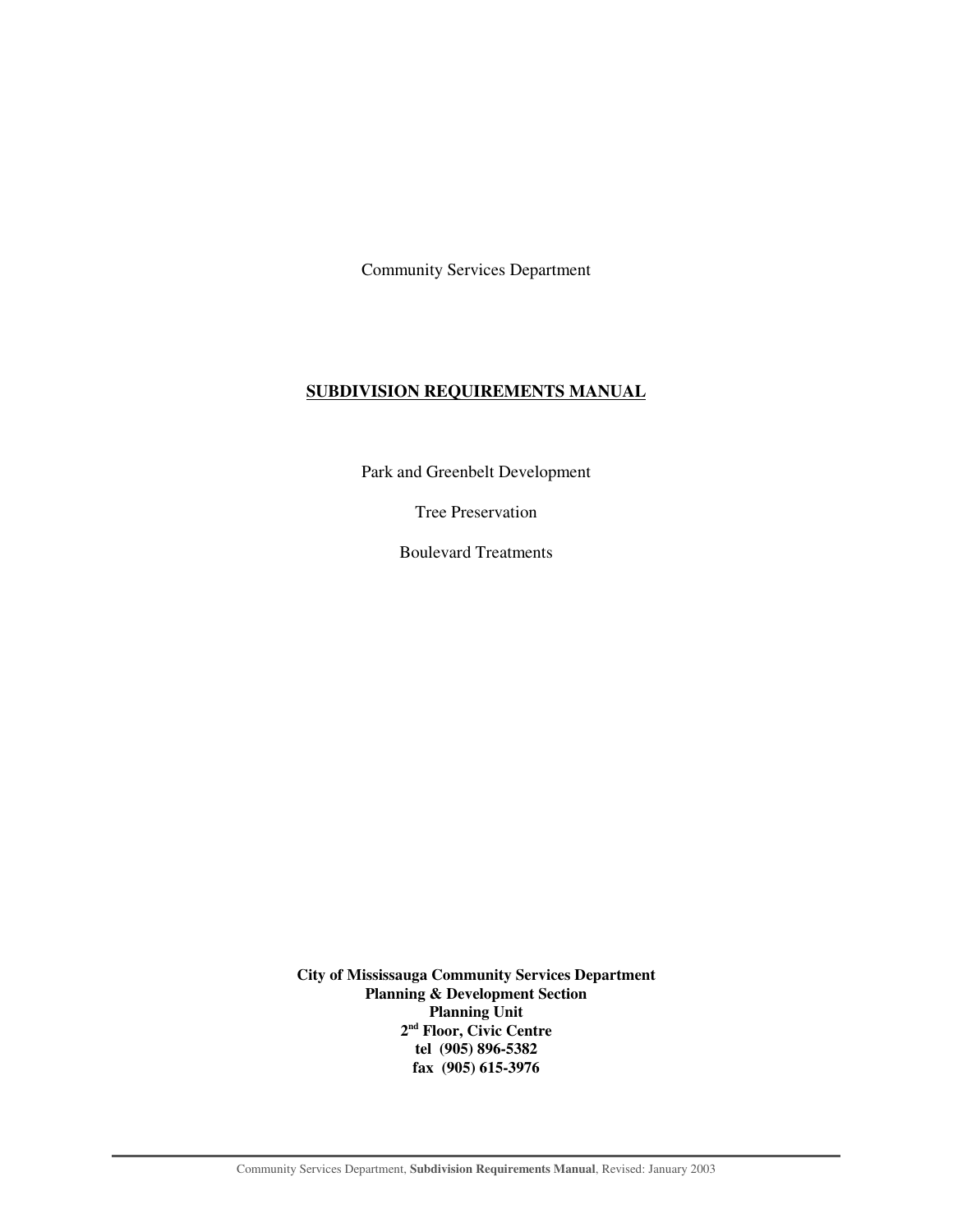Community Services Department

#### **SUBDIVISION REQUIREMENTS MANUAL**

Park and Greenbelt Development

Tree Preservation

Boulevard Treatments

**City of Mississauga Community Services Department Planning & Development Section Planning Unit 2nd Floor, Civic Centre tel (905) 896-5382 fax (905) 615-3976**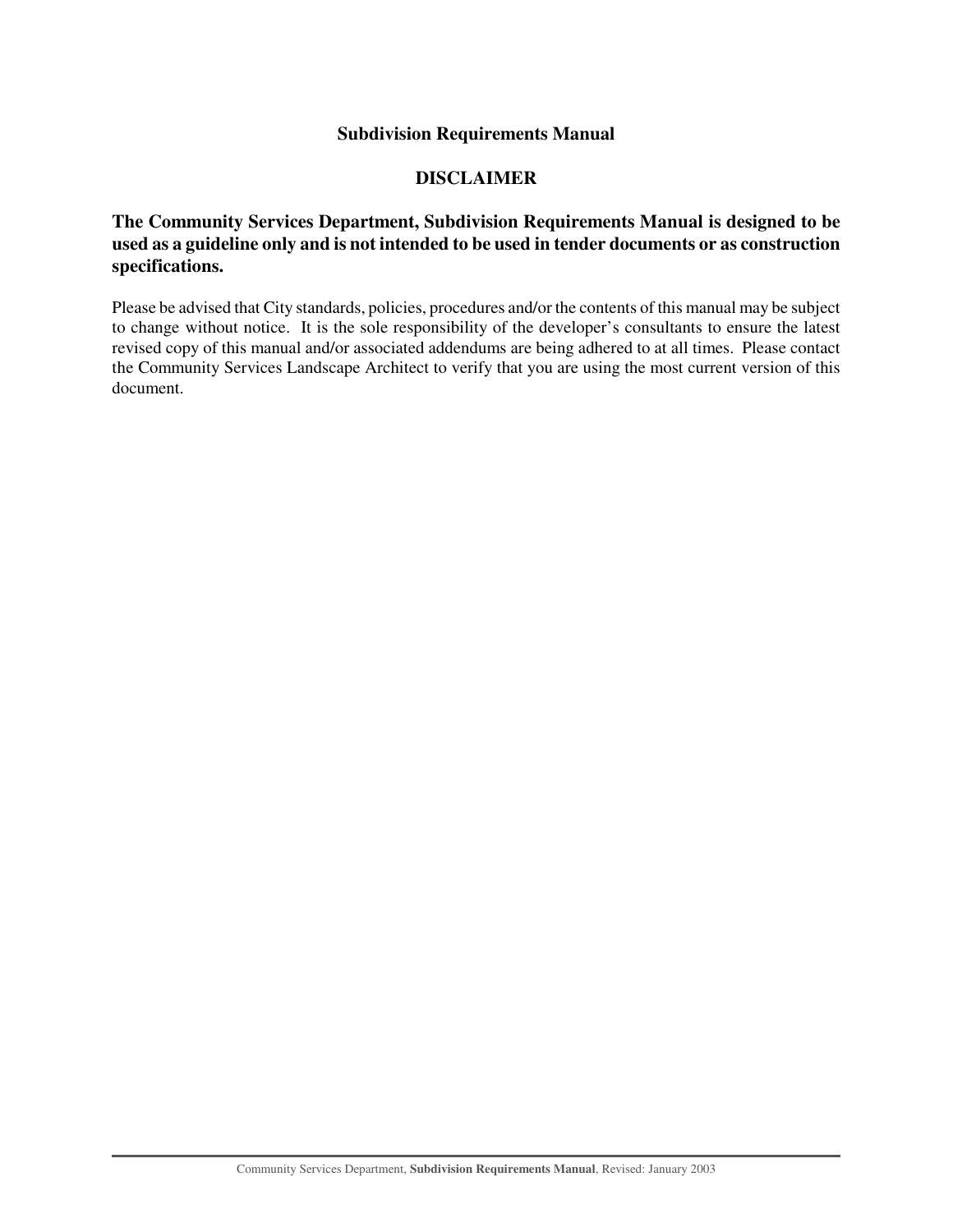## **Subdivision Requirements Manual**

## **DISCLAIMER**

## **The Community Services Department, Subdivision Requirements Manual is designed to be used as a guideline only and is not intended to be used in tender documents or as construction specifications.**

Please be advised that City standards, policies, procedures and/or the contents of this manual may be subject to change without notice. It is the sole responsibility of the developer's consultants to ensure the latest revised copy of this manual and/or associated addendums are being adhered to at all times. Please contact the Community Services Landscape Architect to verify that you are using the most current version of this document.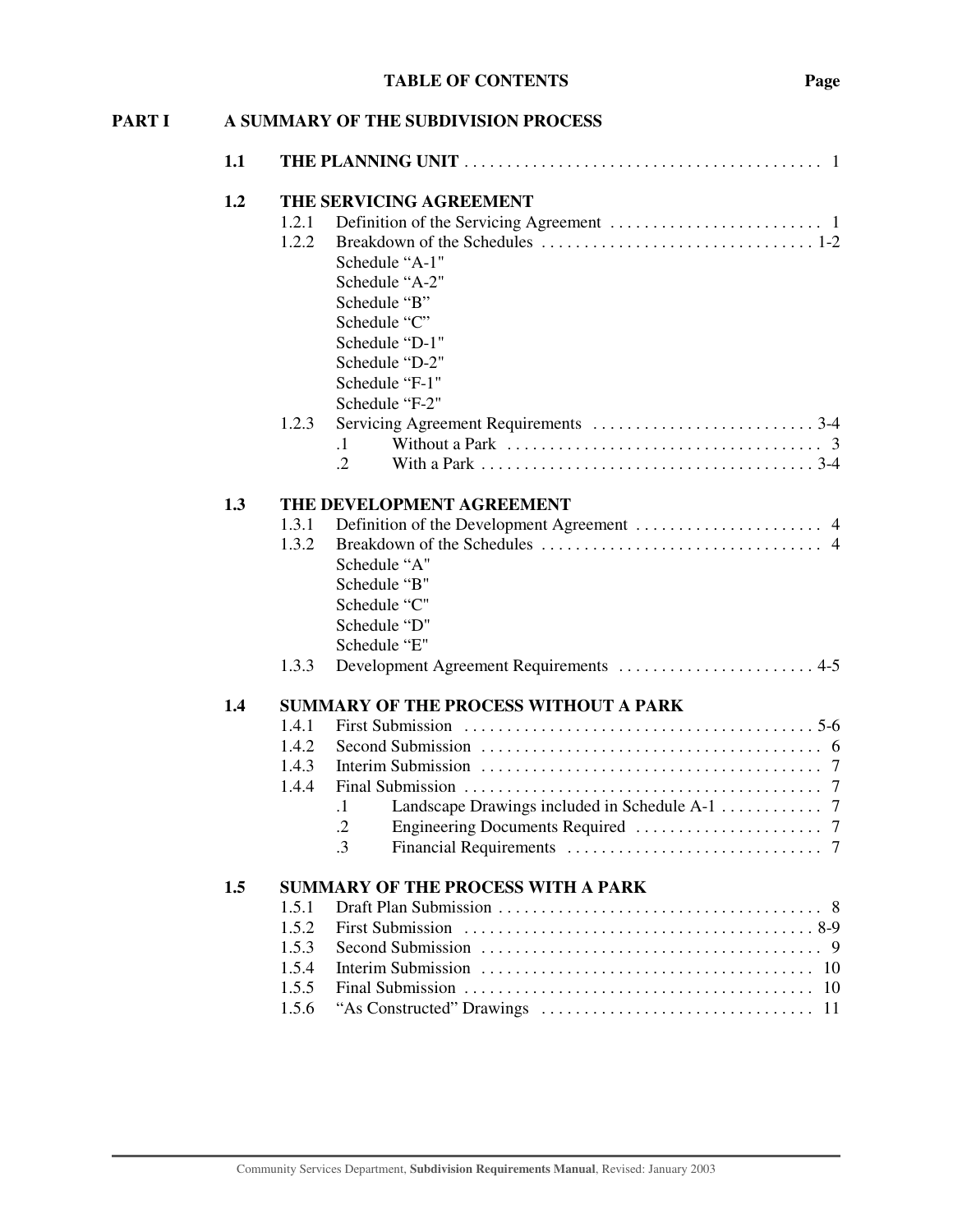| <b>PART I</b> |     | A SUMMARY OF THE SUBDIVISION PROCESS                                                                                                     |
|---------------|-----|------------------------------------------------------------------------------------------------------------------------------------------|
|               | 1.1 |                                                                                                                                          |
|               | 1.2 | THE SERVICING AGREEMENT                                                                                                                  |
|               |     | 1.2.1<br>1.2.2<br>Schedule "A-1"<br>Schedule "A-2"<br>Schedule "B"<br>Schedule "C"<br>Schedule "D-1"<br>Schedule "D-2"<br>Schedule "F-1" |
|               |     | Schedule "F-2"                                                                                                                           |
|               |     | 1.2.3<br>$\cdot$ 1<br>$\cdot$ .2                                                                                                         |
|               | 1.3 | THE DEVELOPMENT AGREEMENT                                                                                                                |
|               |     | 1.3.1<br>1.3.2<br>Schedule "A"<br>Schedule "B"<br>Schedule "C"<br>Schedule "D"<br>Schedule "E"                                           |
|               |     | Development Agreement Requirements  4-5<br>1.3.3                                                                                         |
|               | 1.4 | <b>SUMMARY OF THE PROCESS WITHOUT A PARK</b><br>1.4.1<br>1.4.2<br>1.4.3<br>1.4.4<br>$\cdot$<br>$\cdot$<br>$\cdot$ 3                      |
|               | 1.5 | <b>SUMMARY OF THE PROCESS WITH A PARK</b><br>1.5.1<br>1.5.2<br>1.5.3<br>1.5.4<br>1.5.5<br>1.5.6                                          |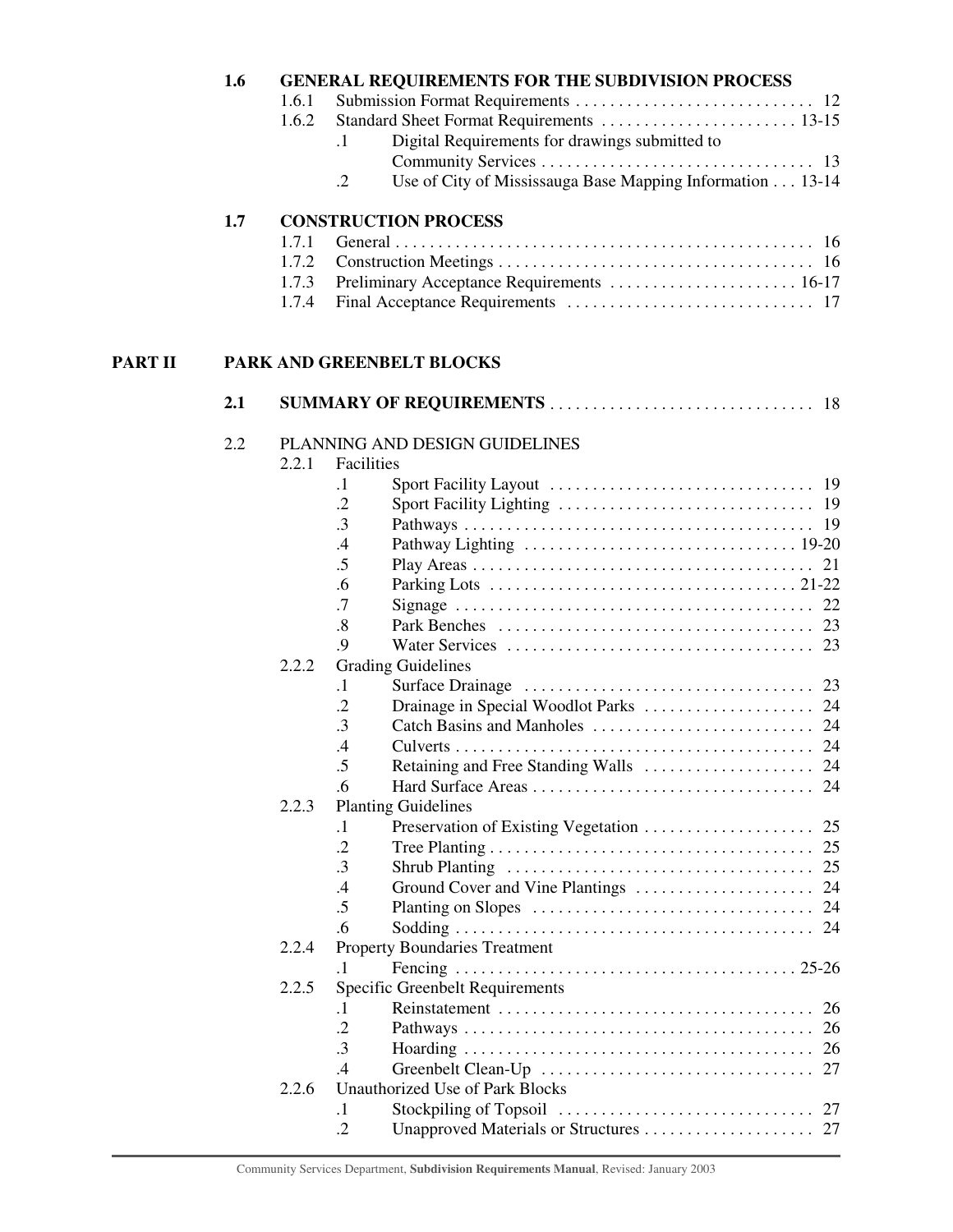|   | 1.6 |       |                   | <b>GENERAL REQUIREMENTS FOR THE SUBDIVISION PROCESS</b>   |
|---|-----|-------|-------------------|-----------------------------------------------------------|
|   |     | 1.6.1 |                   |                                                           |
|   |     | 1.6.2 |                   |                                                           |
|   |     |       | $\cdot$ 1         | Digital Requirements for drawings submitted to            |
|   |     |       |                   |                                                           |
|   |     |       | $\cdot$ .2        | Use of City of Mississauga Base Mapping Information 13-14 |
|   | 1.7 |       |                   | <b>CONSTRUCTION PROCESS</b>                               |
|   |     | 1.7.1 |                   |                                                           |
|   |     | 1.7.2 |                   |                                                           |
|   |     | 1.7.3 |                   | Preliminary Acceptance Requirements  16-17                |
|   |     | 1.7.4 |                   |                                                           |
| П |     |       |                   | PARK AND GREENBELT BLOCKS                                 |
|   | 2.1 |       |                   |                                                           |
|   | 2.2 |       |                   | PLANNING AND DESIGN GUIDELINES                            |
|   |     | 2.2.1 | Facilities        |                                                           |
|   |     |       | $\cdot$ 1         |                                                           |
|   |     |       | $\cdot$ .2        |                                                           |
|   |     |       | $\cdot$ 3         |                                                           |
|   |     |       | .4                |                                                           |
|   |     |       | .5                | 21                                                        |
|   |     |       | .6                |                                                           |
|   |     |       | .7                |                                                           |
|   |     |       | $\boldsymbol{.8}$ |                                                           |
|   |     |       | .9                |                                                           |
|   |     | 2.2.2 |                   | <b>Grading Guidelines</b>                                 |
|   |     |       | $\cdot$ 1         |                                                           |
|   |     |       | $\cdot$ .2        |                                                           |
|   |     |       | $\cdot$ 3         |                                                           |
|   |     |       | $\cdot$           |                                                           |
|   |     |       | 5                 | Retaining and Free Standing Walls<br>24                   |
|   |     |       | .6                |                                                           |
|   |     | 2.2.3 | $\cdot$ 1         | <b>Planting Guidelines</b>                                |
|   |     |       | $\cdot$ .2        | 25                                                        |
|   |     |       | $\cdot$ 3         |                                                           |
|   |     |       | .4                |                                                           |
|   |     |       | .5                |                                                           |
|   |     |       | .6                |                                                           |
|   |     | 2.2.4 |                   | <b>Property Boundaries Treatment</b>                      |
|   |     |       | $\cdot$ 1         |                                                           |
|   |     | 2.2.5 |                   | Specific Greenbelt Requirements                           |
|   |     |       | $\cdot$ 1         | 26                                                        |
|   |     |       | $\cdot$ .2        |                                                           |
|   |     |       | $\cdot$ 3         |                                                           |
|   |     |       | .4                |                                                           |
|   |     | 2.2.6 |                   | <b>Unauthorized Use of Park Blocks</b>                    |
|   |     |       | $\cdot$ 1         |                                                           |
|   |     |       | .2                |                                                           |

**PART** 

Community Services Department, **Subdivision Requirements Manual**, Revised: January 2003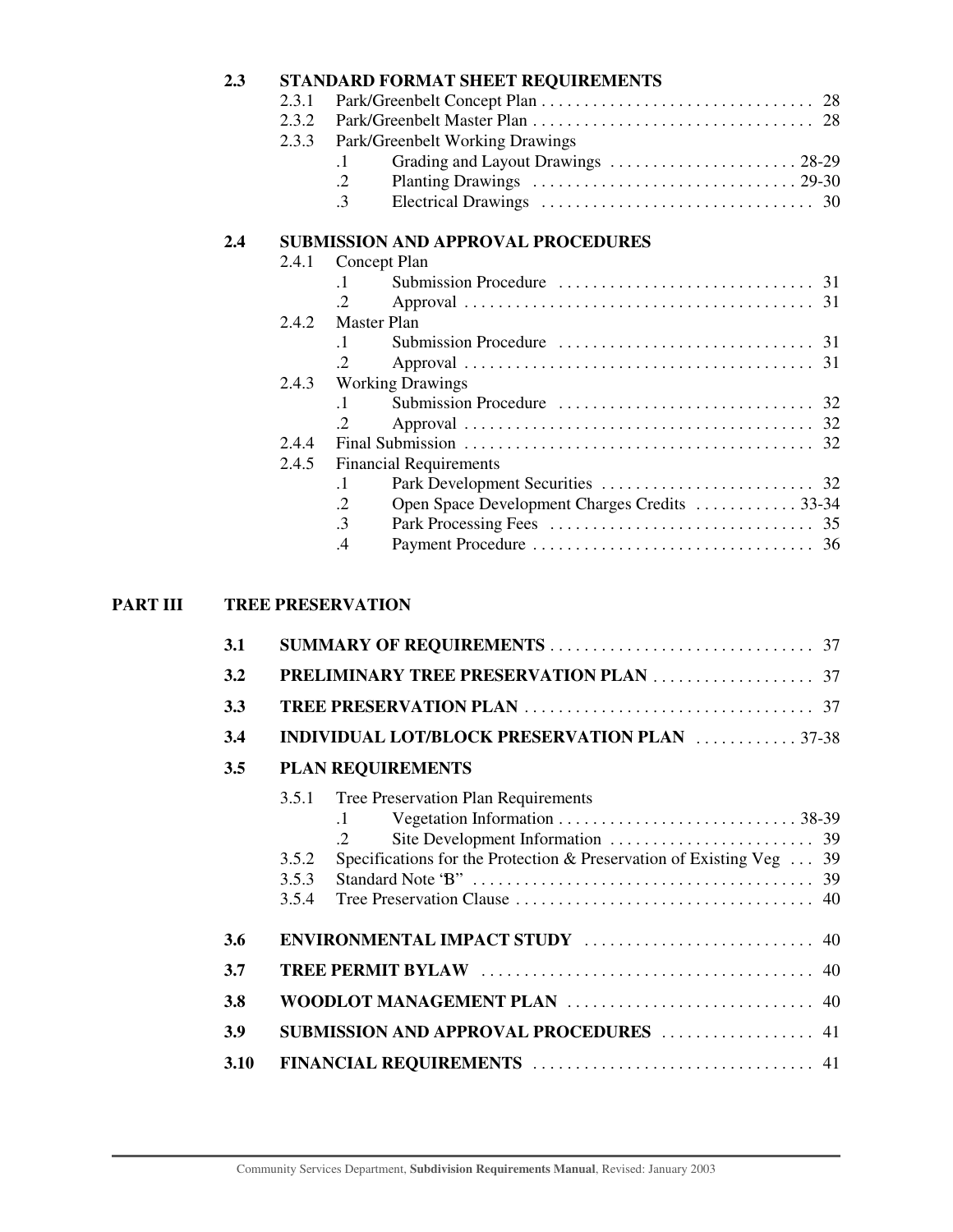| 2.3 |       | STANDARD FORMAT SHEET REQUIREMENTS                          |  |
|-----|-------|-------------------------------------------------------------|--|
|     | 2.3.1 |                                                             |  |
|     | 2.3.2 |                                                             |  |
|     | 2.3.3 | Park/Greenbelt Working Drawings                             |  |
|     |       | Grading and Layout Drawings  28-29<br>$\cdot$ 1             |  |
|     |       | $\cdot$ .2                                                  |  |
|     |       | $\cdot$ 3                                                   |  |
| 2.4 |       | <b>SUBMISSION AND APPROVAL PROCEDURES</b>                   |  |
|     | 2.4.1 | Concept Plan                                                |  |
|     |       | $\cdot$ 1                                                   |  |
|     |       |                                                             |  |
|     | 2.42  | Master Plan                                                 |  |
|     |       | $\cdot$ 1                                                   |  |
|     |       |                                                             |  |
|     | 2.4.3 | <b>Working Drawings</b>                                     |  |
|     |       | $\cdot$ 1                                                   |  |
|     |       | $\mathcal{D}_{\cdot}$                                       |  |
|     | 2.4.4 |                                                             |  |
|     | 2.4.5 | <b>Financial Requirements</b>                               |  |
|     |       | $\cdot$ 1                                                   |  |
|     |       | Open Space Development Charges Credits  33-34<br>$\cdot$ .2 |  |
|     |       | $\cdot$ 3                                                   |  |
|     |       | $\mathcal{A}$                                               |  |
|     |       |                                                             |  |

## **PART III TREE PRESERVATION**

| 3.1  |                                  |                                                                                                                                 |
|------|----------------------------------|---------------------------------------------------------------------------------------------------------------------------------|
| 3.2  |                                  |                                                                                                                                 |
| 3.3  |                                  |                                                                                                                                 |
| 3.4  |                                  | <b>INDIVIDUAL LOT/BLOCK PRESERVATION PLAN</b> 37-38                                                                             |
| 3.5  |                                  | <b>PLAN REQUIREMENTS</b>                                                                                                        |
|      | 3.5.1<br>3.5.2<br>3.5.3<br>3.5.4 | <b>Tree Preservation Plan Requirements</b><br>$\cdot$ 1<br>Specifications for the Protection & Preservation of Existing Veg  39 |
| 3.6  |                                  |                                                                                                                                 |
| 3.7  |                                  |                                                                                                                                 |
| 3.8  |                                  |                                                                                                                                 |
| 3.9  |                                  | <b>SUBMISSION AND APPROVAL PROCEDURES</b> 41                                                                                    |
| 3.10 |                                  |                                                                                                                                 |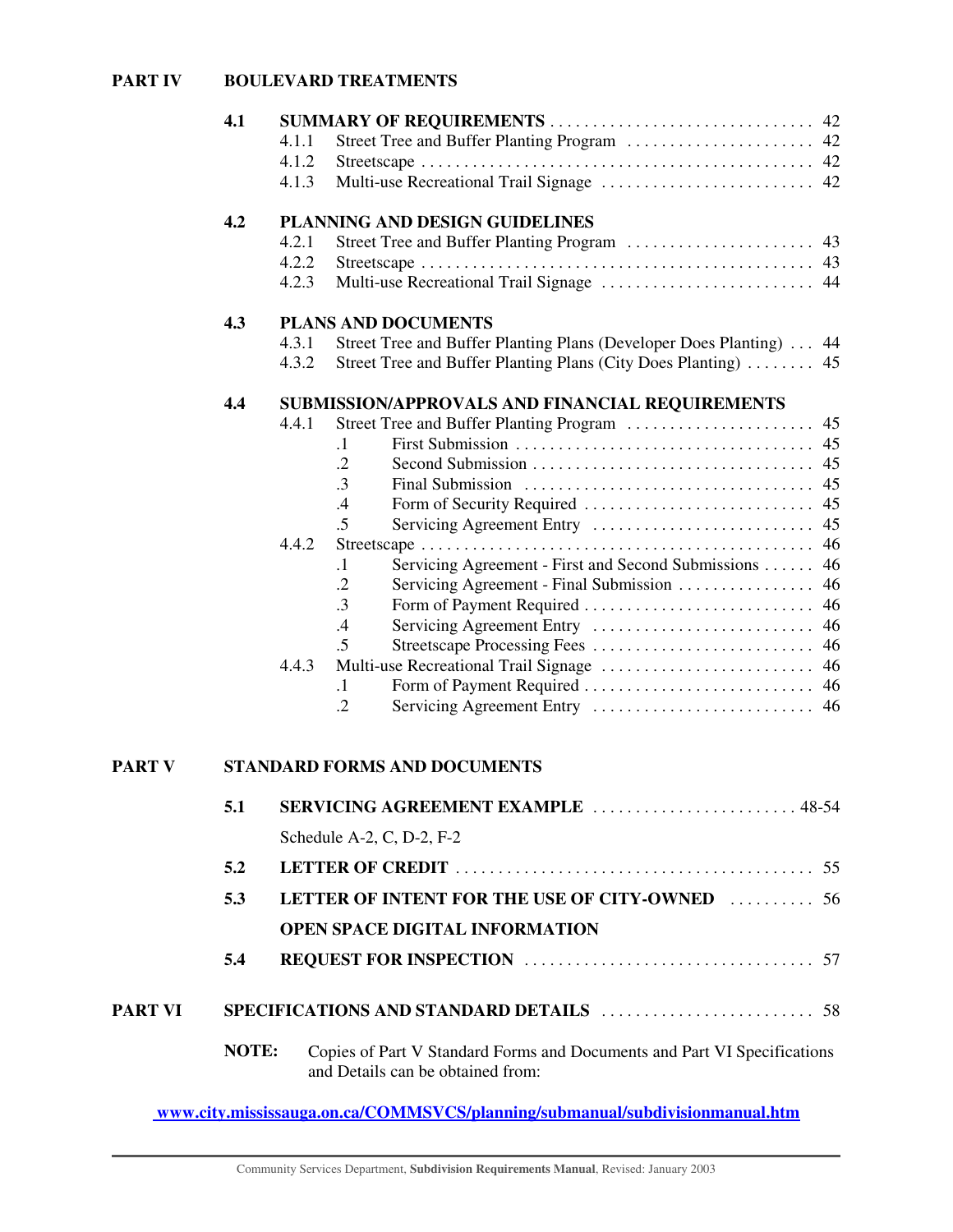## **PART IV BOULEVARD TREATMENTS**

|         | 4.1   |                                                                              |  |
|---------|-------|------------------------------------------------------------------------------|--|
|         |       | 4.1.1<br>42                                                                  |  |
|         |       | 4.1.2                                                                        |  |
|         |       | 4.1.3                                                                        |  |
|         | 4.2   | PLANNING AND DESIGN GUIDELINES                                               |  |
|         |       | 4.2.1                                                                        |  |
|         |       | 4.2.2                                                                        |  |
|         |       | Multi-use Recreational Trail Signage  44<br>4.2.3                            |  |
|         | 4.3   | <b>PLANS AND DOCUMENTS</b>                                                   |  |
|         |       | 4.3.1<br>Street Tree and Buffer Planting Plans (Developer Does Planting)  44 |  |
|         |       | Street Tree and Buffer Planting Plans (City Does Planting)<br>4.3.2<br>45    |  |
|         | 4.4   | SUBMISSION/APPROVALS AND FINANCIAL REQUIREMENTS                              |  |
|         |       | 4.4.1<br>45                                                                  |  |
|         |       | $\cdot$                                                                      |  |
|         |       | $\cdot$ .2                                                                   |  |
|         |       | $\cdot$ 3                                                                    |  |
|         |       | .4<br>45<br>.5<br>45                                                         |  |
|         |       | Servicing Agreement Entry<br>4.4.2<br>46                                     |  |
|         |       | Servicing Agreement - First and Second Submissions  46<br>$\cdot$ 1          |  |
|         |       | $\cdot$ .2                                                                   |  |
|         |       | $\cdot$ 3                                                                    |  |
|         |       | Servicing Agreement Entry<br>46<br>.4                                        |  |
|         |       | .5<br>46                                                                     |  |
|         |       | 4.4.3                                                                        |  |
|         |       | $\cdot$                                                                      |  |
|         |       | $\cdot$ .2                                                                   |  |
|         |       |                                                                              |  |
| PART V  |       | <b>STANDARD FORMS AND DOCUMENTS</b>                                          |  |
|         | 5.1   | SERVICING AGREEMENT EXAMPLE<br>48-54                                         |  |
|         |       | Schedule A-2, C, D-2, F-2                                                    |  |
|         | 5.2   |                                                                              |  |
|         | 5.3   | LETTER OF INTENT FOR THE USE OF CITY-OWNED<br>56                             |  |
|         |       | <b>OPEN SPACE DIGITAL INFORMATION</b>                                        |  |
|         | 5.4   |                                                                              |  |
|         |       |                                                                              |  |
| PART VI |       |                                                                              |  |
|         | NOTE: | Copies of Part V Standard Forms and Documents and Part VI Specifications     |  |
|         |       | and Details can be obtained from:                                            |  |

**www.city.mississauga.on.ca/COMMSVCS/planning/submanual/subdivisionmanual.htm**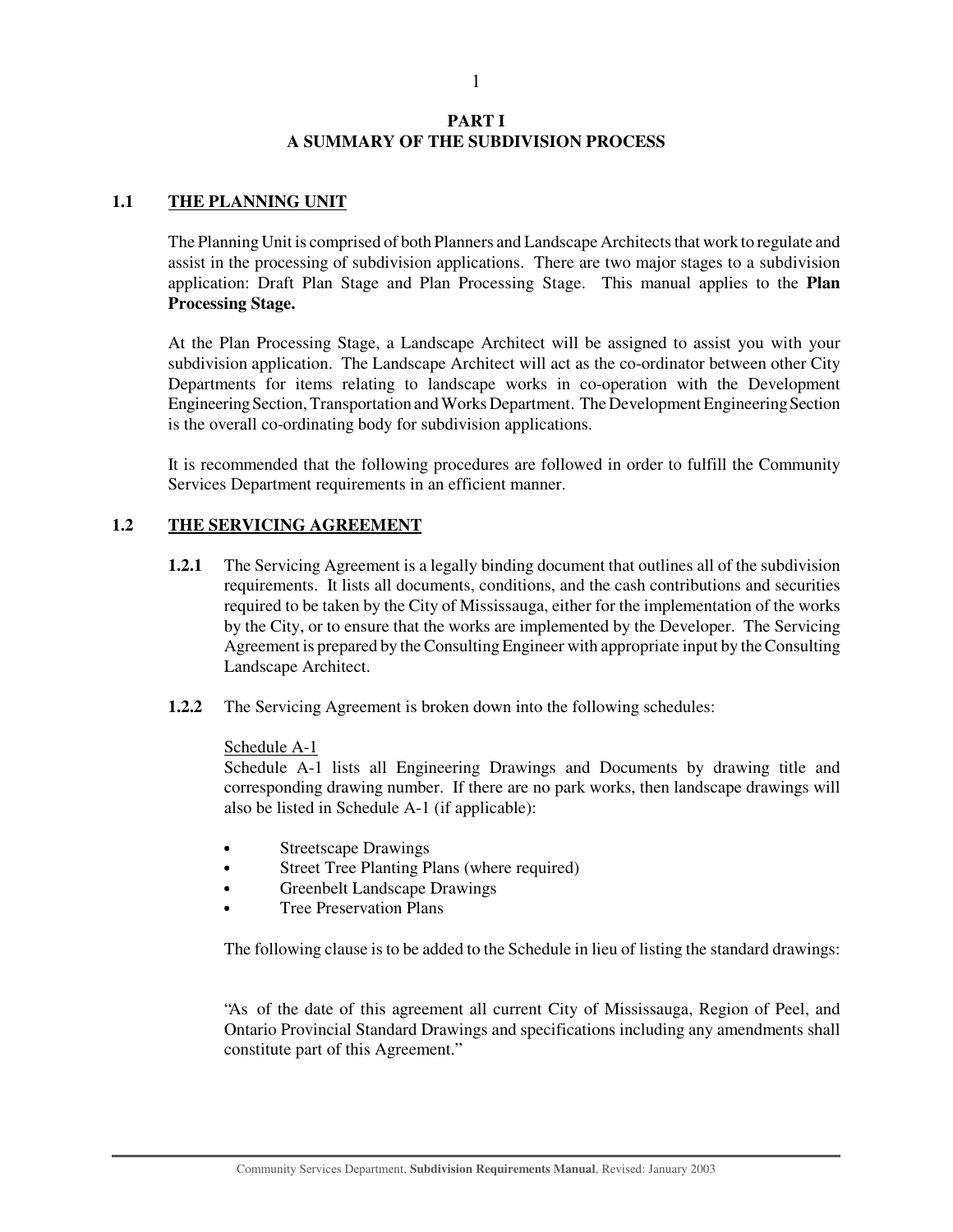## 1

## **PART I A SUMMARY OF THE SUBDIVISION PROCESS**

## **1.1 THE PLANNING UNIT**

The Planning Unit is comprised of both Planners and Landscape Architects that work to regulate and assist in the processing of subdivision applications. There are two major stages to a subdivision application: Draft Plan Stage and Plan Processing Stage. This manual applies to the **Plan Processing Stage.**

At the Plan Processing Stage, a Landscape Architect will be assigned to assist you with your subdivision application. The Landscape Architect will act as the co-ordinator between other City Departments for items relating to landscape works in co-operation with the Development Engineering Section, Transportation and Works Department. The Development Engineering Section is the overall co-ordinating body for subdivision applications.

It is recommended that the following procedures are followed in order to fulfill the Community Services Department requirements in an efficient manner.

## **1.2 THE SERVICING AGREEMENT**

- **1.2.1** The Servicing Agreement is a legally binding document that outlines all of the subdivision requirements. It lists all documents, conditions, and the cash contributions and securities required to be taken by the City of Mississauga, either for the implementation of the works by the City, or to ensure that the works are implemented by the Developer. The Servicing Agreement is prepared by the Consulting Engineer with appropriate input by the Consulting Landscape Architect.
- **1.2.2** The Servicing Agreement is broken down into the following schedules:

## Schedule A-1

Schedule A-1 lists all Engineering Drawings and Documents by drawing title and corresponding drawing number. If there are no park works, then landscape drawings will also be listed in Schedule A-1 (if applicable):

- $\bullet$ Streetscape Drawings
- $\bullet$ Street Tree Planting Plans (where required)
- Greenbelt Landscape Drawings
- Tree Preservation Plans

The following clause is to be added to the Schedule in lieu of listing the standard drawings:

"As of the date of this agreement all current City of Mississauga, Region of Peel, and Ontario Provincial Standard Drawings and specifications including any amendments shall constitute part of this Agreement."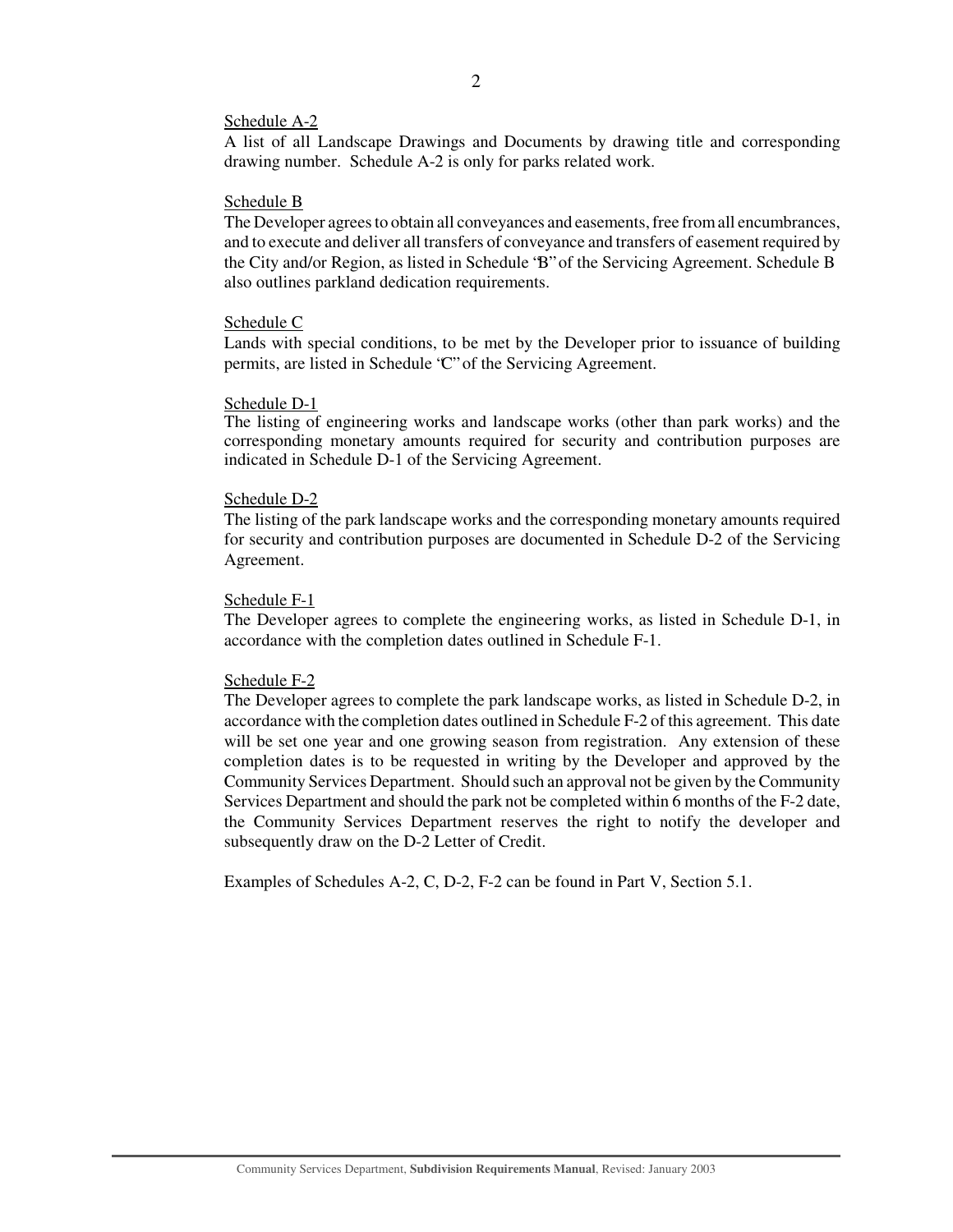#### Schedule A-2

A list of all Landscape Drawings and Documents by drawing title and corresponding drawing number. Schedule A-2 is only for parks related work.

#### Schedule B

The Developer agrees to obtain all conveyances and easements, free from all encumbrances, and to execute and deliver all transfers of conveyance and transfers of easement required by the City and/or Region, as listed in Schedule "B" of the Servicing Agreement. Schedule B also outlines parkland dedication requirements.

#### Schedule C

Lands with special conditions, to be met by the Developer prior to issuance of building permits, are listed in Schedule "C" of the Servicing Agreement.

#### Schedule D-1

The listing of engineering works and landscape works (other than park works) and the corresponding monetary amounts required for security and contribution purposes are indicated in Schedule D-1 of the Servicing Agreement.

#### Schedule D-2

The listing of the park landscape works and the corresponding monetary amounts required for security and contribution purposes are documented in Schedule D-2 of the Servicing Agreement.

#### Schedule F-1

The Developer agrees to complete the engineering works, as listed in Schedule D-1, in accordance with the completion dates outlined in Schedule F-1.

#### Schedule F-2

The Developer agrees to complete the park landscape works, as listed in Schedule D-2, in accordance with the completion dates outlined in Schedule F-2 of this agreement. This date will be set one year and one growing season from registration. Any extension of these completion dates is to be requested in writing by the Developer and approved by the Community Services Department. Should such an approval not be given by the Community Services Department and should the park not be completed within 6 months of the F-2 date, the Community Services Department reserves the right to notify the developer and subsequently draw on the D-2 Letter of Credit.

Examples of Schedules A-2, C, D-2, F-2 can be found in Part V, Section 5.1.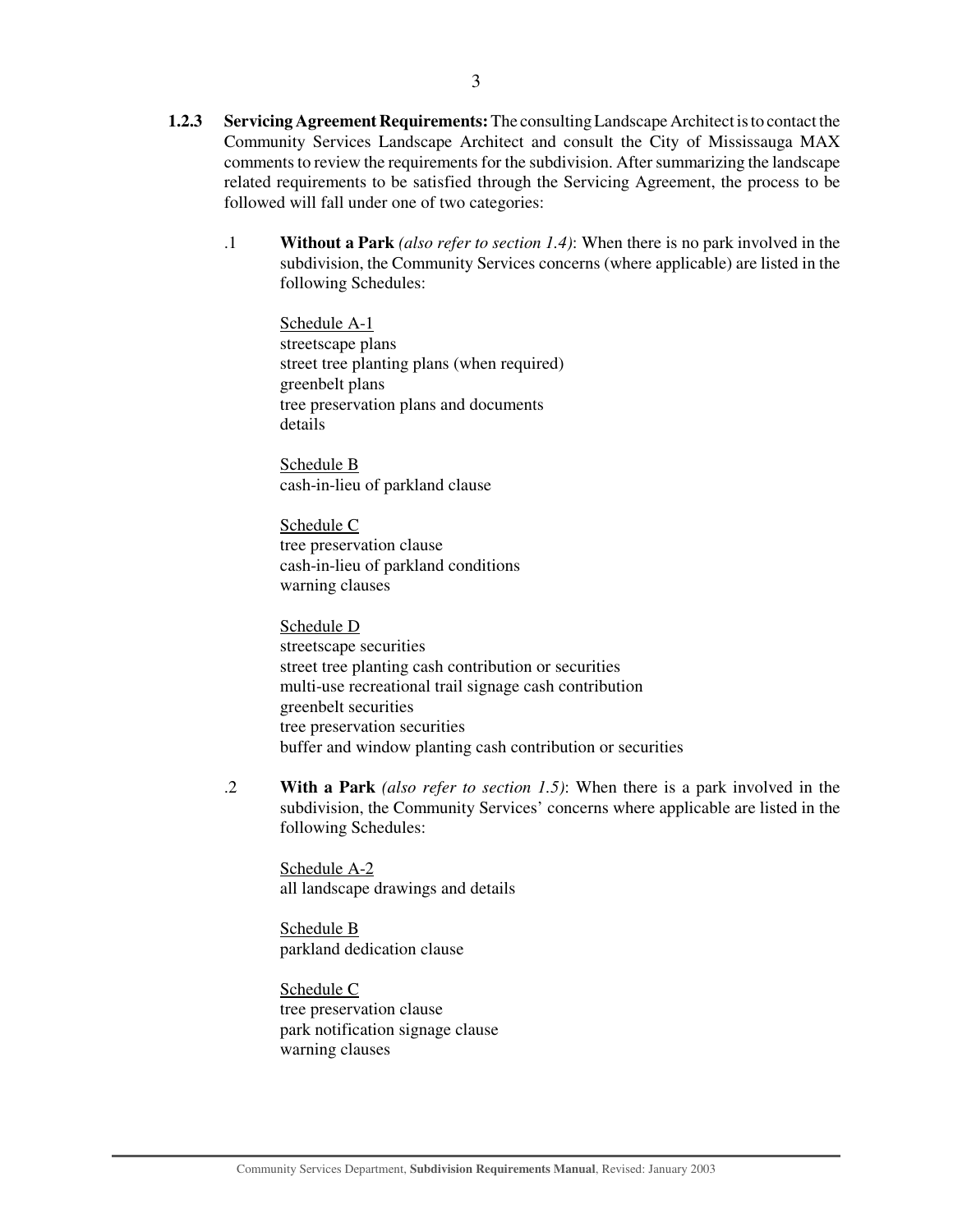- **1.2.3 Servicing Agreement Requirements:**The consulting Landscape Architect is to contact the Community Services Landscape Architect and consult the City of Mississauga MAX comments to review the requirements for the subdivision. After summarizing the landscape related requirements to be satisfied through the Servicing Agreement, the process to be followed will fall under one of two categories:
	- .1 **Without a Park** *(also refer to section 1.4)*: When there is no park involved in the subdivision, the Community Services concerns (where applicable) are listed in the following Schedules:

Schedule A-1 streetscape plans street tree planting plans (when required) greenbelt plans tree preservation plans and documents details

Schedule B cash-in-lieu of parkland clause

Schedule C tree preservation clause cash-in-lieu of parkland conditions warning clauses

Schedule D streetscape securities street tree planting cash contribution or securities multi-use recreational trail signage cash contribution greenbelt securities tree preservation securities buffer and window planting cash contribution or securities

.2 **With a Park** *(also refer to section 1.5)*: When there is a park involved in the subdivision, the Community Services' concerns where applicable are listed in the following Schedules:

Schedule A-2 all landscape drawings and details

Schedule B parkland dedication clause

Schedule C tree preservation clause park notification signage clause warning clauses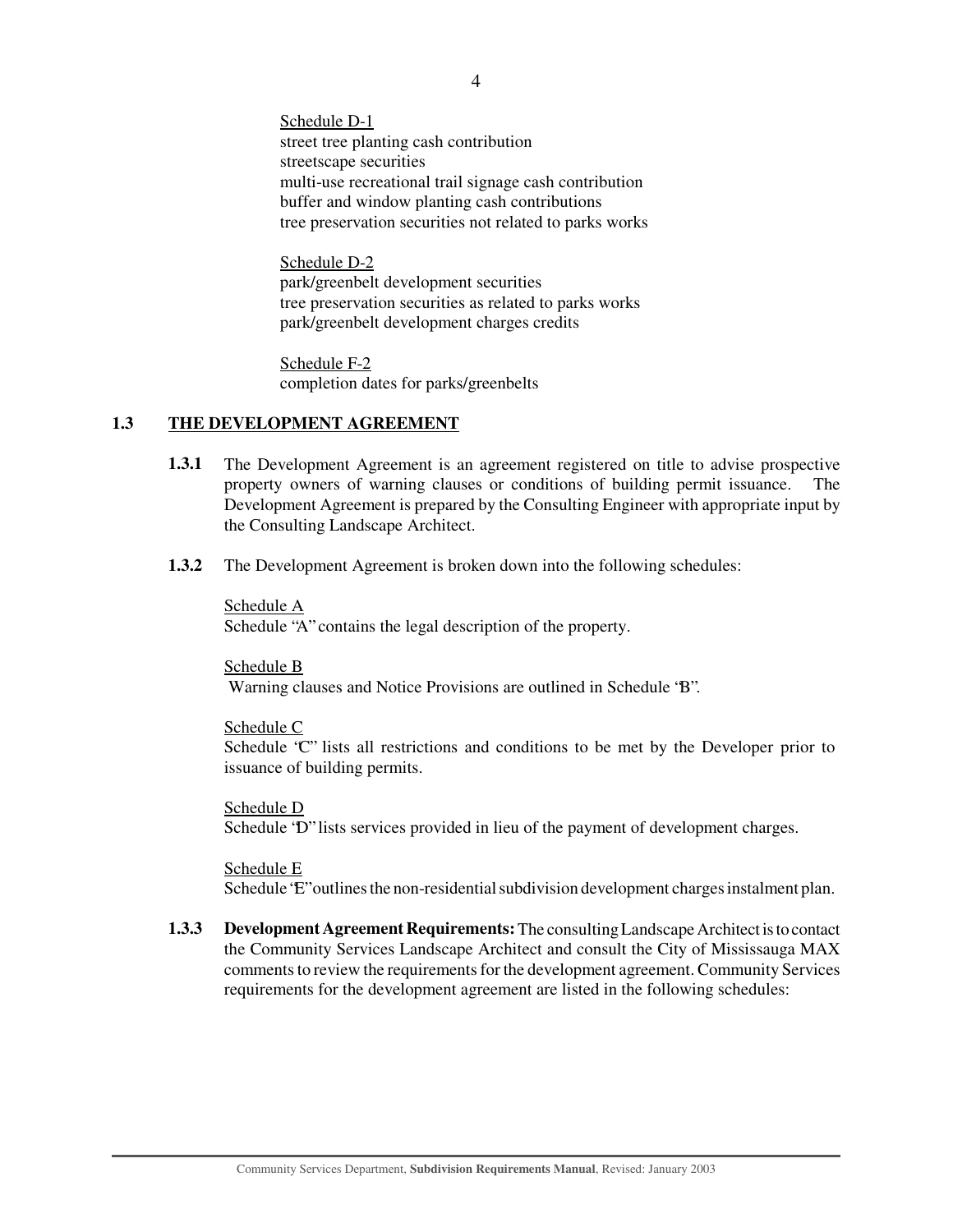Schedule D-1 street tree planting cash contribution streetscape securities multi-use recreational trail signage cash contribution buffer and window planting cash contributions tree preservation securities not related to parks works

Schedule D-2 park/greenbelt development securities tree preservation securities as related to parks works park/greenbelt development charges credits

Schedule F-2 completion dates for parks/greenbelts

## **1.3 THE DEVELOPMENT AGREEMENT**

- **1.3.1** The Development Agreement is an agreement registered on title to advise prospective property owners of warning clauses or conditions of building permit issuance. The Development Agreement is prepared by the Consulting Engineer with appropriate input by the Consulting Landscape Architect.
- **1.3.2** The Development Agreement is broken down into the following schedules:

Schedule A Schedule "A" contains the legal description of the property.

Schedule B Warning clauses and Notice Provisions are outlined in Schedule "B".

Schedule C

Schedule "C" lists all restrictions and conditions to be met by the Developer prior to issuance of building permits.

Schedule D Schedule "D" lists services provided in lieu of the payment of development charges.

Schedule E Schedule "E" outlines the non-residential subdivision development charges instalment plan.

**1.3.3 Development Agreement Requirements:**The consulting Landscape Architect is to contact the Community Services Landscape Architect and consult the City of Mississauga MAX comments to review the requirements for the development agreement. Community Services requirements for the development agreement are listed in the following schedules: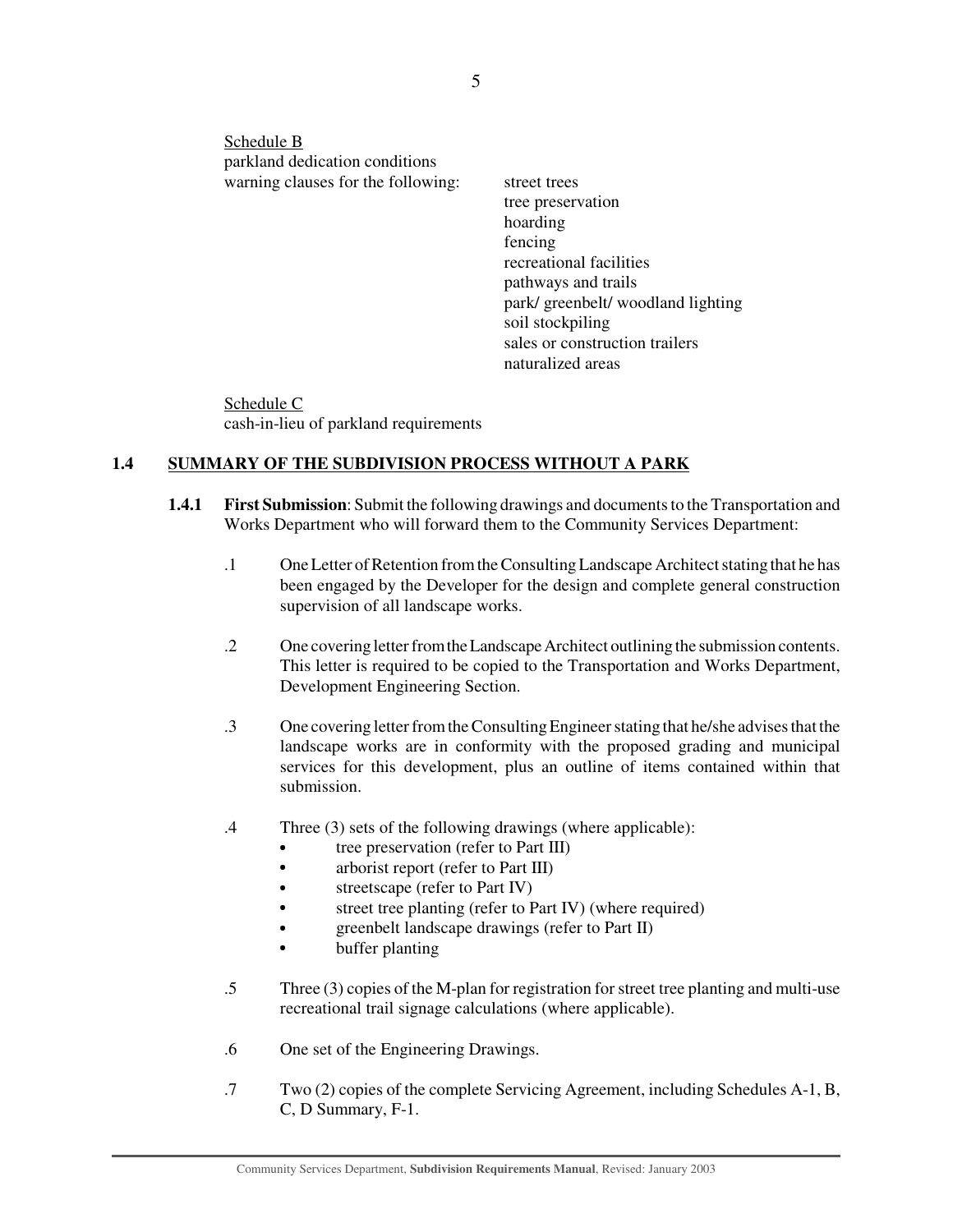Schedule B parkland dedication conditions warning clauses for the following: street trees

tree preservation hoarding fencing recreational facilities pathways and trails park/ greenbelt/ woodland lighting soil stockpiling sales or construction trailers naturalized areas

Schedule C cash-in-lieu of parkland requirements

## **1.4 SUMMARY OF THE SUBDIVISION PROCESS WITHOUT A PARK**

- **1.4.1 First Submission**: Submit the following drawings and documents to the Transportation and Works Department who will forward them to the Community Services Department:
	- .1 OneLetter of Retention from the Consulting Landscape Architect stating that he has been engaged by the Developer for the design and complete general construction supervision of all landscape works.
	- .2 One covering letter from the Landscape Architect outlining the submission contents. This letter is required to be copied to the Transportation and Works Department, Development Engineering Section.
	- .3 One covering letter from the Consulting Engineer stating that he/she advises that the landscape works are in conformity with the proposed grading and municipal services for this development, plus an outline of items contained within that submission.
	- .4 Three (3) sets of the following drawings (where applicable):
		- ٠ tree preservation (refer to Part III)
		- $\bullet$ arborist report (refer to Part III)
		- streetscape (refer to Part IV)
		- street tree planting (refer to Part IV) (where required)
		- greenbelt landscape drawings (refer to Part II)
		- buffer planting
	- .5 Three (3) copies of the M-plan for registration for street tree planting and multi-use recreational trail signage calculations (where applicable).
	- .6 One set of the Engineering Drawings.
	- .7 Two (2) copies of the complete Servicing Agreement, including Schedules A-1, B, C, D Summary, F-1.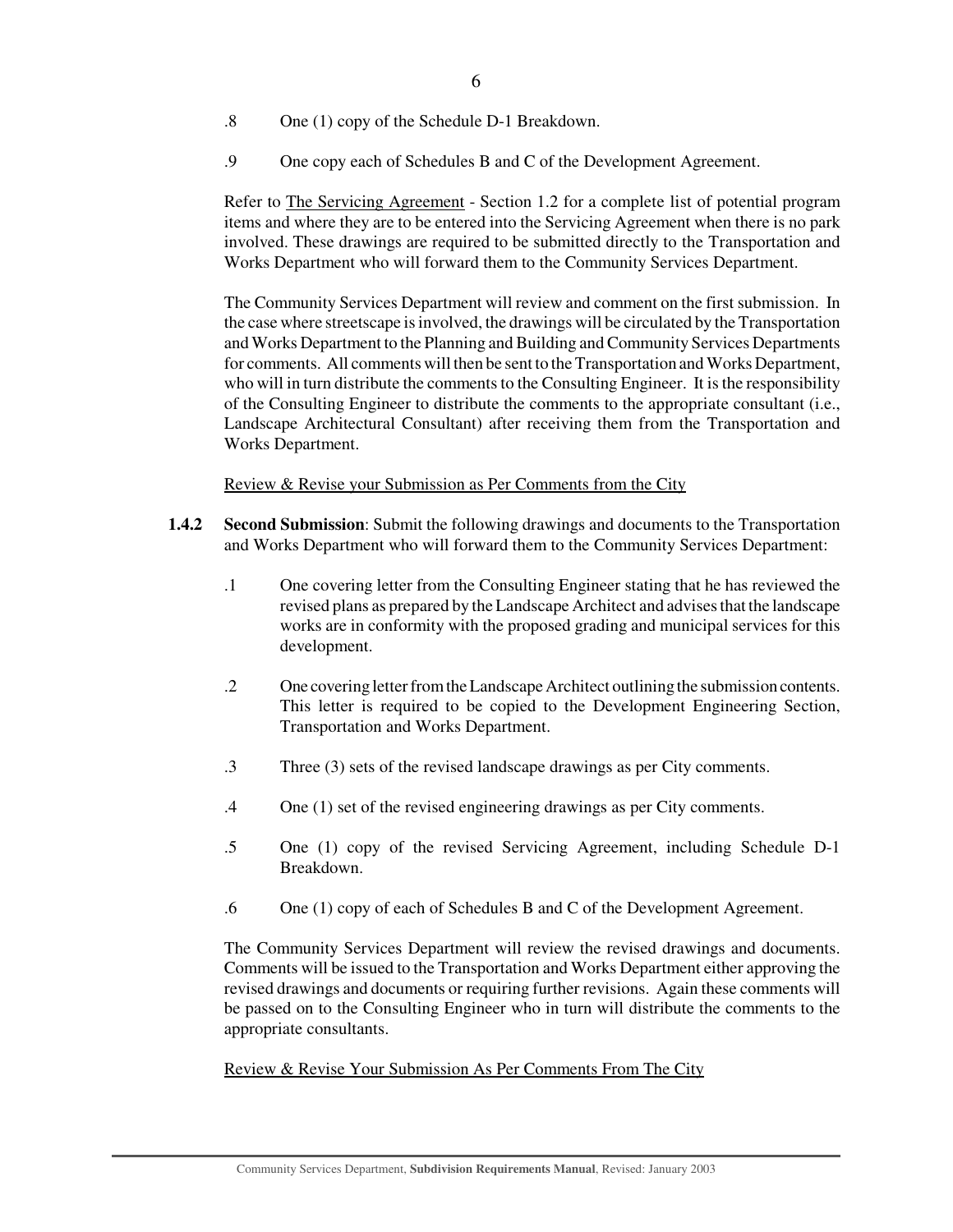- .8 One (1) copy of the Schedule D-1 Breakdown.
- .9 One copy each of Schedules B and C of the Development Agreement.

Refer to The Servicing Agreement - Section 1.2 for a complete list of potential program items and where they are to be entered into the Servicing Agreement when there is no park involved. These drawings are required to be submitted directly to the Transportation and Works Department who will forward them to the Community Services Department.

The Community Services Department will review and comment on the first submission. In the case where streetscape is involved, the drawings will be circulated by the Transportation and Works Department to the Planning and Building and Community Services Departments for comments. All comments will then be sent to the Transportation and Works Department, who will in turn distribute the comments to the Consulting Engineer. It is the responsibility of the Consulting Engineer to distribute the comments to the appropriate consultant (i.e., Landscape Architectural Consultant) after receiving them from the Transportation and Works Department.

Review & Revise your Submission as Per Comments from the City

- **1.4.2 Second Submission**: Submit the following drawings and documents to the Transportation and Works Department who will forward them to the Community Services Department:
	- .1 One covering letter from the Consulting Engineer stating that he has reviewed the revised plans as prepared by the Landscape Architect and advises that the landscape works are in conformity with the proposed grading and municipal services for this development.
	- .2 One covering letter from the Landscape Architect outlining the submission contents. This letter is required to be copied to the Development Engineering Section, Transportation and Works Department.
	- .3 Three (3) sets of the revised landscape drawings as per City comments.
	- .4 One (1) set of the revised engineering drawings as per City comments.
	- .5 One (1) copy of the revised Servicing Agreement, including Schedule D-1 Breakdown.
	- .6 One (1) copy of each of Schedules B and C of the Development Agreement.

The Community Services Department will review the revised drawings and documents. Comments will be issued to the Transportation and Works Department either approving the revised drawings and documents or requiring further revisions. Again these comments will be passed on to the Consulting Engineer who in turn will distribute the comments to the appropriate consultants.

Review & Revise Your Submission As Per Comments From The City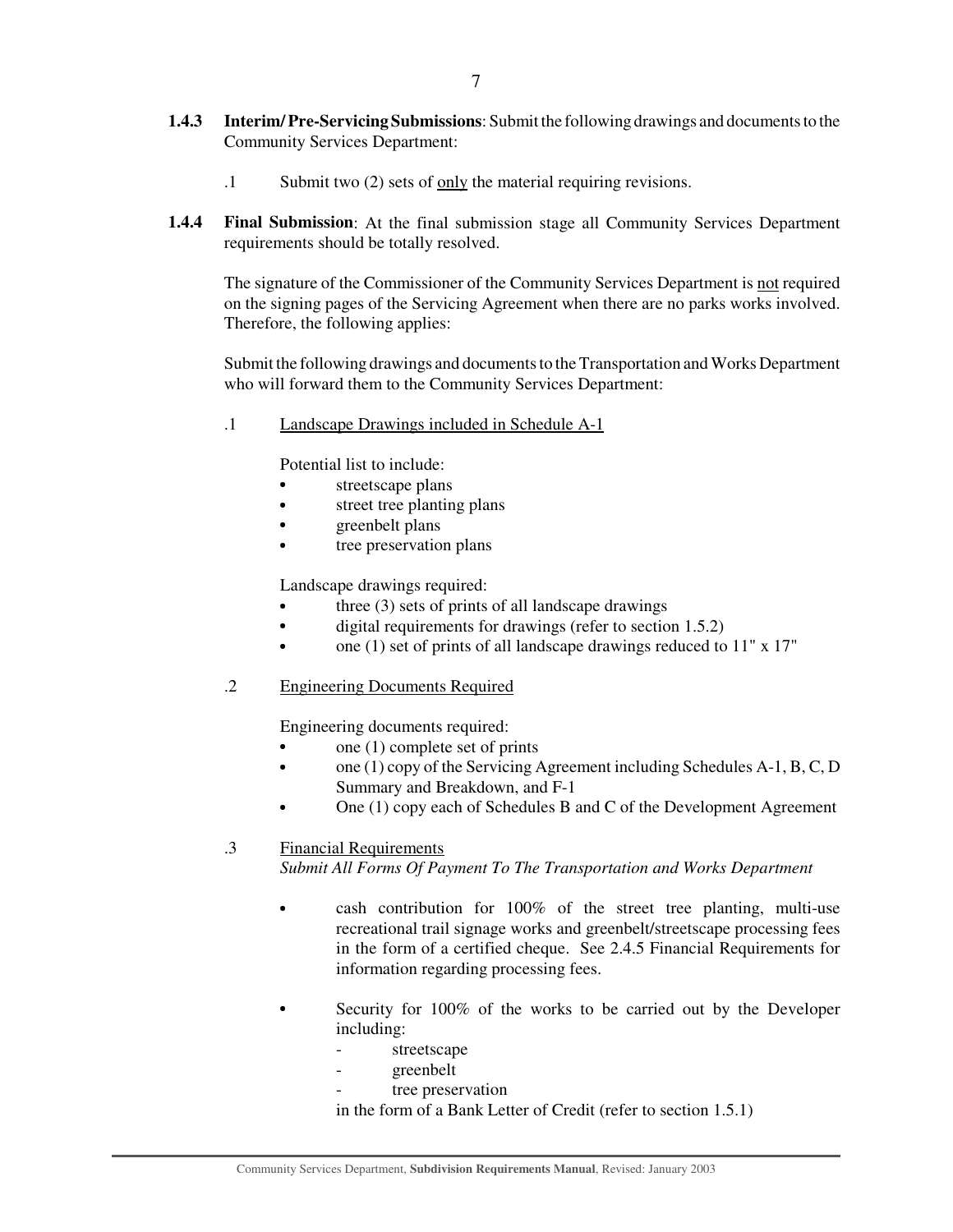- **1.4.3 Interim/Pre-Servicing Submissions**: Submit the following drawings and documents to the Community Services Department:
	- .1 Submit two (2) sets of only the material requiring revisions.
- **1.4.4 Final Submission**: At the final submission stage all Community Services Department requirements should be totally resolved.

The signature of the Commissioner of the Community Services Department is not required on the signing pages of the Servicing Agreement when there are no parks works involved. Therefore, the following applies:

Submit the following drawings and documents to the Transportation and Works Department who will forward them to the Community Services Department:

.1 Landscape Drawings included in Schedule A-1

Potential list to include:

- streetscape plans
- $\bullet$ street tree planting plans
- greenbelt plans
- tree preservation plans

Landscape drawings required:

- three (3) sets of prints of all landscape drawings
- digital requirements for drawings (refer to section 1.5.2)
- one (1) set of prints of all landscape drawings reduced to 11" x 17"
- .2 Engineering Documents Required

Engineering documents required:

- one (1) complete set of prints
- one (1) copy of the Servicing Agreement including Schedules A-1, B, C, D Summary and Breakdown, and F-1
- One (1) copy each of Schedules B and C of the Development Agreement

## .3 Financial Requirements

*Submit All Forms Of Payment To The Transportation and Works Department*

- cash contribution for 100% of the street tree planting, multi-use recreational trail signage works and greenbelt/streetscape processing fees in the form of a certified cheque. See 2.4.5 Financial Requirements for information regarding processing fees.
- Security for 100% of the works to be carried out by the Developer including:
	- streetscape
	- greenbelt
	- tree preservation

in the form of a Bank Letter of Credit (refer to section 1.5.1)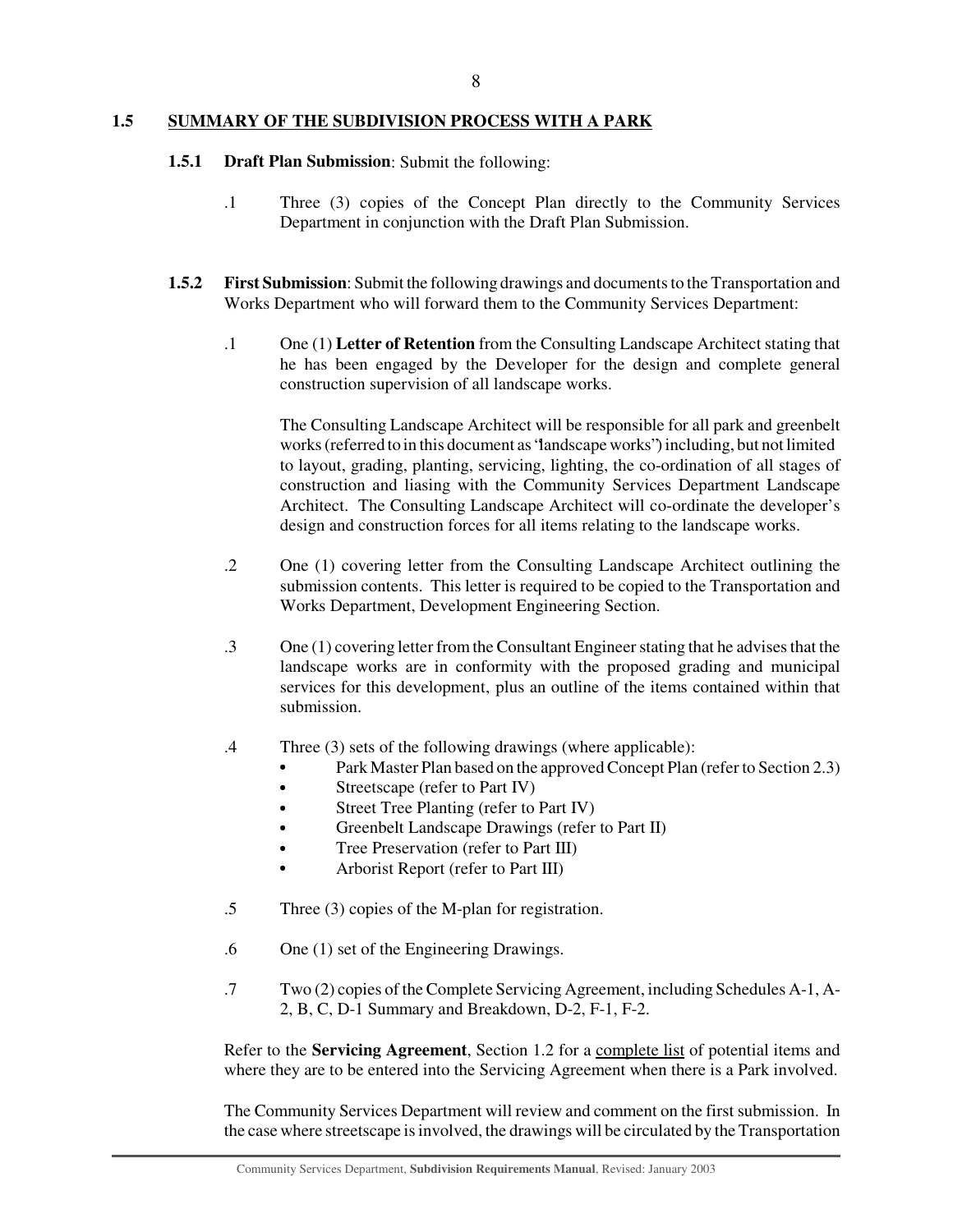#### **1.5 SUMMARY OF THE SUBDIVISION PROCESS WITH A PARK**

## **1.5.1 Draft Plan Submission**: Submit the following:

- .1 Three (3) copies of the Concept Plan directly to the Community Services Department in conjunction with the Draft Plan Submission.
- **1.5.2 First Submission**: Submit the following drawings and documents to the Transportation and Works Department who will forward them to the Community Services Department:
	- .1 One (1) **Letter of Retention** from the Consulting Landscape Architect stating that he has been engaged by the Developer for the design and complete general construction supervision of all landscape works.

The Consulting Landscape Architect will be responsible for all park and greenbelt works(referred to in this document as "landscape works") including, but not limited to layout, grading, planting, servicing, lighting, the co-ordination of all stages of construction and liasing with the Community Services Department Landscape Architect. The Consulting Landscape Architect will co-ordinate the developer's design and construction forces for all items relating to the landscape works.

- .2 One (1) covering letter from the Consulting Landscape Architect outlining the submission contents. This letter is required to be copied to the Transportation and Works Department, Development Engineering Section.
- .3 One (1) covering letter from the Consultant Engineer stating that he advises that the landscape works are in conformity with the proposed grading and municipal services for this development, plus an outline of the items contained within that submission.
- .4 Three (3) sets of the following drawings (where applicable):
	- Park Master Plan based on the approved Concept Plan (refer to Section 2.3)
	- Streetscape (refer to Part IV)
	- Street Tree Planting (refer to Part IV)
	- Greenbelt Landscape Drawings (refer to Part II)
	- Tree Preservation (refer to Part III)
	- Arborist Report (refer to Part III)
- .5 Three (3) copies of the M-plan for registration.
- .6 One (1) set of the Engineering Drawings.
- .7 Two (2) copies of the Complete Servicing Agreement, including Schedules A-1, A-2, B, C, D-1 Summary and Breakdown, D-2, F-1, F-2.

Refer to the **Servicing Agreement**, Section 1.2 for a complete list of potential items and where they are to be entered into the Servicing Agreement when there is a Park involved.

The Community Services Department will review and comment on the first submission. In the case where streetscape is involved, the drawings will be circulated by the Transportation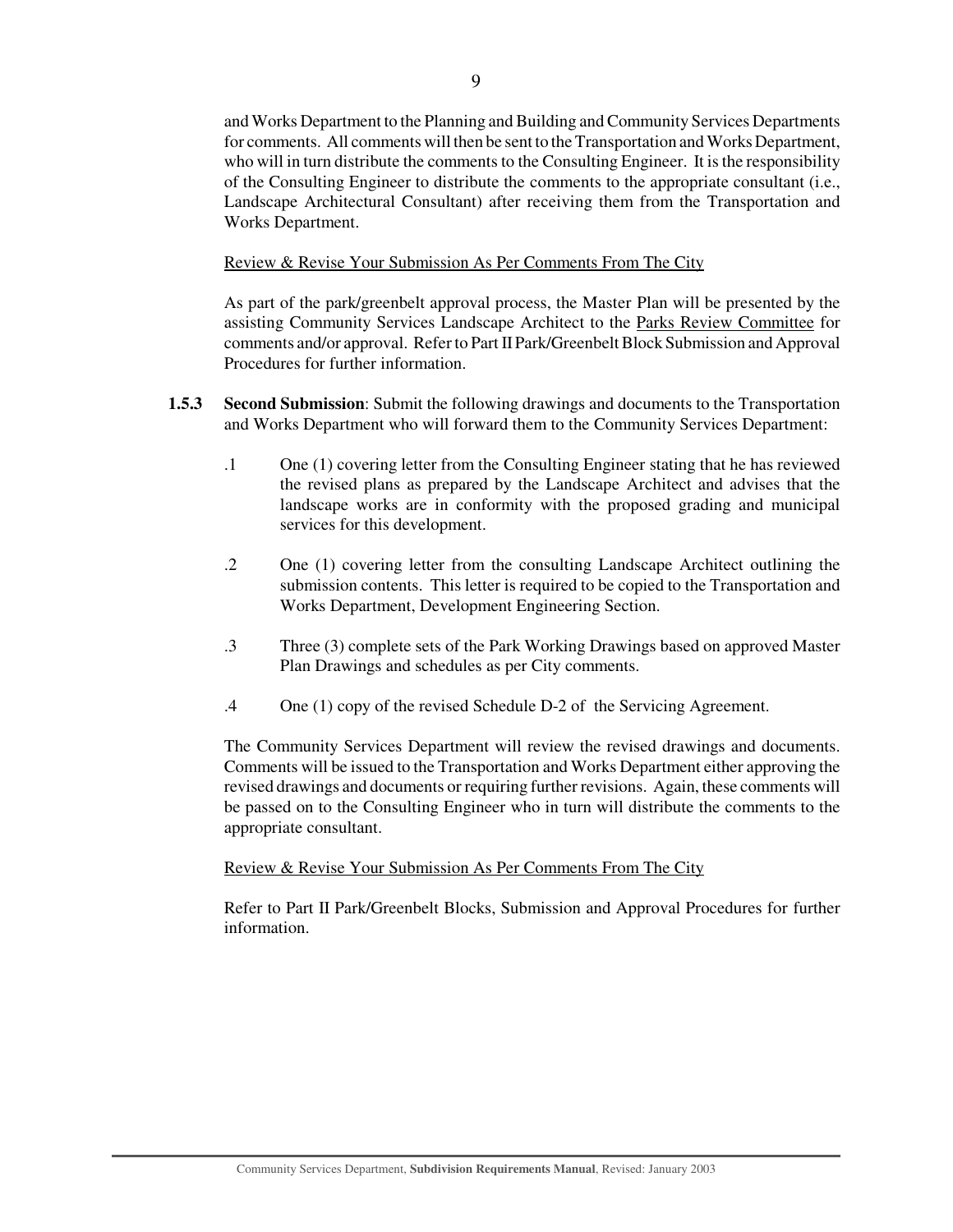and Works Department to the Planning and Building and Community Services Departments for comments. All comments will then be sent to the Transportation and Works Department, who will in turn distribute the comments to the Consulting Engineer. It is the responsibility of the Consulting Engineer to distribute the comments to the appropriate consultant (i.e., Landscape Architectural Consultant) after receiving them from the Transportation and Works Department.

Review & Revise Your Submission As Per Comments From The City

As part of the park/greenbelt approval process, the Master Plan will be presented by the assisting Community Services Landscape Architect to the Parks Review Committee for comments and/or approval. Refer to Part II Park/Greenbelt Block Submission and Approval Procedures for further information.

- **1.5.3 Second Submission**: Submit the following drawings and documents to the Transportation and Works Department who will forward them to the Community Services Department:
	- .1 One (1) covering letter from the Consulting Engineer stating that he has reviewed the revised plans as prepared by the Landscape Architect and advises that the landscape works are in conformity with the proposed grading and municipal services for this development.
	- .2 One (1) covering letter from the consulting Landscape Architect outlining the submission contents. This letter is required to be copied to the Transportation and Works Department, Development Engineering Section.
	- .3 Three (3) complete sets of the Park Working Drawings based on approved Master Plan Drawings and schedules as per City comments.
	- .4 One (1) copy of the revised Schedule D-2 of the Servicing Agreement.

The Community Services Department will review the revised drawings and documents. Comments will be issued to the Transportation and Works Department either approving the revised drawings and documents or requiring further revisions. Again, these comments will be passed on to the Consulting Engineer who in turn will distribute the comments to the appropriate consultant.

## Review & Revise Your Submission As Per Comments From The City

Refer to Part II Park/Greenbelt Blocks, Submission and Approval Procedures for further information.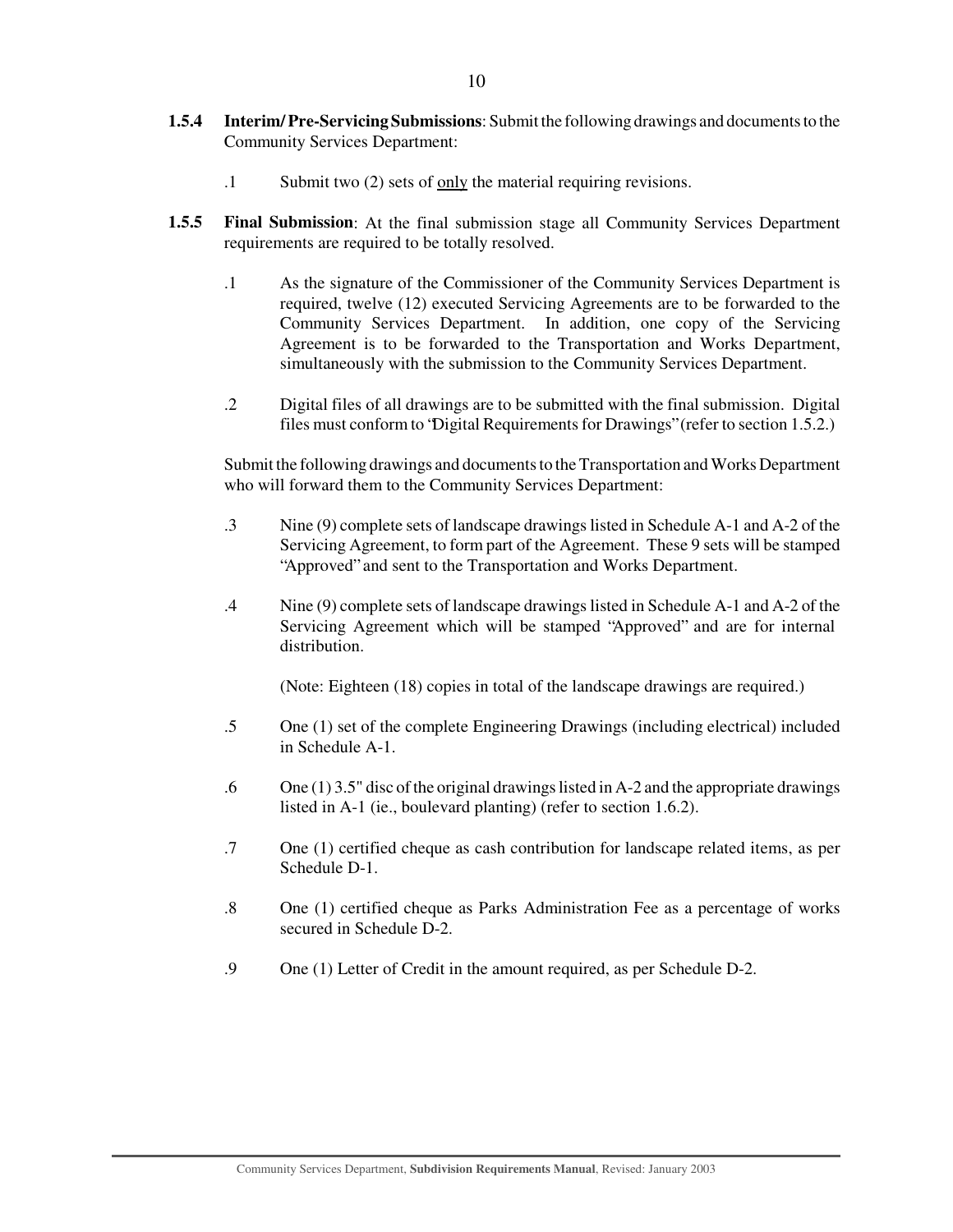- **1.5.4 Interim/Pre-Servicing Submissions**: Submit the following drawings and documents to the Community Services Department:
	- .1 Submit two (2) sets of only the material requiring revisions.
- **1.5.5 Final Submission**: At the final submission stage all Community Services Department requirements are required to be totally resolved.
	- .1 As the signature of the Commissioner of the Community Services Department is required, twelve (12) executed Servicing Agreements are to be forwarded to the Community Services Department. In addition, one copy of the Servicing Agreement is to be forwarded to the Transportation and Works Department, simultaneously with the submission to the Community Services Department.
	- .2 Digital files of all drawings are to be submitted with the final submission. Digital files must conform to "Digital Requirements for Drawings" (refer to section 1.5.2.)

Submit the following drawings and documents to the Transportation and Works Department who will forward them to the Community Services Department:

- .3 Nine (9) complete sets of landscape drawings listed in Schedule A-1 and A-2 of the Servicing Agreement, to form part of the Agreement. These 9 sets will be stamped "Approved" and sent to the Transportation and Works Department.
- .4 Nine (9) complete sets of landscape drawings listed in Schedule A-1 and A-2 of the Servicing Agreement which will be stamped "Approved" and are for internal distribution.

(Note: Eighteen (18) copies in total of the landscape drawings are required.)

- .5 One (1) set of the complete Engineering Drawings (including electrical) included in Schedule A-1.
- .6 One (1) 3.5" disc of the original drawings listed in A-2 and the appropriate drawings listed in A-1 (ie., boulevard planting) (refer to section 1.6.2).
- .7 One (1) certified cheque as cash contribution for landscape related items, as per Schedule D-1.
- .8 One (1) certified cheque as Parks Administration Fee as a percentage of works secured in Schedule D-2.
- .9 One (1) Letter of Credit in the amount required, as per Schedule D-2.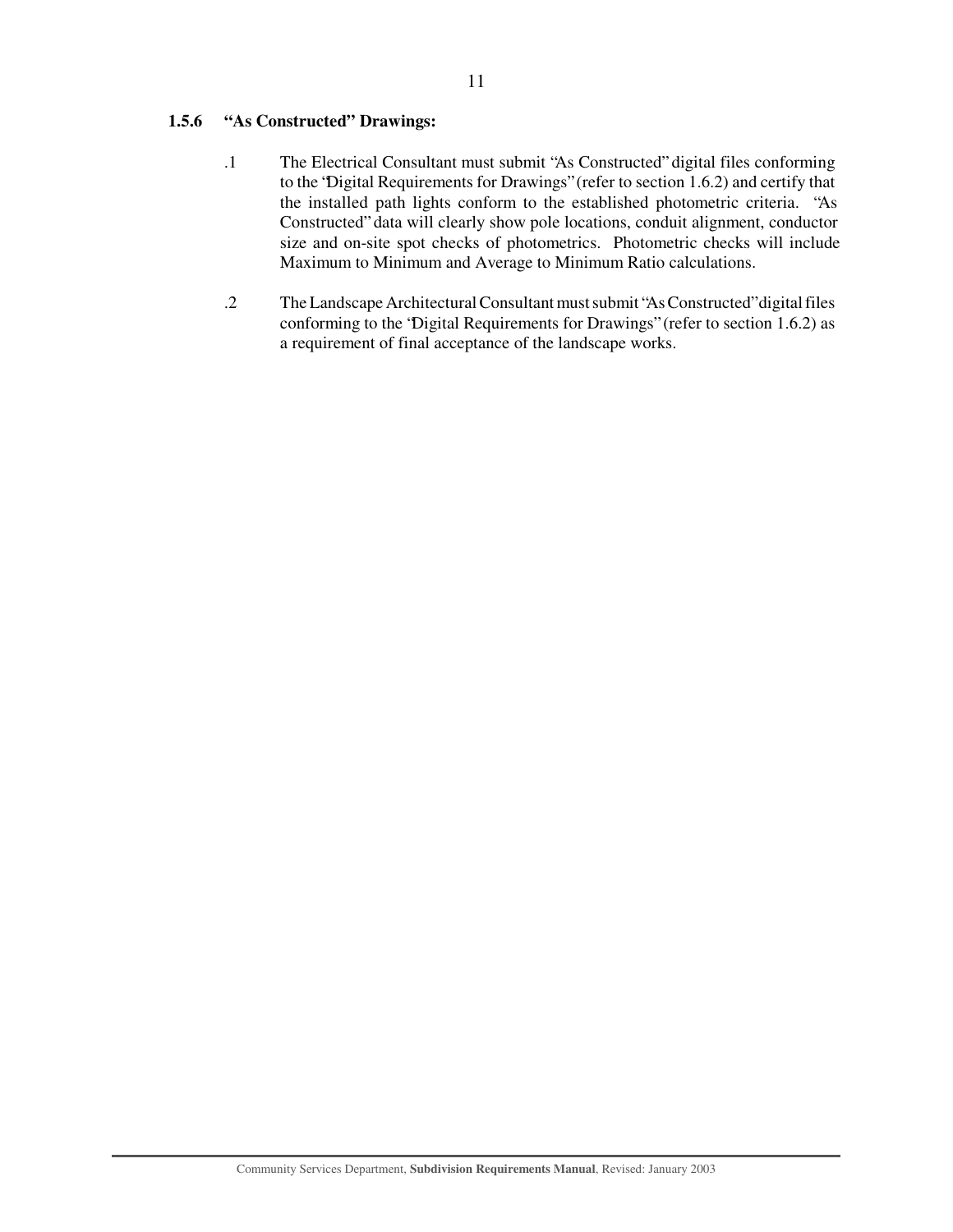## **1.5.6 "As Constructed" Drawings:**

- .1 The Electrical Consultant must submit "As Constructed" digital files conforming to the "Digital Requirements for Drawings" (refer to section 1.6.2) and certify that the installed path lights conform to the established photometric criteria. "As Constructed" data will clearly show pole locations, conduit alignment, conductor size and on-site spot checks of photometrics. Photometric checks will include Maximum to Minimum and Average to Minimum Ratio calculations.
- .2 The Landscape Architectural Consultant must submit "As Constructed" digital files conforming to the "Digital Requirements for Drawings" (refer to section 1.6.2) as a requirement of final acceptance of the landscape works.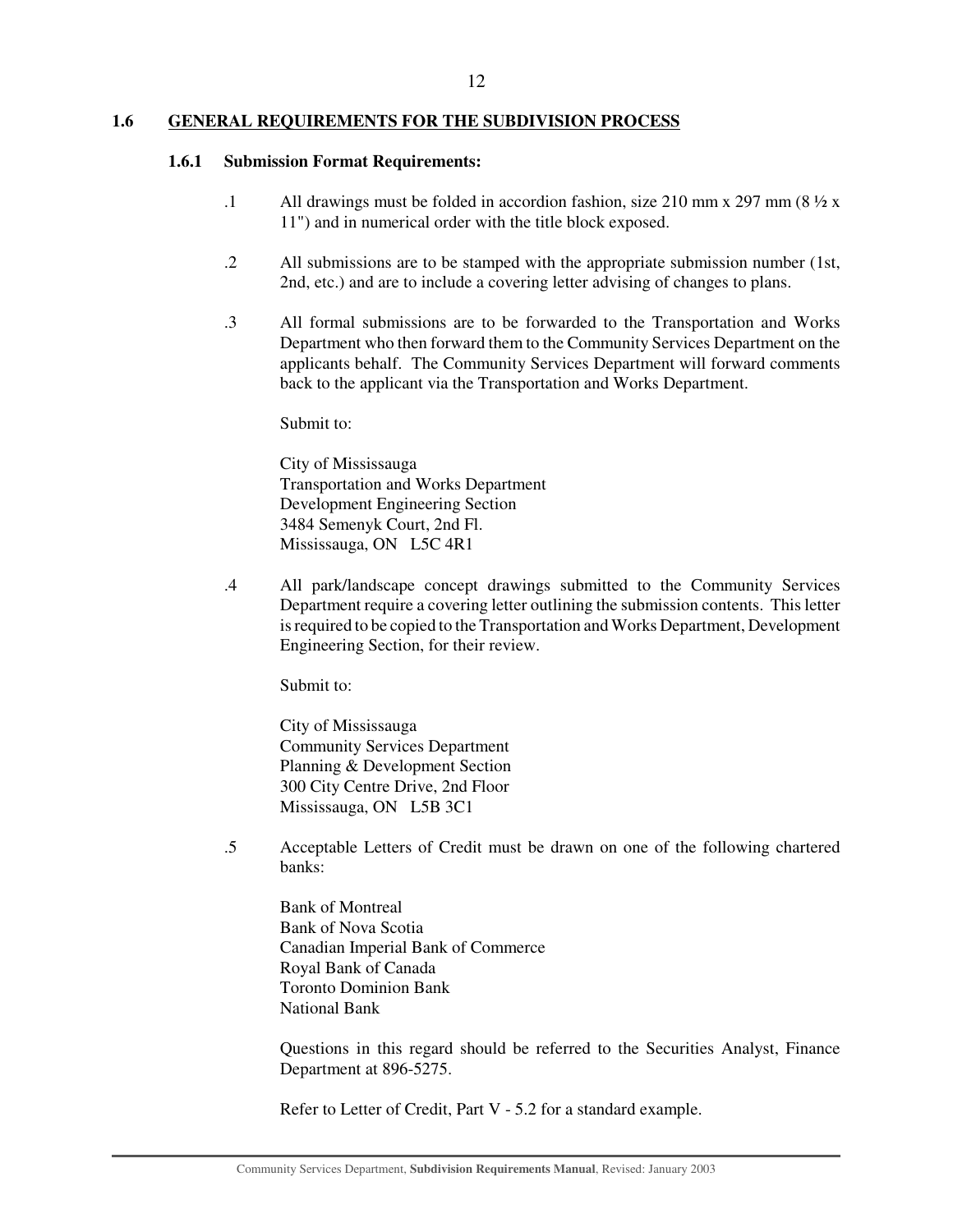#### **1.6 GENERAL REQUIREMENTS FOR THE SUBDIVISION PROCESS**

#### **1.6.1 Submission Format Requirements:**

- .1 All drawings must be folded in accordion fashion, size 210 mm x 297 mm (8  $\frac{1}{2}$  x 11") and in numerical order with the title block exposed.
- .2 All submissions are to be stamped with the appropriate submission number (1st, 2nd, etc.) and are to include a covering letter advising of changes to plans.
- .3 All formal submissions are to be forwarded to the Transportation and Works Department who then forward them to the Community Services Department on the applicants behalf. The Community Services Department will forward comments back to the applicant via the Transportation and Works Department.

Submit to:

City of Mississauga Transportation and Works Department Development Engineering Section 3484 Semenyk Court, 2nd Fl. Mississauga, ON L5C 4R1

.4 All park/landscape concept drawings submitted to the Community Services Department require a covering letter outlining the submission contents. This letter isrequired to be copied to the Transportation and Works Department, Development Engineering Section, for their review.

Submit to:

City of Mississauga Community Services Department Planning & Development Section 300 City Centre Drive, 2nd Floor Mississauga, ON L5B 3C1

.5 Acceptable Letters of Credit must be drawn on one of the following chartered banks:

Bank of Montreal Bank of Nova Scotia Canadian Imperial Bank of Commerce Royal Bank of Canada Toronto Dominion Bank National Bank

Questions in this regard should be referred to the Securities Analyst, Finance Department at 896-5275.

Refer to Letter of Credit, Part V - 5.2 for a standard example.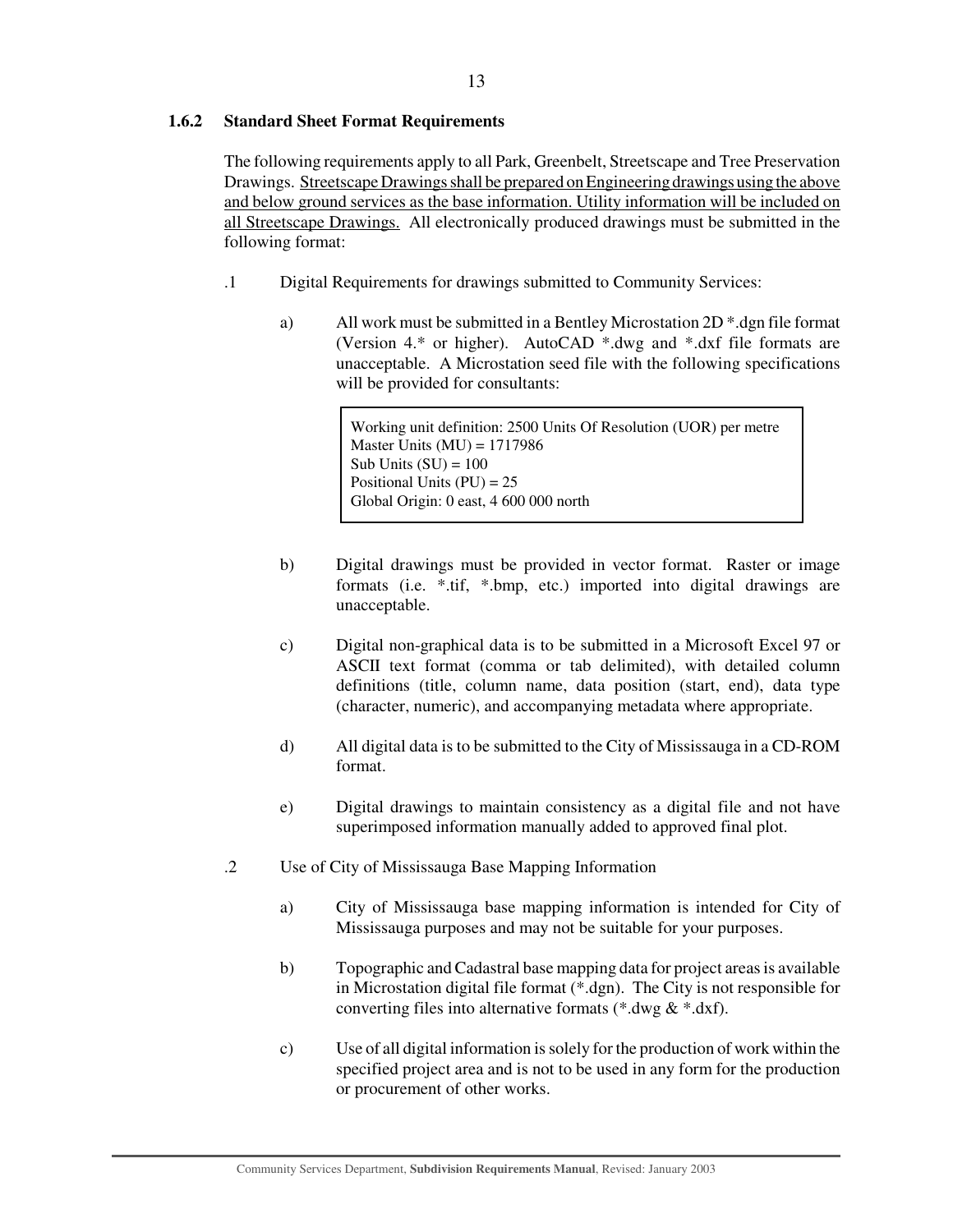## **1.6.2 Standard Sheet Format Requirements**

The following requirements apply to all Park, Greenbelt, Streetscape and Tree Preservation Drawings. Streetscape Drawings shall be prepared on Engineering drawings using the above and below ground services as the base information. Utility information will be included on all Streetscape Drawings. All electronically produced drawings must be submitted in the following format:

- .1 Digital Requirements for drawings submitted to Community Services:
	- a) All work must be submitted in a Bentley Microstation 2D \*.dgn file format (Version 4.\* or higher). AutoCAD \*.dwg and \*.dxf file formats are unacceptable. A Microstation seed file with the following specifications will be provided for consultants:

Working unit definition: 2500 Units Of Resolution (UOR) per metre Master Units  $(MU) = 1717986$ Sub Units  $(SU) = 100$ Positional Units  $(PU) = 25$ Global Origin: 0 east, 4 600 000 north

- b) Digital drawings must be provided in vector format. Raster or image formats (i.e. \*.tif, \*.bmp, etc.) imported into digital drawings are unacceptable.
- c) Digital non-graphical data is to be submitted in a Microsoft Excel 97 or ASCII text format (comma or tab delimited), with detailed column definitions (title, column name, data position (start, end), data type (character, numeric), and accompanying metadata where appropriate.
- d) All digital data is to be submitted to the City of Mississauga in a CD-ROM format.
- e) Digital drawings to maintain consistency as a digital file and not have superimposed information manually added to approved final plot.
- .2 Use of City of Mississauga Base Mapping Information
	- a) City of Mississauga base mapping information is intended for City of Mississauga purposes and may not be suitable for your purposes.
	- b) Topographic and Cadastral base mapping data for project areas is available in Microstation digital file format (\*.dgn). The City is not responsible for converting files into alternative formats (\*.dwg & \*.dxf).
	- c) Use of all digital information is solely for the production of work within the specified project area and is not to be used in any form for the production or procurement of other works.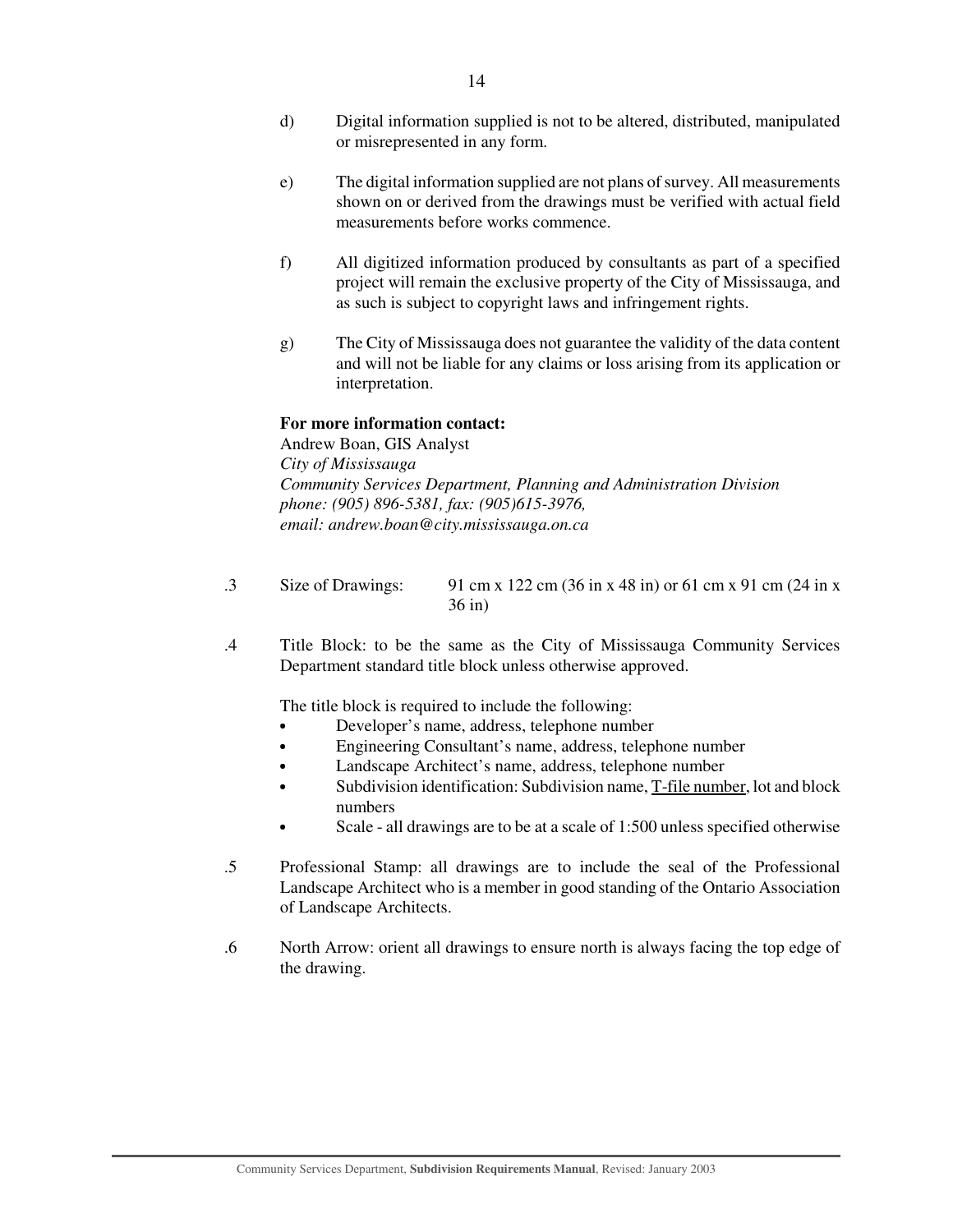- d) Digital information supplied is not to be altered, distributed, manipulated or misrepresented in any form.
- e) The digital information supplied are not plans of survey. All measurements shown on or derived from the drawings must be verified with actual field measurements before works commence.
- f) All digitized information produced by consultants as part of a specified project will remain the exclusive property of the City of Mississauga, and as such is subject to copyright laws and infringement rights.
- g) The City of Mississauga does not guarantee the validity of the data content and will not be liable for any claims or loss arising from its application or interpretation.

#### **For more information contact:**

Andrew Boan, GIS Analyst *City of Mississauga Community Services Department, Planning and Administration Division phone: (905) 896-5381, fax: (905)615-3976, email: andrew.boan@city.mississauga.on.ca*

- .3 Size of Drawings: 91 cm x 122 cm (36 in x 48 in) or 61 cm x 91 cm (24 in x 36 in)
- .4 Title Block: to be the same as the City of Mississauga Community Services Department standard title block unless otherwise approved.

The title block is required to include the following:

- Developer's name, address, telephone number
- Engineering Consultant's name, address, telephone number
- Landscape Architect's name, address, telephone number
- Subdivision identification: Subdivision name, T-file number, lot and block numbers
- Scale - all drawings are to be at a scale of 1:500 unless specified otherwise
- .5 Professional Stamp: all drawings are to include the seal of the Professional Landscape Architect who is a member in good standing of the Ontario Association of Landscape Architects.
- .6 North Arrow: orient all drawings to ensure north is always facing the top edge of the drawing.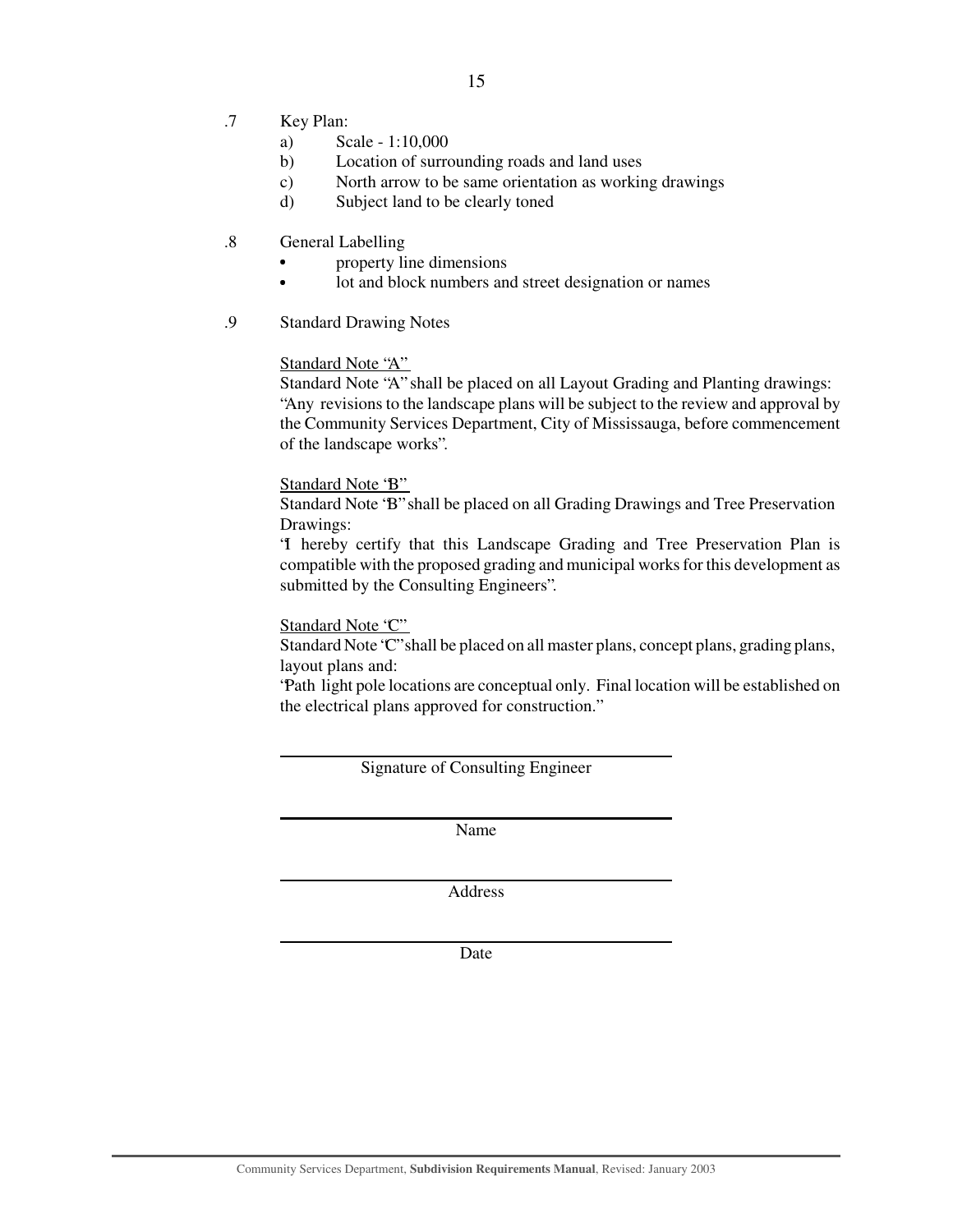- .7 Key Plan:
	- a) Scale 1:10,000
	- b) Location of surrounding roads and land uses
	- c) North arrow to be same orientation as working drawings
	- d) Subject land to be clearly toned
- .8 General Labelling
	- property line dimensions
	- $\bullet$ lot and block numbers and street designation or names
- .9 Standard Drawing Notes

#### Standard Note "A"

Standard Note "A" shall be placed on all Layout Grading and Planting drawings: "Any revisions to the landscape plans will be subject to the review and approval by the Community Services Department, City of Mississauga, before commencement of the landscape works".

#### Standard Note 'B"

Standard Note "B" shall be placed on all Grading Drawings and Tree Preservation Drawings:

"I hereby certify that this Landscape Grading and Tree Preservation Plan is compatible with the proposed grading and municipal works for this development as submitted by the Consulting Engineers".

#### Standard Note "C"

Standard Note "C" shall be placed on all master plans, concept plans, grading plans, layout plans and:

"Path light pole locations are conceptual only. Final location will be established on the electrical plans approved for construction."

Signature of Consulting Engineer

Name

Address

Date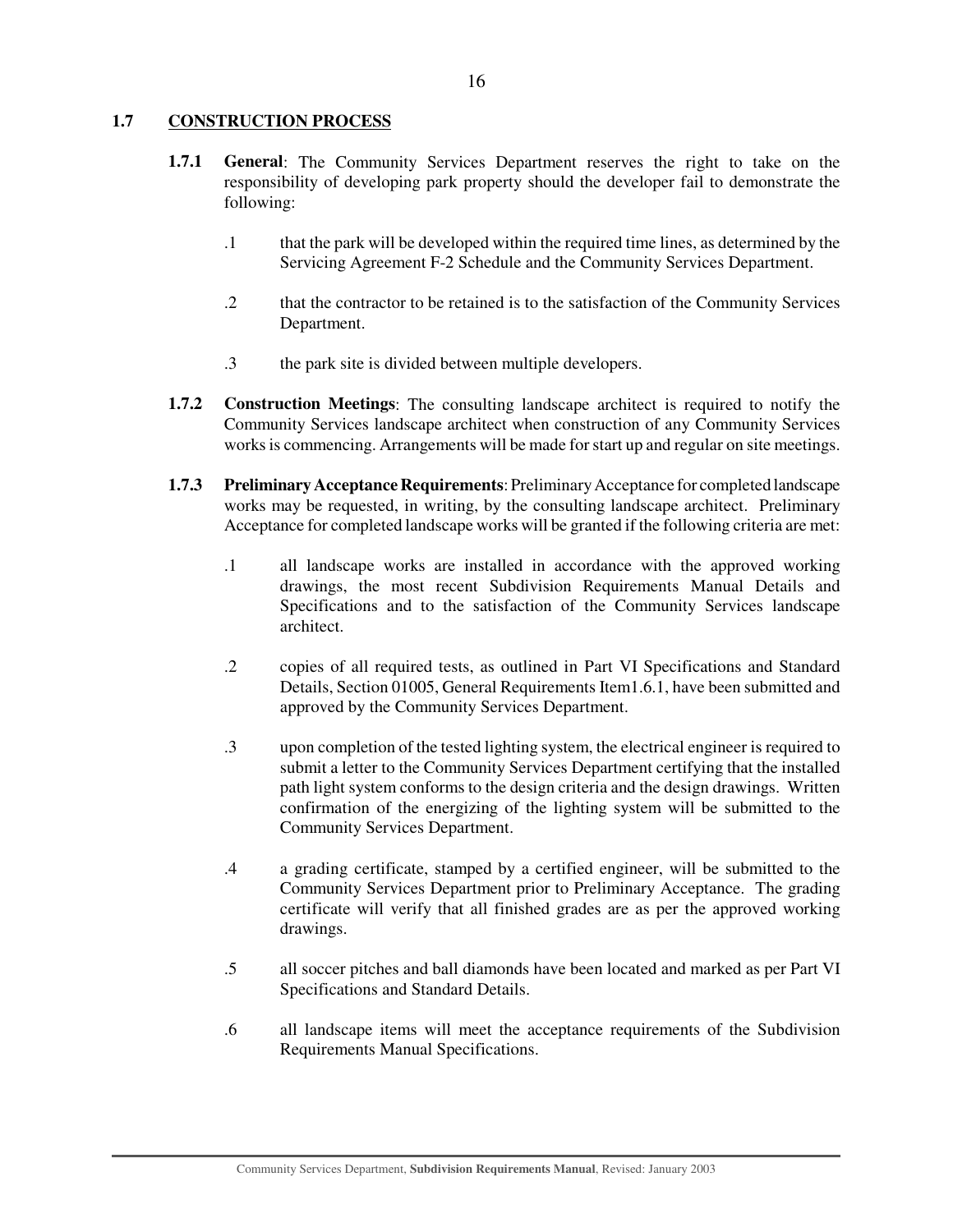## **1.7 CONSTRUCTION PROCESS**

- **1.7.1 General**: The Community Services Department reserves the right to take on the responsibility of developing park property should the developer fail to demonstrate the following:
	- .1 that the park will be developed within the required time lines, as determined by the Servicing Agreement F-2 Schedule and the Community Services Department.
	- .2 that the contractor to be retained is to the satisfaction of the Community Services Department.
	- .3 the park site is divided between multiple developers.
- **1.7.2 Construction Meetings**: The consulting landscape architect is required to notify the Community Services landscape architect when construction of any Community Services works is commencing. Arrangements will be made for start up and regular on site meetings.
- **1.7.3 Preliminary Acceptance Requirements**: Preliminary Acceptance for completed landscape works may be requested, in writing, by the consulting landscape architect. Preliminary Acceptance for completed landscape works will be granted if the following criteria are met:
	- .1 all landscape works are installed in accordance with the approved working drawings, the most recent Subdivision Requirements Manual Details and Specifications and to the satisfaction of the Community Services landscape architect.
	- .2 copies of all required tests, as outlined in Part VI Specifications and Standard Details, Section 01005, General Requirements Item1.6.1, have been submitted and approved by the Community Services Department.
	- .3 upon completion of the tested lighting system, the electrical engineer is required to submit a letter to the Community Services Department certifying that the installed path light system conforms to the design criteria and the design drawings. Written confirmation of the energizing of the lighting system will be submitted to the Community Services Department.
	- .4 a grading certificate, stamped by a certified engineer, will be submitted to the Community Services Department prior to Preliminary Acceptance. The grading certificate will verify that all finished grades are as per the approved working drawings.
	- .5 all soccer pitches and ball diamonds have been located and marked as per Part VI Specifications and Standard Details.
	- .6 all landscape items will meet the acceptance requirements of the Subdivision Requirements Manual Specifications.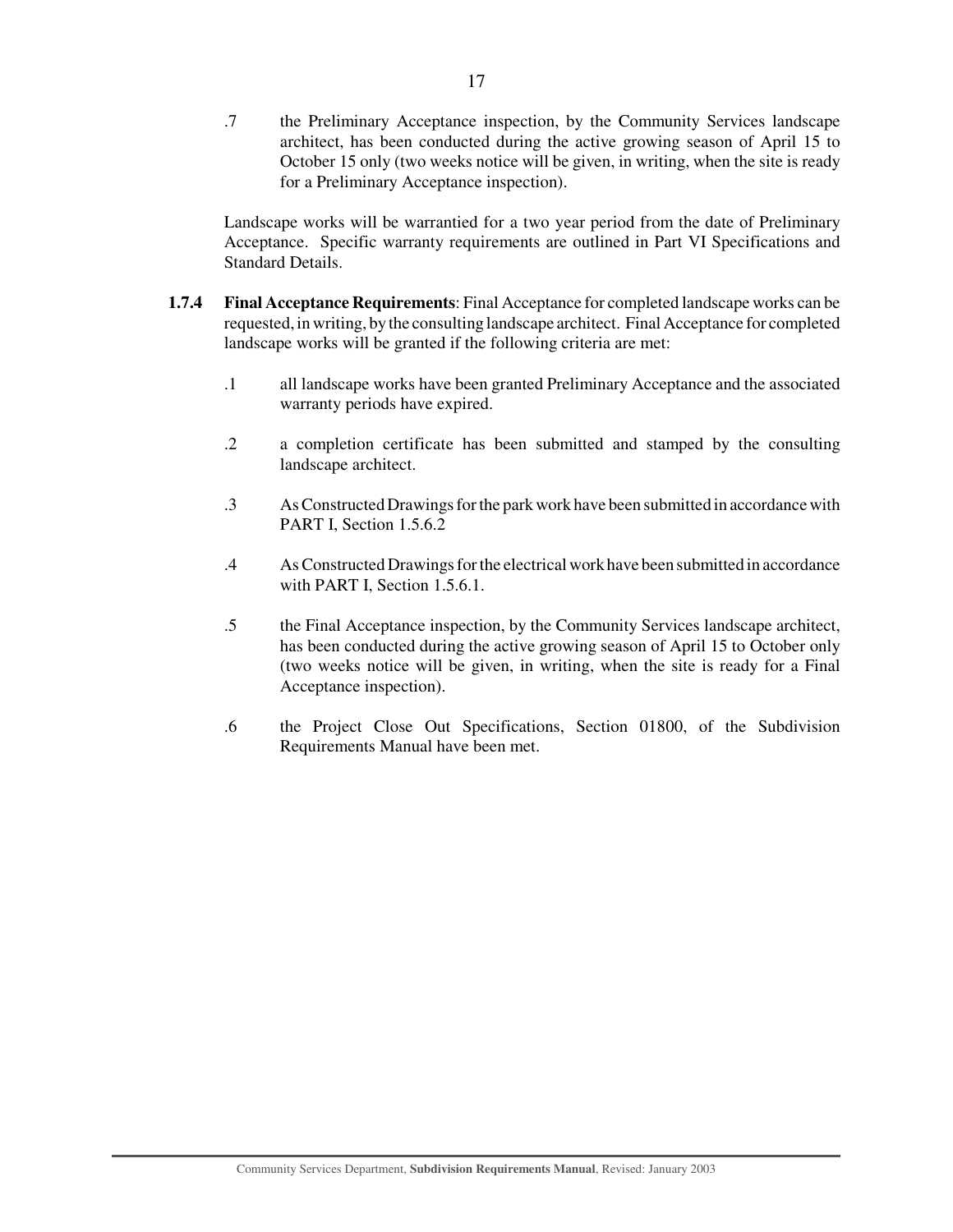.7 the Preliminary Acceptance inspection, by the Community Services landscape architect, has been conducted during the active growing season of April 15 to October 15 only (two weeks notice will be given, in writing, when the site is ready for a Preliminary Acceptance inspection).

Landscape works will be warrantied for a two year period from the date of Preliminary Acceptance. Specific warranty requirements are outlined in Part VI Specifications and Standard Details.

- **1.7.4 Final Acceptance Requirements**: Final Acceptance for completed landscape works can be requested, in writing, by the consulting landscape architect. Final Acceptance for completed landscape works will be granted if the following criteria are met:
	- .1 all landscape works have been granted Preliminary Acceptance and the associated warranty periods have expired.
	- .2 a completion certificate has been submitted and stamped by the consulting landscape architect.
	- .3 AsConstructed Drawings for the park work have been submitted in accordance with PART I, Section 1.5.6.2
	- .4 AsConstructed Drawings for the electrical work have been submitted in accordance with PART I, Section 1.5.6.1.
	- .5 the Final Acceptance inspection, by the Community Services landscape architect, has been conducted during the active growing season of April 15 to October only (two weeks notice will be given, in writing, when the site is ready for a Final Acceptance inspection).
	- .6 the Project Close Out Specifications, Section 01800, of the Subdivision Requirements Manual have been met.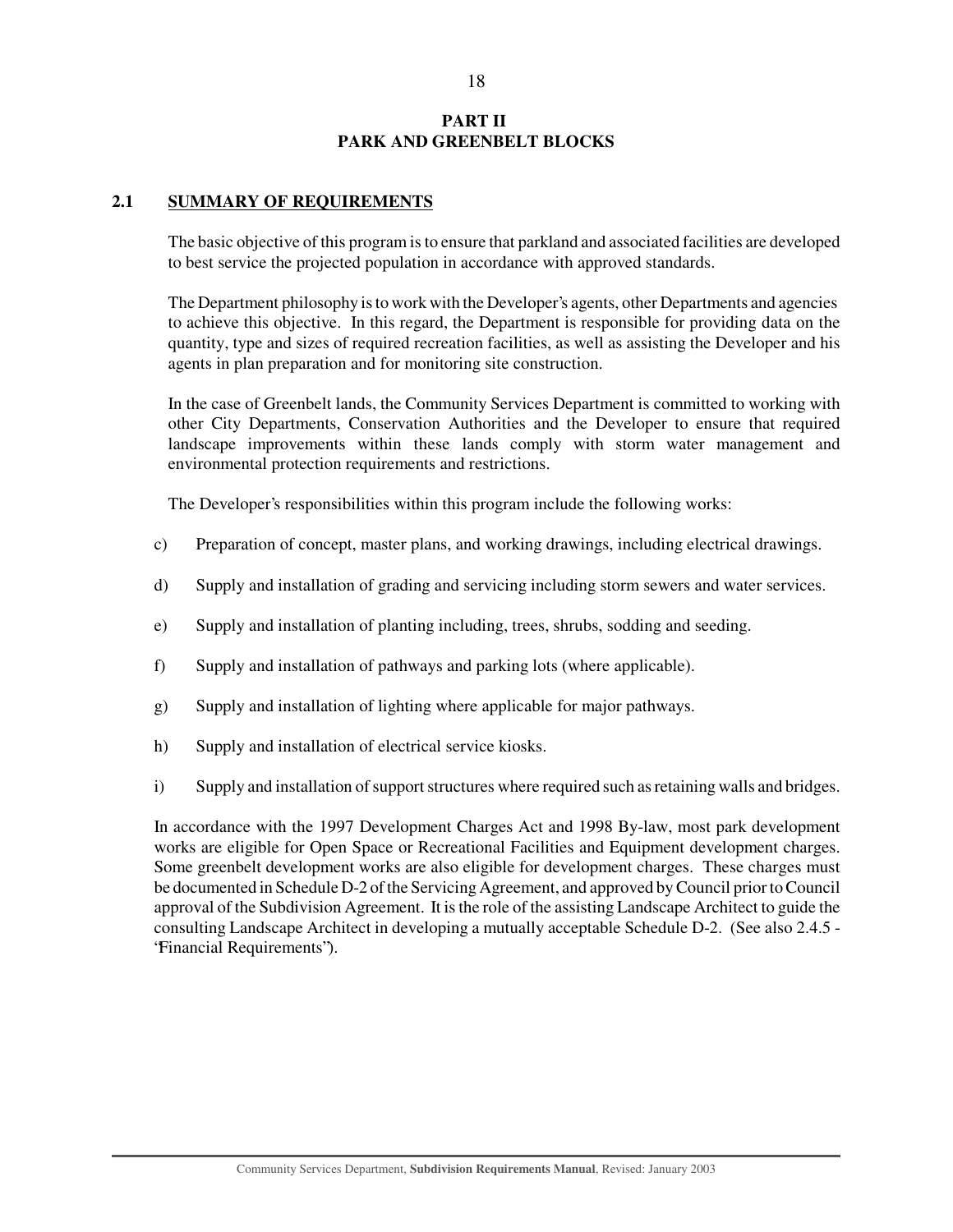## **PART II PARK AND GREENBELT BLOCKS**

## **2.1 SUMMARY OF REQUIREMENTS**

The basic objective of this program is to ensure that parkland and associated facilities are developed to best service the projected population in accordance with approved standards.

The Department philosophy is to work with the Developer's agents, other Departments and agencies to achieve this objective. In this regard, the Department is responsible for providing data on the quantity, type and sizes of required recreation facilities, as well as assisting the Developer and his agents in plan preparation and for monitoring site construction.

In the case of Greenbelt lands, the Community Services Department is committed to working with other City Departments, Conservation Authorities and the Developer to ensure that required landscape improvements within these lands comply with storm water management and environmental protection requirements and restrictions.

The Developer's responsibilities within this program include the following works:

- c) Preparation of concept, master plans, and working drawings, including electrical drawings.
- d) Supply and installation of grading and servicing including storm sewers and water services.
- e) Supply and installation of planting including, trees, shrubs, sodding and seeding.
- f) Supply and installation of pathways and parking lots (where applicable).
- g) Supply and installation of lighting where applicable for major pathways.
- h) Supply and installation of electrical service kiosks.
- i) Supply and installation of support structures where required such as retaining walls and bridges.

In accordance with the 1997 Development Charges Act and 1998 By-law, most park development works are eligible for Open Space or Recreational Facilities and Equipment development charges. Some greenbelt development works are also eligible for development charges. These charges must be documented in Schedule D-2 of the Servicing Agreement, and approved by Council prior to Council approval of the Subdivision Agreement. It is the role of the assisting Landscape Architect to guide the consulting Landscape Architect in developing a mutually acceptable Schedule D-2. (See also 2.4.5 - "Financial Requirements").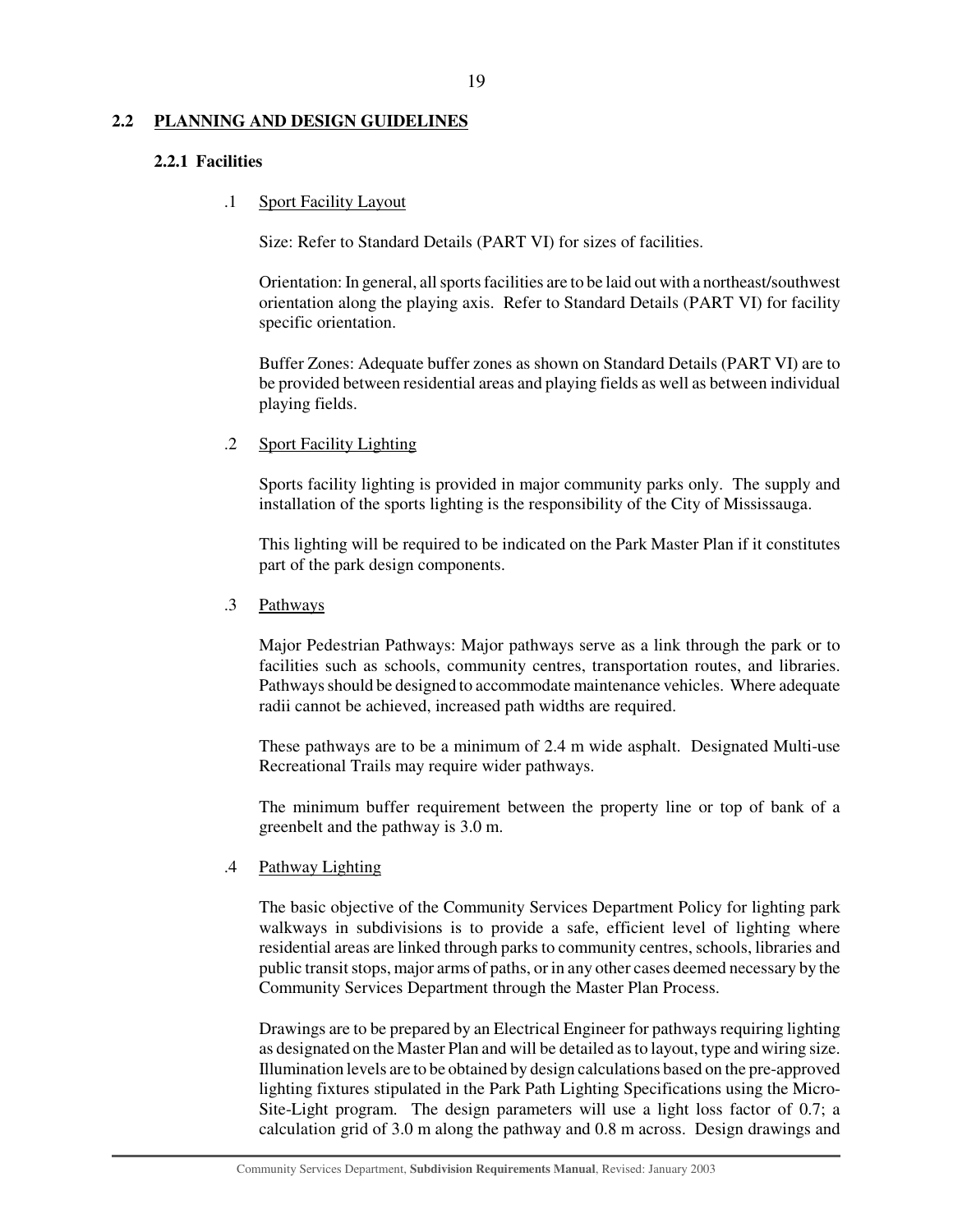#### **2.2 PLANNING AND DESIGN GUIDELINES**

#### **2.2.1 Facilities**

#### .1 Sport Facility Layout

Size: Refer to Standard Details (PART VI) for sizes of facilities.

Orientation: In general, all sports facilities are to be laid out with a northeast/southwest orientation along the playing axis. Refer to Standard Details (PART VI) for facility specific orientation.

Buffer Zones: Adequate buffer zones as shown on Standard Details (PART VI) are to be provided between residential areas and playing fields as well as between individual playing fields.

#### .2 Sport Facility Lighting

Sports facility lighting is provided in major community parks only. The supply and installation of the sports lighting is the responsibility of the City of Mississauga.

This lighting will be required to be indicated on the Park Master Plan if it constitutes part of the park design components.

#### .3 Pathways

Major Pedestrian Pathways: Major pathways serve as a link through the park or to facilities such as schools, community centres, transportation routes, and libraries. Pathways should be designed to accommodate maintenance vehicles. Where adequate radii cannot be achieved, increased path widths are required.

These pathways are to be a minimum of 2.4 m wide asphalt. Designated Multi-use Recreational Trails may require wider pathways.

The minimum buffer requirement between the property line or top of bank of a greenbelt and the pathway is 3.0 m.

## .4 Pathway Lighting

The basic objective of the Community Services Department Policy for lighting park walkways in subdivisions is to provide a safe, efficient level of lighting where residential areas are linked through parks to community centres, schools, libraries and public transit stops, major arms of paths, or in any other cases deemed necessary by the Community Services Department through the Master Plan Process.

Drawings are to be prepared by an Electrical Engineer for pathways requiring lighting as designated on the Master Plan and will be detailed as to layout, type and wiring size. Illumination levels are to be obtained by design calculations based on the pre-approved lighting fixtures stipulated in the Park Path Lighting Specifications using the Micro-Site-Light program. The design parameters will use a light loss factor of 0.7; a calculation grid of 3.0 m along the pathway and 0.8 m across. Design drawings and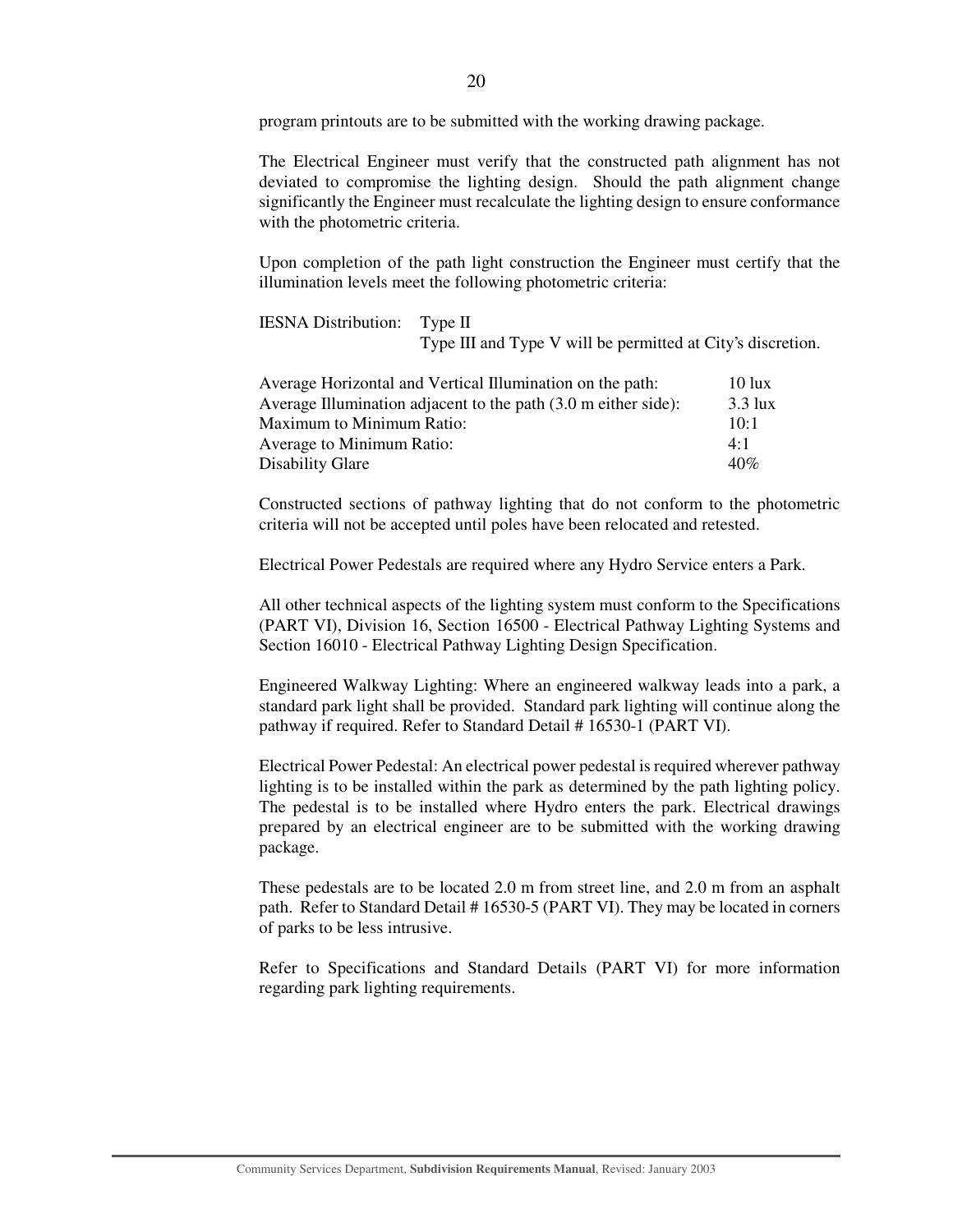program printouts are to be submitted with the working drawing package.

The Electrical Engineer must verify that the constructed path alignment has not deviated to compromise the lighting design. Should the path alignment change significantly the Engineer must recalculate the lighting design to ensure conformance with the photometric criteria.

Upon completion of the path light construction the Engineer must certify that the illumination levels meet the following photometric criteria:

IESNA Distribution: Type II

Type III and Type V will be permitted at City's discretion.

| Average Horizontal and Vertical Illumination on the path:      | $10 \text{ lux}$  |
|----------------------------------------------------------------|-------------------|
| Average Illumination adjacent to the path (3.0 m either side): | $3.3 \text{ lux}$ |
| <b>Maximum to Minimum Ratio:</b>                               | $10-1$            |
| Average to Minimum Ratio:                                      | $4 \cdot 1$       |
| Disability Glare                                               | 40%               |

Constructed sections of pathway lighting that do not conform to the photometric criteria will not be accepted until poles have been relocated and retested.

Electrical Power Pedestals are required where any Hydro Service enters a Park.

All other technical aspects of the lighting system must conform to the Specifications (PART VI), Division 16, Section 16500 - Electrical Pathway Lighting Systems and Section 16010 - Electrical Pathway Lighting Design Specification.

Engineered Walkway Lighting: Where an engineered walkway leads into a park, a standard park light shall be provided. Standard park lighting will continue along the pathway if required. Refer to Standard Detail # 16530-1 (PART VI).

Electrical Power Pedestal: An electrical power pedestal is required wherever pathway lighting is to be installed within the park as determined by the path lighting policy. The pedestal is to be installed where Hydro enters the park. Electrical drawings prepared by an electrical engineer are to be submitted with the working drawing package.

These pedestals are to be located 2.0 m from street line, and 2.0 m from an asphalt path. Refer to Standard Detail # 16530-5 (PART VI). They may be located in corners of parks to be less intrusive.

Refer to Specifications and Standard Details (PART VI) for more information regarding park lighting requirements.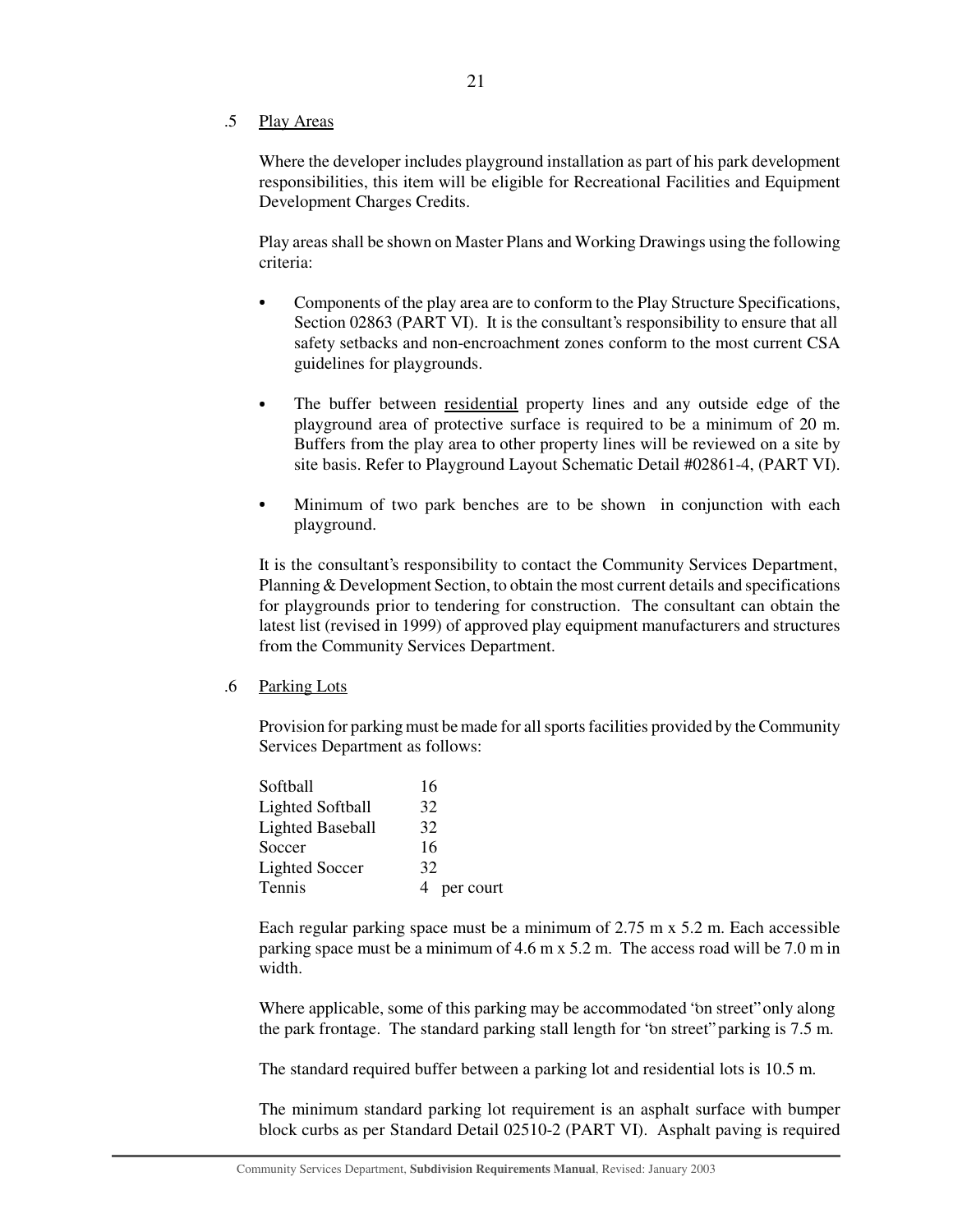#### .5 Play Areas

Where the developer includes playground installation as part of his park development responsibilities, this item will be eligible for Recreational Facilities and Equipment Development Charges Credits.

Play areas shall be shown on Master Plans and Working Drawings using the following criteria:

- Components of the play area are to conform to the Play Structure Specifications, Section 02863 (PART VI). It is the consultant's responsibility to ensure that all safety setbacks and non-encroachment zones conform to the most current CSA guidelines for playgrounds.
- The buffer between residential property lines and any outside edge of the playground area of protective surface is required to be a minimum of 20 m. Buffers from the play area to other property lines will be reviewed on a site by site basis. Refer to Playground Layout Schematic Detail #02861-4, (PART VI).
- Minimum of two park benches are to be shown in conjunction with each playground.

It is the consultant's responsibility to contact the Community Services Department, Planning & Development Section, to obtain the most current details and specifications for playgrounds prior to tendering for construction. The consultant can obtain the latest list (revised in 1999) of approved play equipment manufacturers and structures from the Community Services Department.

#### .6 Parking Lots

Provision for parking must be made for all sports facilities provided by the Community Services Department as follows:

| Softball                | 16        |
|-------------------------|-----------|
| <b>Lighted Softball</b> | 32        |
| <b>Lighted Baseball</b> | 32        |
| Soccer                  | 16        |
| <b>Lighted Soccer</b>   | 32        |
| Tennis                  | per court |

Each regular parking space must be a minimum of 2.75 m x 5.2 m. Each accessible parking space must be a minimum of 4.6 m x 5.2 m. The access road will be 7.0 m in width.

Where applicable, some of this parking may be accommodated "on street" only along the park frontage. The standard parking stall length for "on street" parking is 7.5 m.

The standard required buffer between a parking lot and residential lots is 10.5 m.

The minimum standard parking lot requirement is an asphalt surface with bumper block curbs as per Standard Detail 02510-2 (PART VI). Asphalt paving is required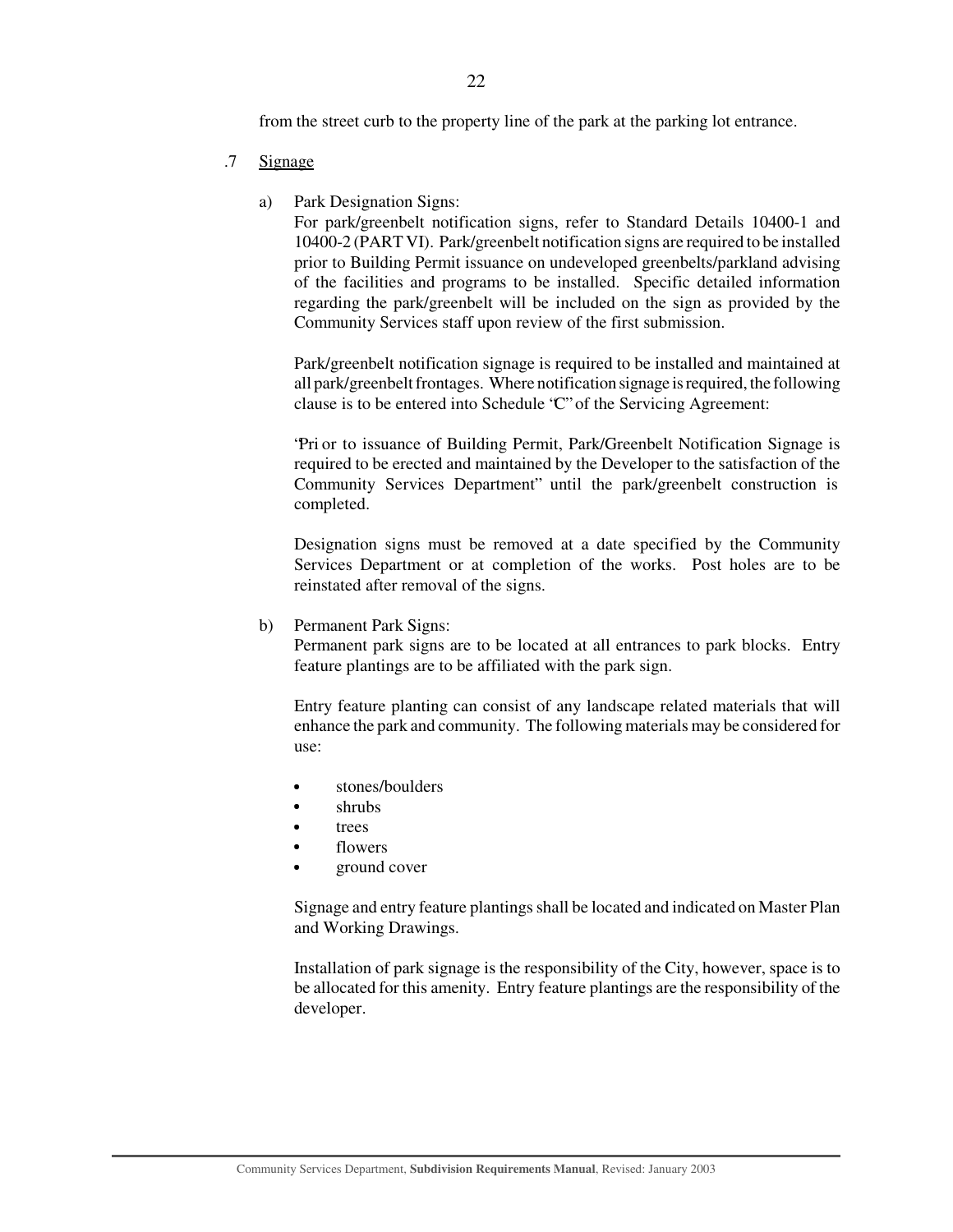from the street curb to the property line of the park at the parking lot entrance.

- .7 Signage
	- a) Park Designation Signs:

For park/greenbelt notification signs, refer to Standard Details 10400-1 and 10400-2 (PART VI). Park/greenbelt notification signs are required to be installed prior to Building Permit issuance on undeveloped greenbelts/parkland advising of the facilities and programs to be installed. Specific detailed information regarding the park/greenbelt will be included on the sign as provided by the Community Services staff upon review of the first submission.

Park/greenbelt notification signage is required to be installed and maintained at all park/greenbelt frontages. Where notification signage is required, the following clause is to be entered into Schedule "C" of the Servicing Agreement:

"Pri or to issuance of Building Permit, Park/Greenbelt Notification Signage is required to be erected and maintained by the Developer to the satisfaction of the Community Services Department" until the park/greenbelt construction is completed.

Designation signs must be removed at a date specified by the Community Services Department or at completion of the works. Post holes are to be reinstated after removal of the signs.

b) Permanent Park Signs:

Permanent park signs are to be located at all entrances to park blocks. Entry feature plantings are to be affiliated with the park sign.

Entry feature planting can consist of any landscape related materials that will enhance the park and community. The following materials may be considered for use:

- stones/boulders
- shrubs
- trees
- flowers
- ground cover

Signage and entry feature plantings shall be located and indicated on Master Plan and Working Drawings.

Installation of park signage is the responsibility of the City, however, space is to be allocated for this amenity. Entry feature plantings are the responsibility of the developer.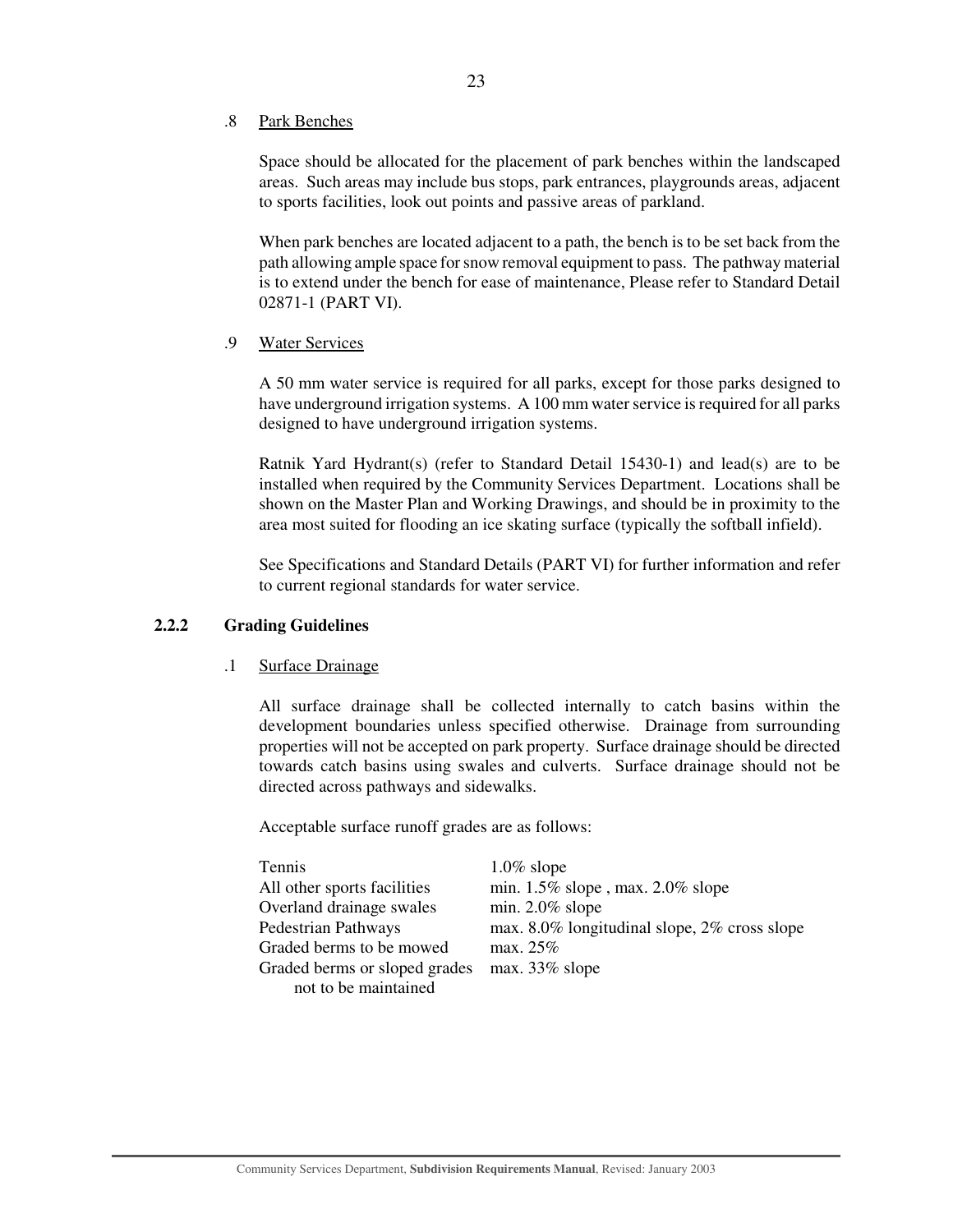#### .8 Park Benches

Space should be allocated for the placement of park benches within the landscaped areas. Such areas may include bus stops, park entrances, playgrounds areas, adjacent to sports facilities, look out points and passive areas of parkland.

When park benches are located adjacent to a path, the bench is to be set back from the path allowing ample space for snow removal equipment to pass. The pathway material is to extend under the bench for ease of maintenance, Please refer to Standard Detail 02871-1 (PART VI).

## .9 Water Services

A 50 mm water service is required for all parks, except for those parks designed to have underground irrigation systems. A 100 mm water service is required for all parks designed to have underground irrigation systems.

Ratnik Yard Hydrant(s) (refer to Standard Detail 15430-1) and lead(s) are to be installed when required by the Community Services Department. Locations shall be shown on the Master Plan and Working Drawings, and should be in proximity to the area most suited for flooding an ice skating surface (typically the softball infield).

See Specifications and Standard Details (PART VI) for further information and refer to current regional standards for water service.

#### **2.2.2 Grading Guidelines**

## .1 Surface Drainage

All surface drainage shall be collected internally to catch basins within the development boundaries unless specified otherwise. Drainage from surrounding properties will not be accepted on park property. Surface drainage should be directed towards catch basins using swales and culverts. Surface drainage should not be directed across pathways and sidewalks.

Acceptable surface runoff grades are as follows:

| $1.0\%$ slope                                |
|----------------------------------------------|
| min. $1.5\%$ slope, max. $2.0\%$ slope       |
| min. $2.0\%$ slope                           |
| max. 8.0% longitudinal slope, 2% cross slope |
| max. $25%$                                   |
| max. $33\%$ slope                            |
|                                              |
|                                              |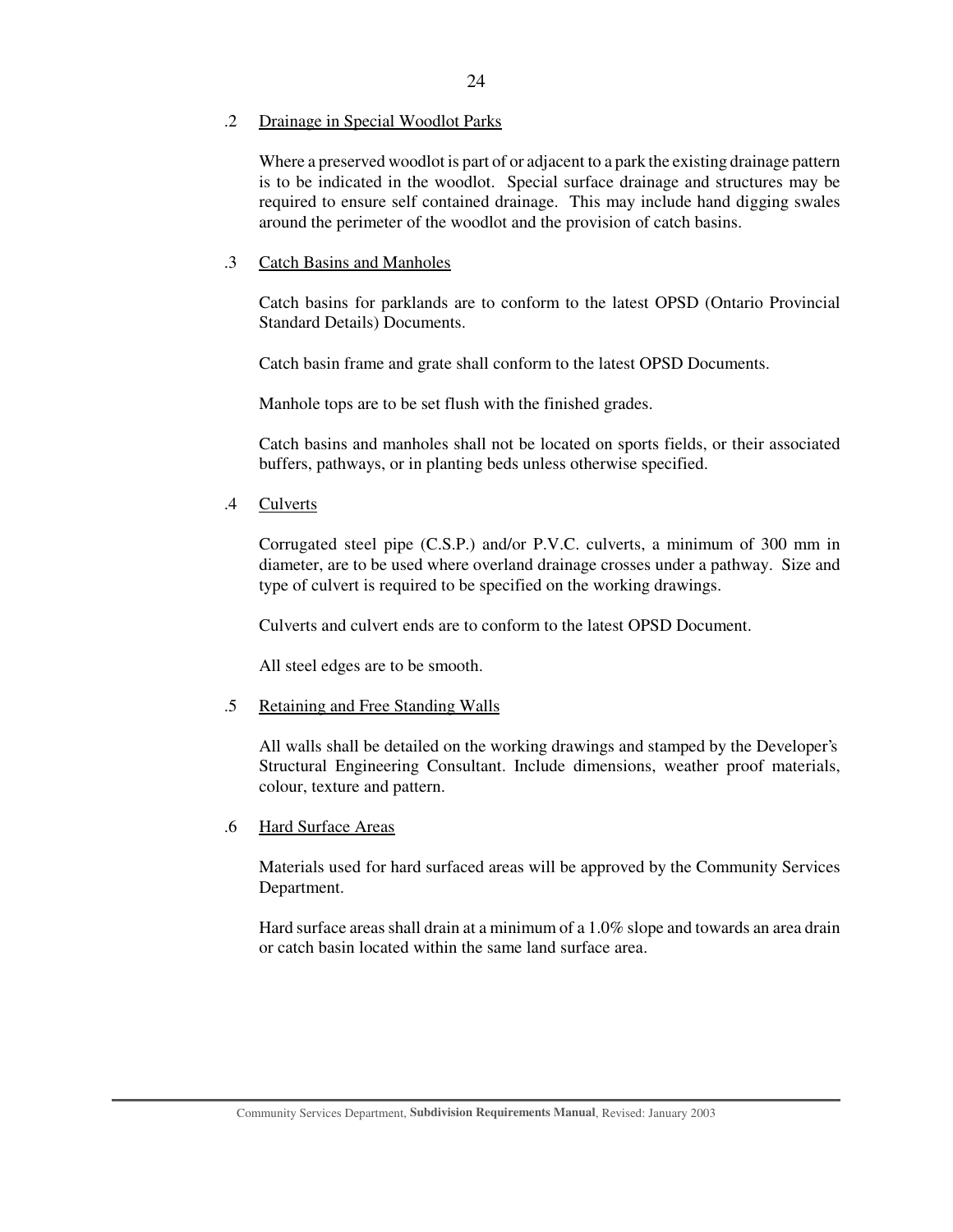#### .2 Drainage in Special Woodlot Parks

Where a preserved woodlot is part of or adjacent to a park the existing drainage pattern is to be indicated in the woodlot. Special surface drainage and structures may be required to ensure self contained drainage. This may include hand digging swales around the perimeter of the woodlot and the provision of catch basins.

## .3 Catch Basins and Manholes

Catch basins for parklands are to conform to the latest OPSD (Ontario Provincial Standard Details) Documents.

Catch basin frame and grate shall conform to the latest OPSD Documents.

Manhole tops are to be set flush with the finished grades.

Catch basins and manholes shall not be located on sports fields, or their associated buffers, pathways, or in planting beds unless otherwise specified.

.4 Culverts

Corrugated steel pipe (C.S.P.) and/or P.V.C. culverts, a minimum of 300 mm in diameter, are to be used where overland drainage crosses under a pathway. Size and type of culvert is required to be specified on the working drawings.

Culverts and culvert ends are to conform to the latest OPSD Document.

All steel edges are to be smooth.

#### .5 Retaining and Free Standing Walls

All walls shall be detailed on the working drawings and stamped by the Developer's Structural Engineering Consultant. Include dimensions, weather proof materials, colour, texture and pattern.

## .6 Hard Surface Areas

Materials used for hard surfaced areas will be approved by the Community Services Department.

Hard surface areas shall drain at a minimum of a 1.0% slope and towards an area drain or catch basin located within the same land surface area.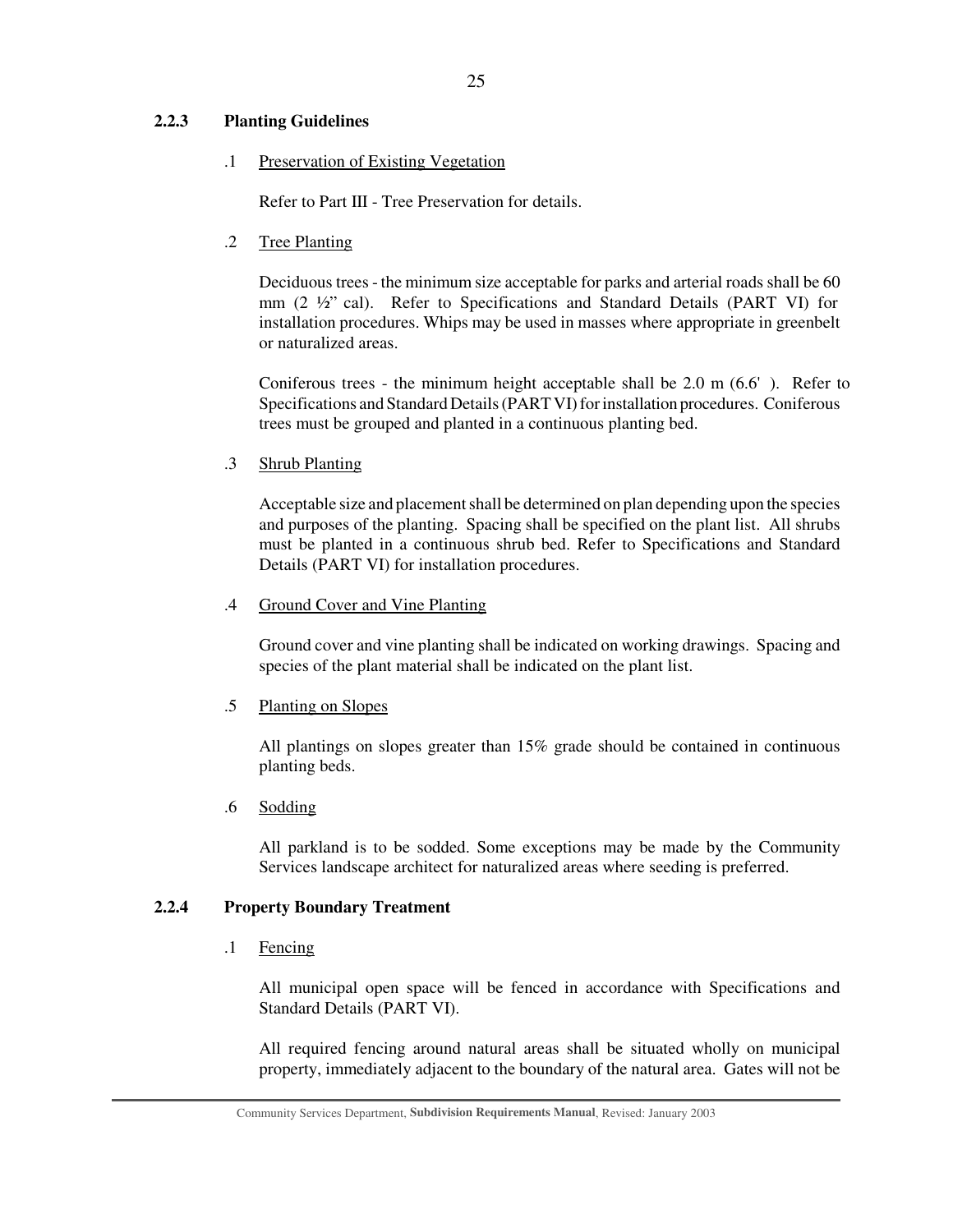## **2.2.3 Planting Guidelines**

#### .1 Preservation of Existing Vegetation

Refer to Part III - Tree Preservation for details.

.2 Tree Planting

Deciduous trees - the minimum size acceptable for parks and arterial roads shall be 60 mm (2 ½" cal). Refer to Specifications and Standard Details (PART VI) for installation procedures. Whips may be used in masses where appropriate in greenbelt or naturalized areas.

Coniferous trees - the minimum height acceptable shall be  $2.0 \text{ m} (6.6')$ . Refer to Specifications and Standard Details (PART VI) for installation procedures. Coniferous trees must be grouped and planted in a continuous planting bed.

.3 Shrub Planting

Acceptable size and placement shall be determined on plan depending upon the species and purposes of the planting. Spacing shall be specified on the plant list. All shrubs must be planted in a continuous shrub bed. Refer to Specifications and Standard Details (PART VI) for installation procedures.

#### .4 Ground Cover and Vine Planting

Ground cover and vine planting shall be indicated on working drawings. Spacing and species of the plant material shall be indicated on the plant list.

## .5 Planting on Slopes

All plantings on slopes greater than 15% grade should be contained in continuous planting beds.

.6 Sodding

All parkland is to be sodded. Some exceptions may be made by the Community Services landscape architect for naturalized areas where seeding is preferred.

## **2.2.4 Property Boundary Treatment**

#### .1 Fencing

All municipal open space will be fenced in accordance with Specifications and Standard Details (PART VI).

All required fencing around natural areas shall be situated wholly on municipal property, immediately adjacent to the boundary of the natural area. Gates will not be

Community Services Department, **Subdivision Requirements Manual**, Revised: January 2003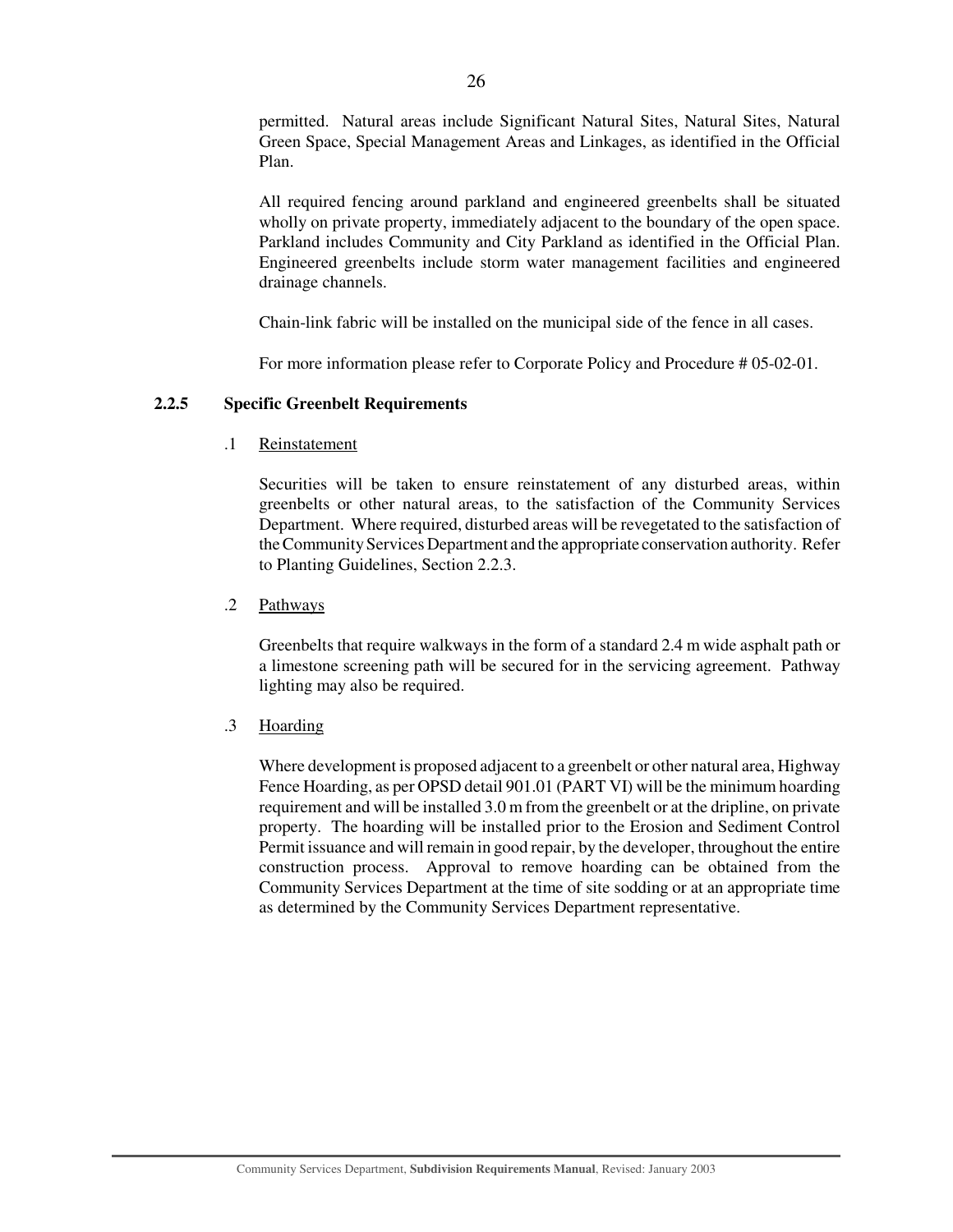permitted. Natural areas include Significant Natural Sites, Natural Sites, Natural Green Space, Special Management Areas and Linkages, as identified in the Official Plan.

All required fencing around parkland and engineered greenbelts shall be situated wholly on private property, immediately adjacent to the boundary of the open space. Parkland includes Community and City Parkland as identified in the Official Plan. Engineered greenbelts include storm water management facilities and engineered drainage channels.

Chain-link fabric will be installed on the municipal side of the fence in all cases.

For more information please refer to Corporate Policy and Procedure # 05-02-01.

## **2.2.5 Specific Greenbelt Requirements**

.1 Reinstatement

Securities will be taken to ensure reinstatement of any disturbed areas, within greenbelts or other natural areas, to the satisfaction of the Community Services Department. Where required, disturbed areas will be revegetated to the satisfaction of theCommunity Services Department and the appropriate conservation authority. Refer to Planting Guidelines, Section 2.2.3.

.2 Pathways

Greenbelts that require walkways in the form of a standard 2.4 m wide asphalt path or a limestone screening path will be secured for in the servicing agreement. Pathway lighting may also be required.

.3 Hoarding

Where development is proposed adjacent to a greenbelt or other natural area, Highway Fence Hoarding, as per OPSD detail 901.01 (PART VI) will be the minimum hoarding requirement and will be installed 3.0 m from the greenbelt or at the dripline, on private property. The hoarding will be installed prior to the Erosion and Sediment Control Permit issuance and will remain in good repair, by the developer, throughout the entire construction process. Approval to remove hoarding can be obtained from the Community Services Department at the time of site sodding or at an appropriate time as determined by the Community Services Department representative.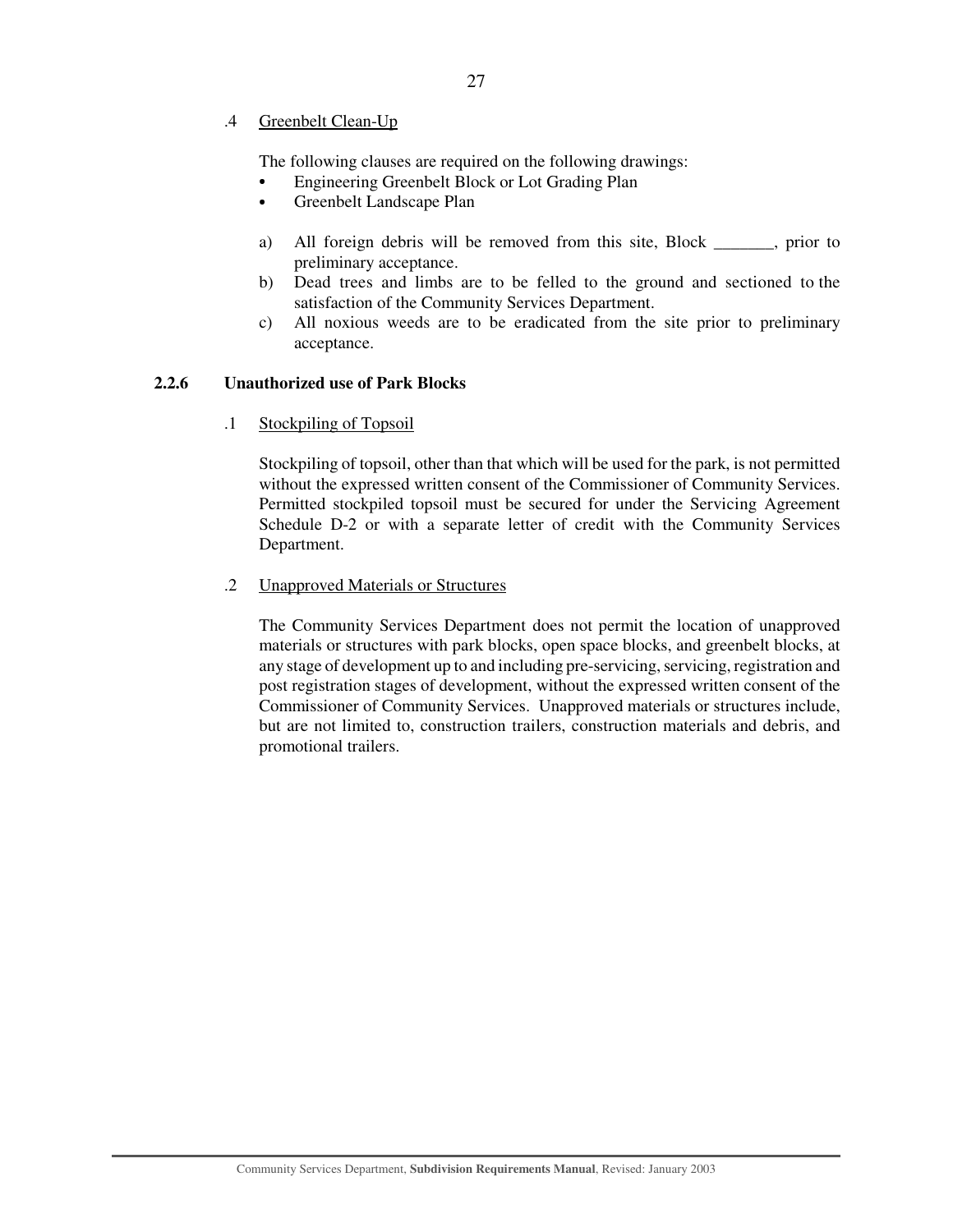.4 Greenbelt Clean-Up

The following clauses are required on the following drawings:

- Engineering Greenbelt Block or Lot Grading Plan
- Greenbelt Landscape Plan
- a) All foreign debris will be removed from this site, Block , prior to preliminary acceptance.
- b) Dead trees and limbs are to be felled to the ground and sectioned to the satisfaction of the Community Services Department.
- c) All noxious weeds are to be eradicated from the site prior to preliminary acceptance.

### **2.2.6 Unauthorized use of Park Blocks**

.1 Stockpiling of Topsoil

Stockpiling of topsoil, other than that which will be used for the park, is not permitted without the expressed written consent of the Commissioner of Community Services. Permitted stockpiled topsoil must be secured for under the Servicing Agreement Schedule D-2 or with a separate letter of credit with the Community Services Department.

#### .2 Unapproved Materials or Structures

The Community Services Department does not permit the location of unapproved materials or structures with park blocks, open space blocks, and greenbelt blocks, at any stage of development up to and including pre-servicing, servicing, registration and post registration stages of development, without the expressed written consent of the Commissioner of Community Services. Unapproved materials or structures include, but are not limited to, construction trailers, construction materials and debris, and promotional trailers.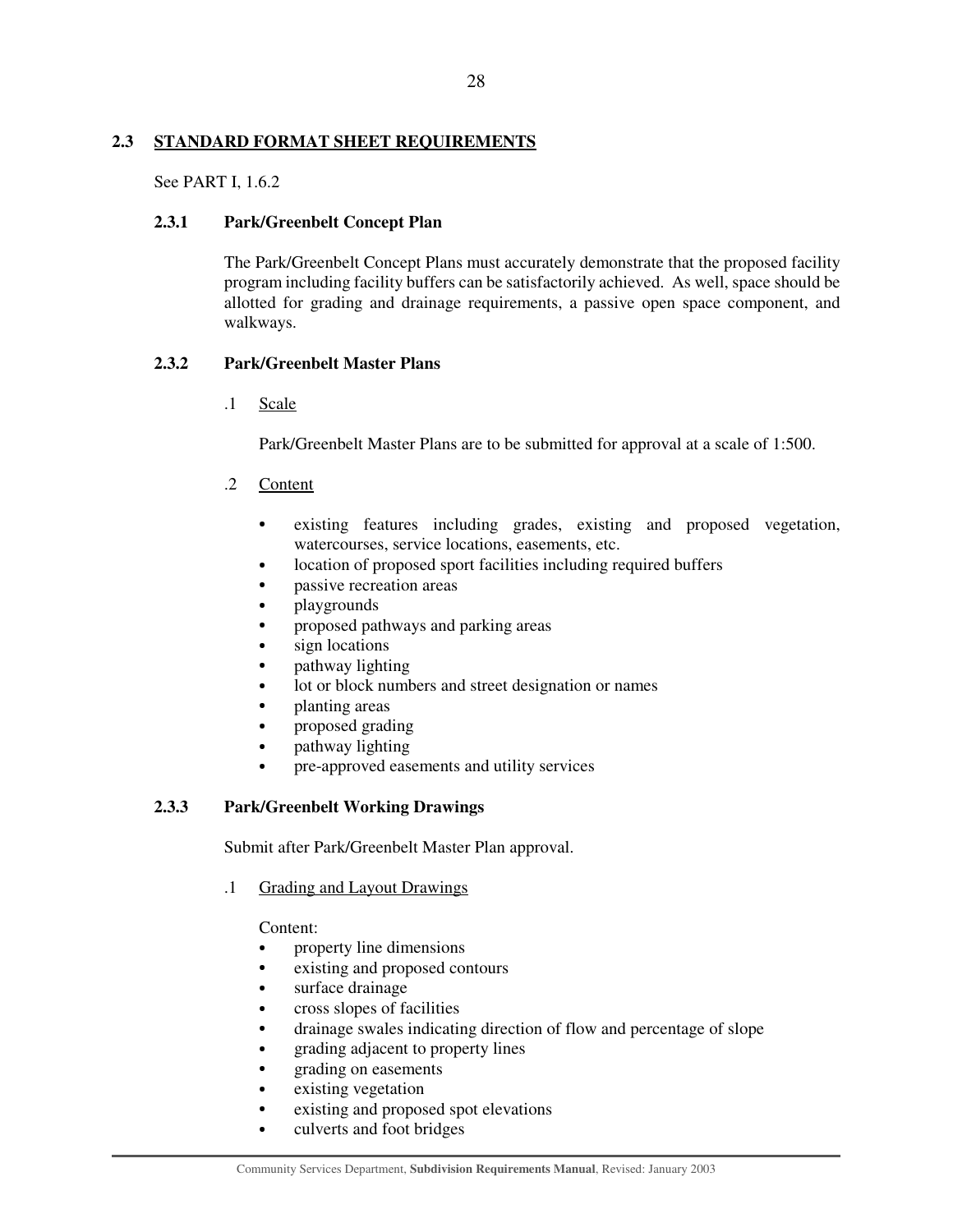## **2.3 STANDARD FORMAT SHEET REQUIREMENTS**

See PART I, 1.6.2

## **2.3.1 Park/Greenbelt Concept Plan**

The Park/Greenbelt Concept Plans must accurately demonstrate that the proposed facility program including facility buffers can be satisfactorily achieved. As well, space should be allotted for grading and drainage requirements, a passive open space component, and walkways.

## **2.3.2 Park/Greenbelt Master Plans**

.1 Scale

Park/Greenbelt Master Plans are to be submitted for approval at a scale of 1:500.

- .2 Content
	- existing features including grades, existing and proposed vegetation, watercourses, service locations, easements, etc.
	- location of proposed sport facilities including required buffers
	- passive recreation areas
	- playgrounds
	- proposed pathways and parking areas
	- sign locations
	- pathway lighting
	- lot or block numbers and street designation or names
	- planting areas
	- proposed grading
	- pathway lighting
	- pre-approved easements and utility services

## **2.3.3 Park/Greenbelt Working Drawings**

Submit after Park/Greenbelt Master Plan approval.

## .1 Grading and Layout Drawings

## Content:

- property line dimensions
- existing and proposed contours
- surface drainage
- cross slopes of facilities
- drainage swales indicating direction of flow and percentage of slope
- grading adjacent to property lines
- grading on easements
- existing vegetation
- existing and proposed spot elevations
- culverts and foot bridges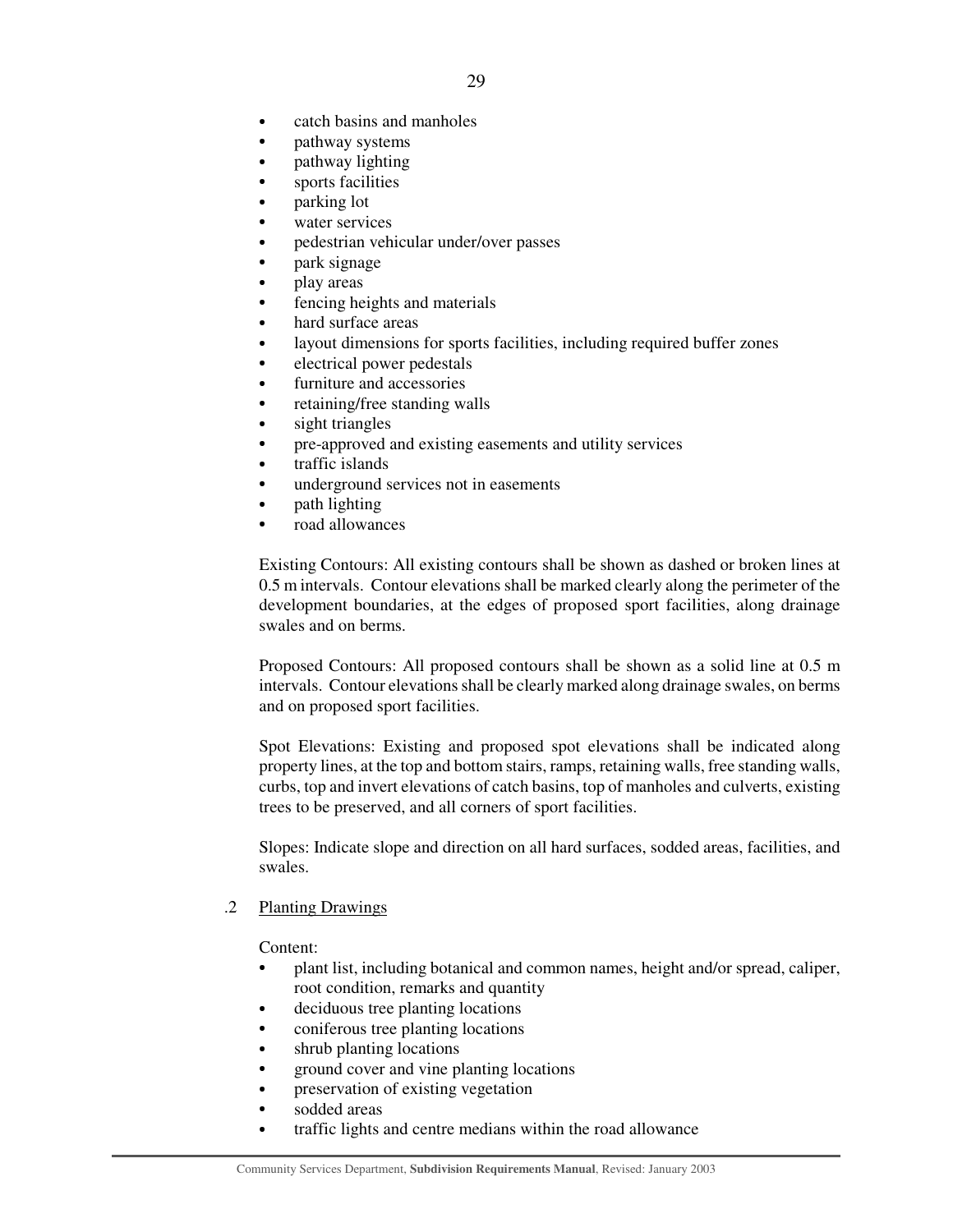- catch basins and manholes
- pathway systems
- pathway lighting
- sports facilities
- parking lot
- water services
- pedestrian vehicular under/over passes
- park signage
- play areas
- fencing heights and materials
- hard surface areas
- layout dimensions for sports facilities, including required buffer zones
- electrical power pedestals
- furniture and accessories
- retaining/free standing walls
- sight triangles
- pre-approved and existing easements and utility services
- traffic islands
- underground services not in easements
- path lighting
- road allowances

Existing Contours: All existing contours shall be shown as dashed or broken lines at 0.5 m intervals. Contour elevations shall be marked clearly along the perimeter of the development boundaries, at the edges of proposed sport facilities, along drainage swales and on berms.

Proposed Contours: All proposed contours shall be shown as a solid line at 0.5 m intervals. Contour elevations shall be clearly marked along drainage swales, on berms and on proposed sport facilities.

Spot Elevations: Existing and proposed spot elevations shall be indicated along property lines, at the top and bottom stairs, ramps, retaining walls, free standing walls, curbs, top and invert elevations of catch basins, top of manholes and culverts, existing trees to be preserved, and all corners of sport facilities.

Slopes: Indicate slope and direction on all hard surfaces, sodded areas, facilities, and swales.

#### .2 Planting Drawings

Content:

- plant list, including botanical and common names, height and/or spread, caliper, root condition, remarks and quantity
- deciduous tree planting locations
- coniferous tree planting locations
- shrub planting locations
- ground cover and vine planting locations
- $\bullet$ preservation of existing vegetation
- sodded areas
- traffic lights and centre medians within the road allowance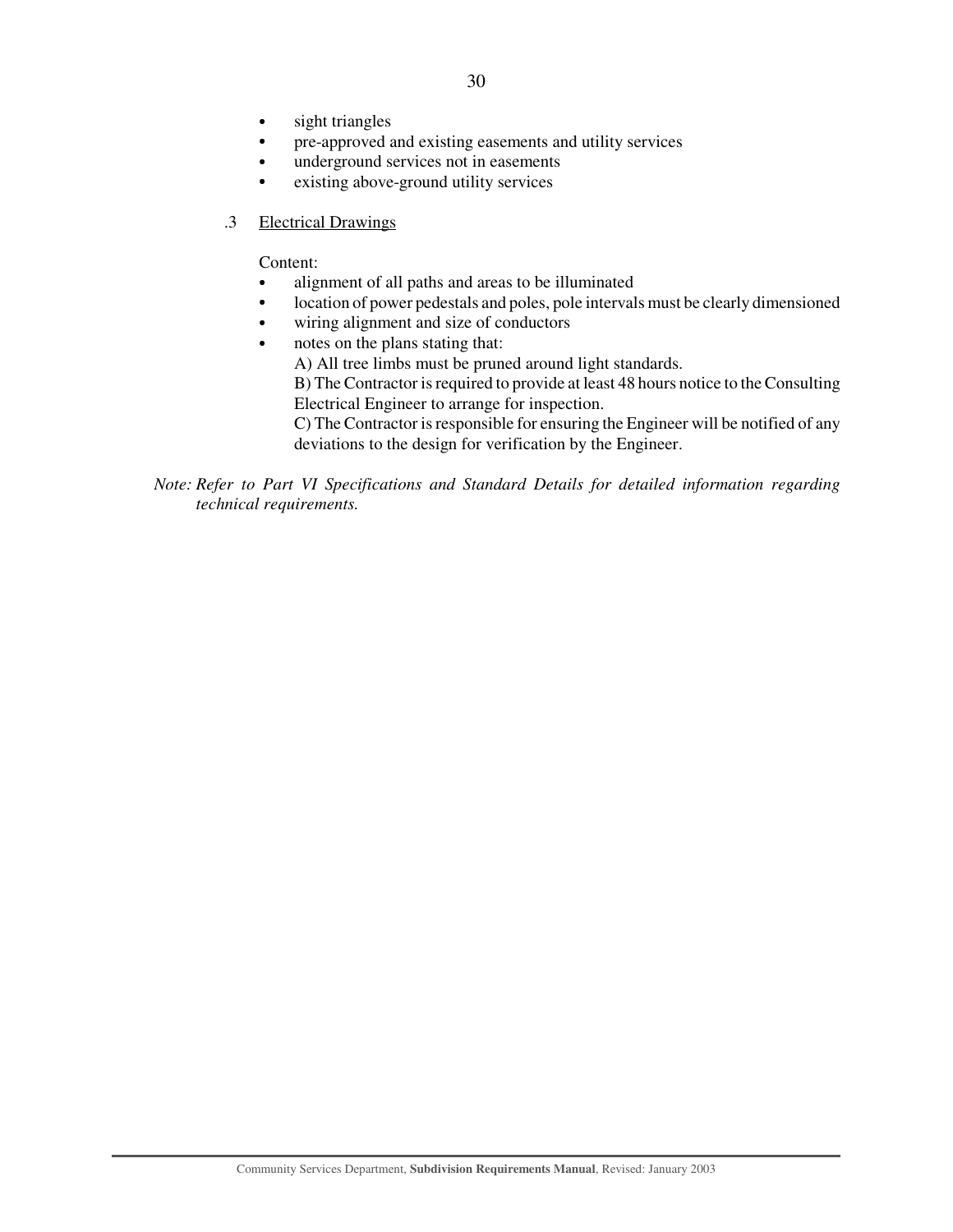- sight triangles
- pre-approved and existing easements and utility services
- underground services not in easements
- existing above-ground utility services
- .3 Electrical Drawings

Content:

- alignment of all paths and areas to be illuminated
- location of power pedestals and poles, pole intervals must be clearly dimensioned
- wiring alignment and size of conductors
- notes on the plans stating that:
	- A) All tree limbs must be pruned around light standards.

B) The Contractor is required to provide at least 48 hours notice to the Consulting Electrical Engineer to arrange for inspection.

C) The Contractor is responsible for ensuring the Engineer will be notified of any deviations to the design for verification by the Engineer.

*Note: Refer to Part VI Specifications and Standard Details for detailed information regarding technical requirements.*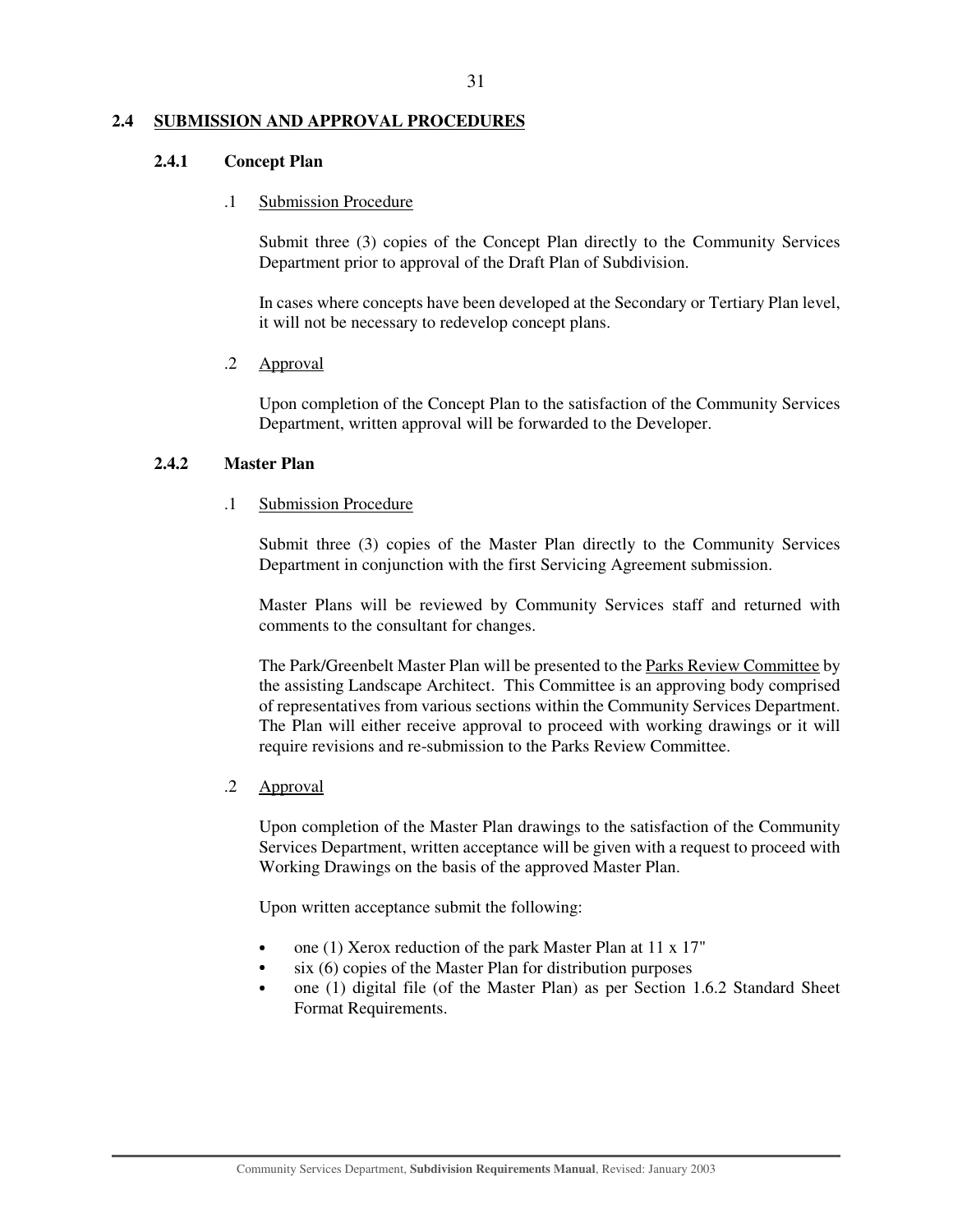#### **2.4 SUBMISSION AND APPROVAL PROCEDURES**

#### **2.4.1 Concept Plan**

#### .1 Submission Procedure

Submit three (3) copies of the Concept Plan directly to the Community Services Department prior to approval of the Draft Plan of Subdivision.

In cases where concepts have been developed at the Secondary or Tertiary Plan level, it will not be necessary to redevelop concept plans.

## .2 Approval

Upon completion of the Concept Plan to the satisfaction of the Community Services Department, written approval will be forwarded to the Developer.

## **2.4.2 Master Plan**

## .1 Submission Procedure

Submit three (3) copies of the Master Plan directly to the Community Services Department in conjunction with the first Servicing Agreement submission.

Master Plans will be reviewed by Community Services staff and returned with comments to the consultant for changes.

The Park/Greenbelt Master Plan will be presented to the Parks Review Committee by the assisting Landscape Architect. This Committee is an approving body comprised of representatives from various sections within the Community Services Department. The Plan will either receive approval to proceed with working drawings or it will require revisions and re-submission to the Parks Review Committee.

## .2 Approval

Upon completion of the Master Plan drawings to the satisfaction of the Community Services Department, written acceptance will be given with a request to proceed with Working Drawings on the basis of the approved Master Plan.

Upon written acceptance submit the following:

- one (1) Xerox reduction of the park Master Plan at 11 x 17"
- six (6) copies of the Master Plan for distribution purposes
- one (1) digital file (of the Master Plan) as per Section 1.6.2 Standard Sheet Format Requirements.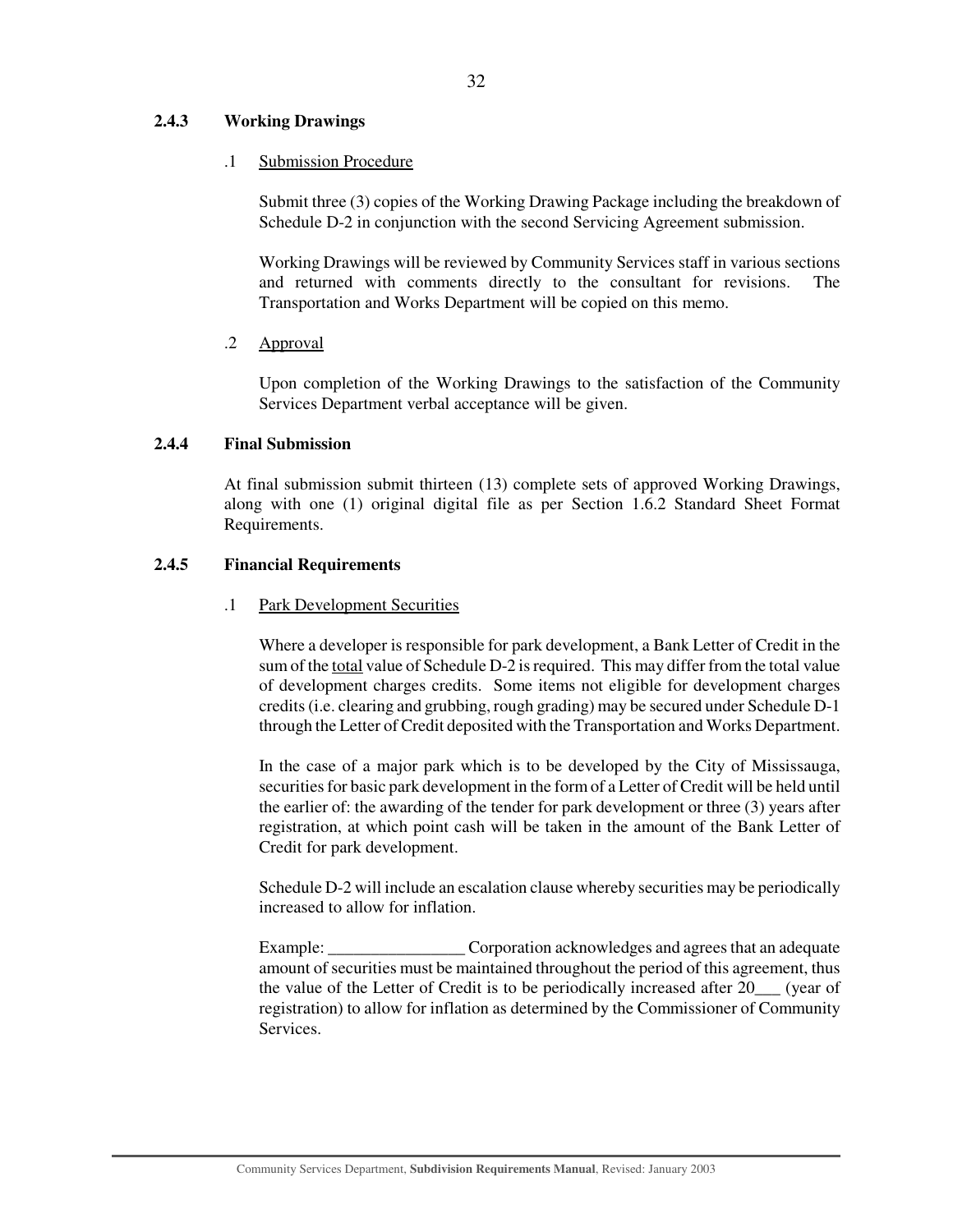## **2.4.3 Working Drawings**

## .1 Submission Procedure

Submit three (3) copies of the Working Drawing Package including the breakdown of Schedule D-2 in conjunction with the second Servicing Agreement submission.

Working Drawings will be reviewed by Community Services staff in various sections and returned with comments directly to the consultant for revisions. The Transportation and Works Department will be copied on this memo.

## .2 Approval

Upon completion of the Working Drawings to the satisfaction of the Community Services Department verbal acceptance will be given.

## **2.4.4 Final Submission**

At final submission submit thirteen (13) complete sets of approved Working Drawings, along with one (1) original digital file as per Section 1.6.2 Standard Sheet Format Requirements.

## **2.4.5 Financial Requirements**

## .1 Park Development Securities

Where a developer is responsible for park development, a Bank Letter of Credit in the sum of the total value of Schedule D-2 is required. This may differ from the total value of development charges credits. Some items not eligible for development charges credits(i.e. clearing and grubbing, rough grading) may be secured under Schedule D-1 through the Letter of Credit deposited with the Transportation and Works Department.

In the case of a major park which is to be developed by the City of Mississauga, securities for basic park development in the form of a Letter of Credit will be held until the earlier of: the awarding of the tender for park development or three (3) years after registration, at which point cash will be taken in the amount of the Bank Letter of Credit for park development.

Schedule D-2 will include an escalation clause whereby securities may be periodically increased to allow for inflation.

Example: Corporation acknowledges and agrees that an adequate amount of securities must be maintained throughout the period of this agreement, thus the value of the Letter of Credit is to be periodically increased after 20 (year of registration) to allow for inflation as determined by the Commissioner of Community **Services**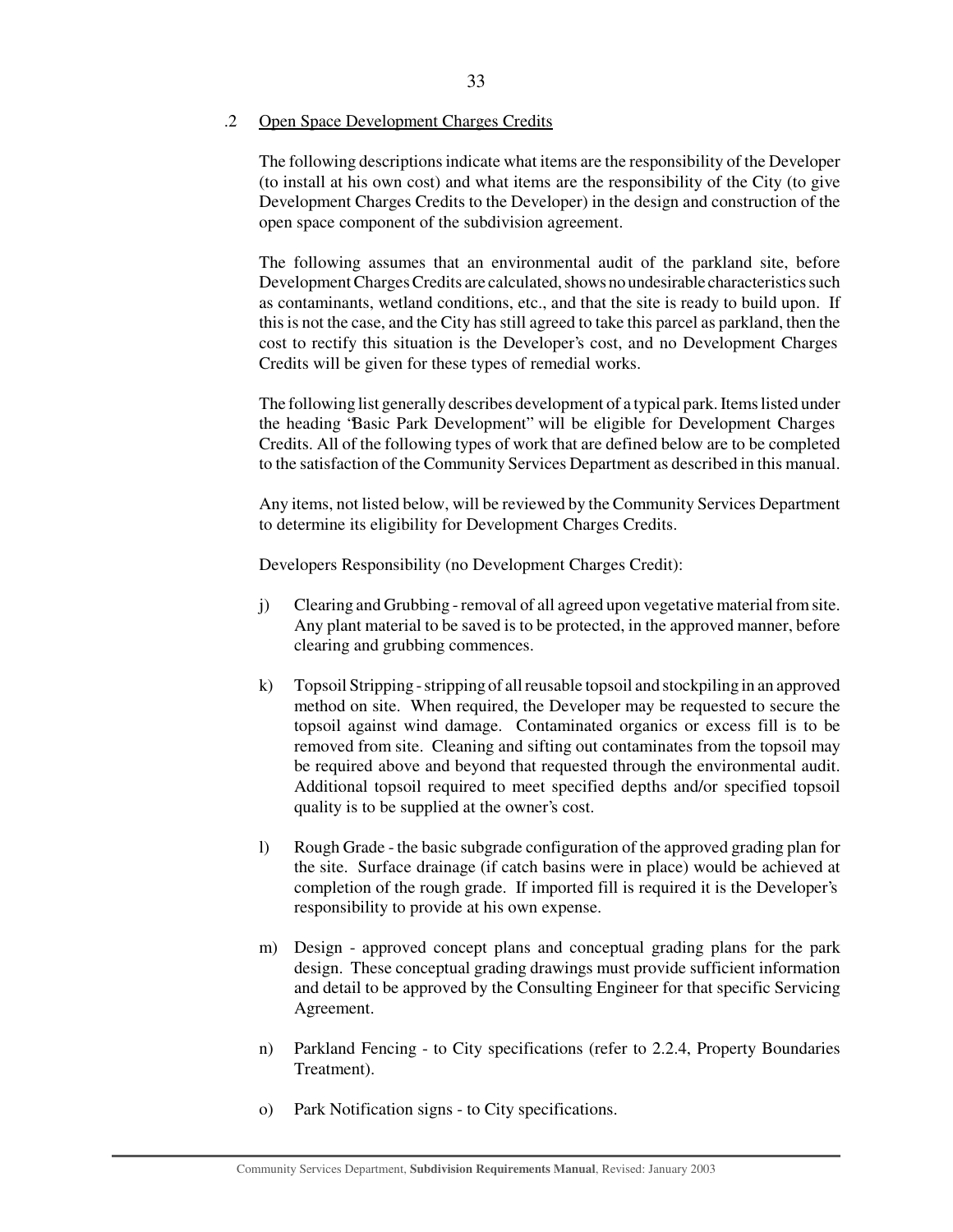#### .2 Open Space Development Charges Credits

The following descriptions indicate what items are the responsibility of the Developer (to install at his own cost) and what items are the responsibility of the City (to give Development Charges Credits to the Developer) in the design and construction of the open space component of the subdivision agreement.

The following assumes that an environmental audit of the parkland site, before DevelopmentCharges Credits are calculated, shows no undesirable characteristics such as contaminants, wetland conditions, etc., and that the site is ready to build upon. If this is not the case, and the City has still agreed to take this parcel as parkland, then the cost to rectify this situation is the Developer's cost, and no Development Charges Credits will be given for these types of remedial works.

The following list generally describes development of a typical park. Items listed under the heading "Basic Park Development" will be eligible for Development Charges Credits. All of the following types of work that are defined below are to be completed to the satisfaction of the Community Services Department as described in this manual.

Any items, not listed below, will be reviewed by the Community Services Department to determine its eligibility for Development Charges Credits.

Developers Responsibility (no Development Charges Credit):

- j) Clearing and Grubbing removal of all agreed upon vegetative material from site. Any plant material to be saved is to be protected, in the approved manner, before clearing and grubbing commences.
- k) Topsoil Stripping stripping of all reusable topsoil and stockpiling in an approved method on site. When required, the Developer may be requested to secure the topsoil against wind damage. Contaminated organics or excess fill is to be removed from site. Cleaning and sifting out contaminates from the topsoil may be required above and beyond that requested through the environmental audit. Additional topsoil required to meet specified depths and/or specified topsoil quality is to be supplied at the owner's cost.
- l) Rough Grade the basic subgrade configuration of the approved grading plan for the site. Surface drainage (if catch basins were in place) would be achieved at completion of the rough grade. If imported fill is required it is the Developer's responsibility to provide at his own expense.
- m) Design approved concept plans and conceptual grading plans for the park design. These conceptual grading drawings must provide sufficient information and detail to be approved by the Consulting Engineer for that specific Servicing Agreement.
- n) Parkland Fencing to City specifications (refer to 2.2.4, Property Boundaries Treatment).
- o) Park Notification signs to City specifications.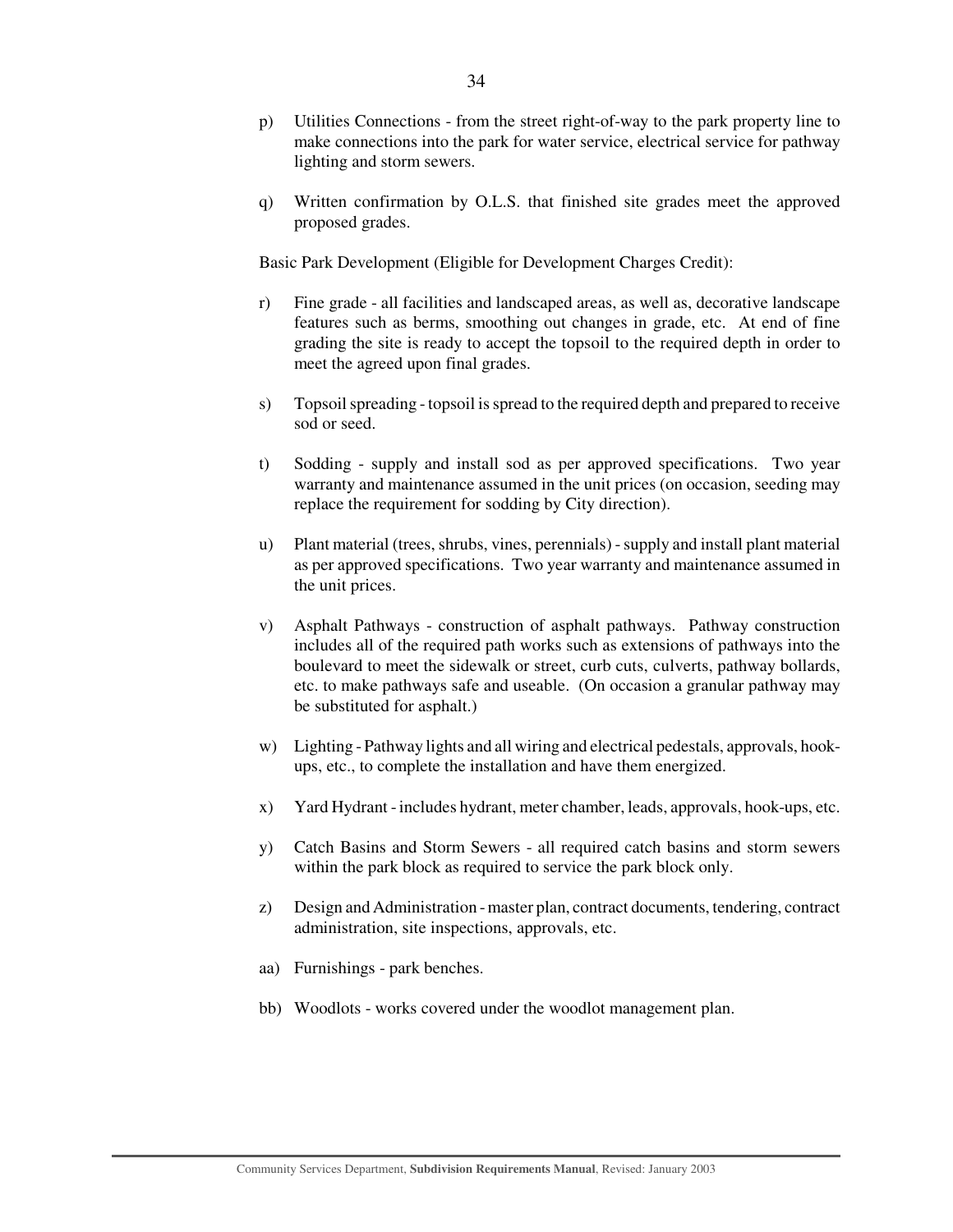- p) Utilities Connections from the street right-of-way to the park property line to make connections into the park for water service, electrical service for pathway lighting and storm sewers.
- q) Written confirmation by O.L.S. that finished site grades meet the approved proposed grades.

Basic Park Development (Eligible for Development Charges Credit):

- r) Fine grade all facilities and landscaped areas, as well as, decorative landscape features such as berms, smoothing out changes in grade, etc. At end of fine grading the site is ready to accept the topsoil to the required depth in order to meet the agreed upon final grades.
- s) Topsoil spreading topsoil is spread to the required depth and prepared to receive sod or seed.
- t) Sodding supply and install sod as per approved specifications. Two year warranty and maintenance assumed in the unit prices (on occasion, seeding may replace the requirement for sodding by City direction).
- u) Plant material (trees, shrubs, vines, perennials) supply and install plant material as per approved specifications. Two year warranty and maintenance assumed in the unit prices.
- v) Asphalt Pathways construction of asphalt pathways. Pathway construction includes all of the required path works such as extensions of pathways into the boulevard to meet the sidewalk or street, curb cuts, culverts, pathway bollards, etc. to make pathways safe and useable. (On occasion a granular pathway may be substituted for asphalt.)
- w) Lighting Pathway lights and all wiring and electrical pedestals, approvals, hookups, etc., to complete the installation and have them energized.
- x) Yard Hydrant includes hydrant, meter chamber, leads, approvals, hook-ups, etc.
- y) Catch Basins and Storm Sewers all required catch basins and storm sewers within the park block as required to service the park block only.
- z) Design and Administration master plan, contract documents, tendering, contract administration, site inspections, approvals, etc.
- aa) Furnishings park benches.
- bb) Woodlots works covered under the woodlot management plan.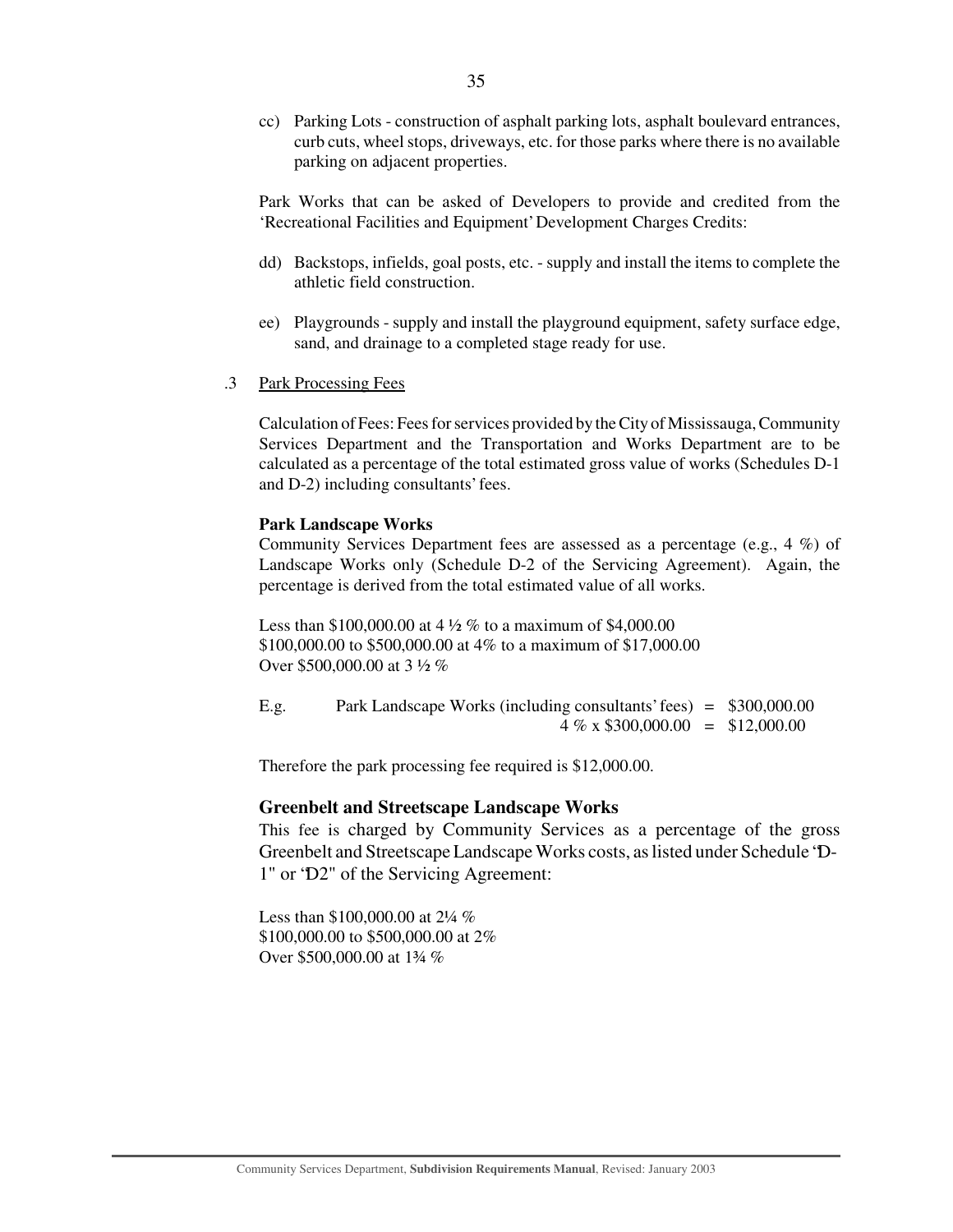cc) Parking Lots - construction of asphalt parking lots, asphalt boulevard entrances, curb cuts, wheel stops, driveways, etc. for those parks where there is no available parking on adjacent properties.

Park Works that can be asked of Developers to provide and credited from the 'Recreational Facilities and Equipment' Development Charges Credits:

- dd) Backstops, infields, goal posts, etc. supply and install the items to complete the athletic field construction.
- ee) Playgrounds supply and install the playground equipment, safety surface edge, sand, and drainage to a completed stage ready for use.
- .3 Park Processing Fees

Calculation of Fees: Fees for services provided by the City of Mississauga, Community Services Department and the Transportation and Works Department are to be calculated as a percentage of the total estimated gross value of works (Schedules D-1 and D-2) including consultants' fees.

#### **Park Landscape Works**

Community Services Department fees are assessed as a percentage (e.g., 4 %) of Landscape Works only (Schedule D-2 of the Servicing Agreement). Again, the percentage is derived from the total estimated value of all works.

Less than \$100,000.00 at 4 ½ % to a maximum of \$4,000.00 \$100,000.00 to \$500,000.00 at 4% to a maximum of \$17,000.00 Over \$500,000.00 at 3 ½ %

| E.g. | Park Landscape Works (including consultants' fees) = \$300,000.00 |  |
|------|-------------------------------------------------------------------|--|
|      | $4\% \times \$300,000.00 = \$12,000.00$                           |  |

Therefore the park processing fee required is \$12,000.00.

#### **Greenbelt and Streetscape Landscape Works**

This fee is charged by Community Services as a percentage of the gross Greenbelt and Streetscape Landscape Works costs, aslisted under Schedule "D-1" or "D2" of the Servicing Agreement:

Less than \$100,000.00 at 2¼ % \$100,000.00 to \$500,000.00 at 2% Over \$500,000.00 at 1¾ %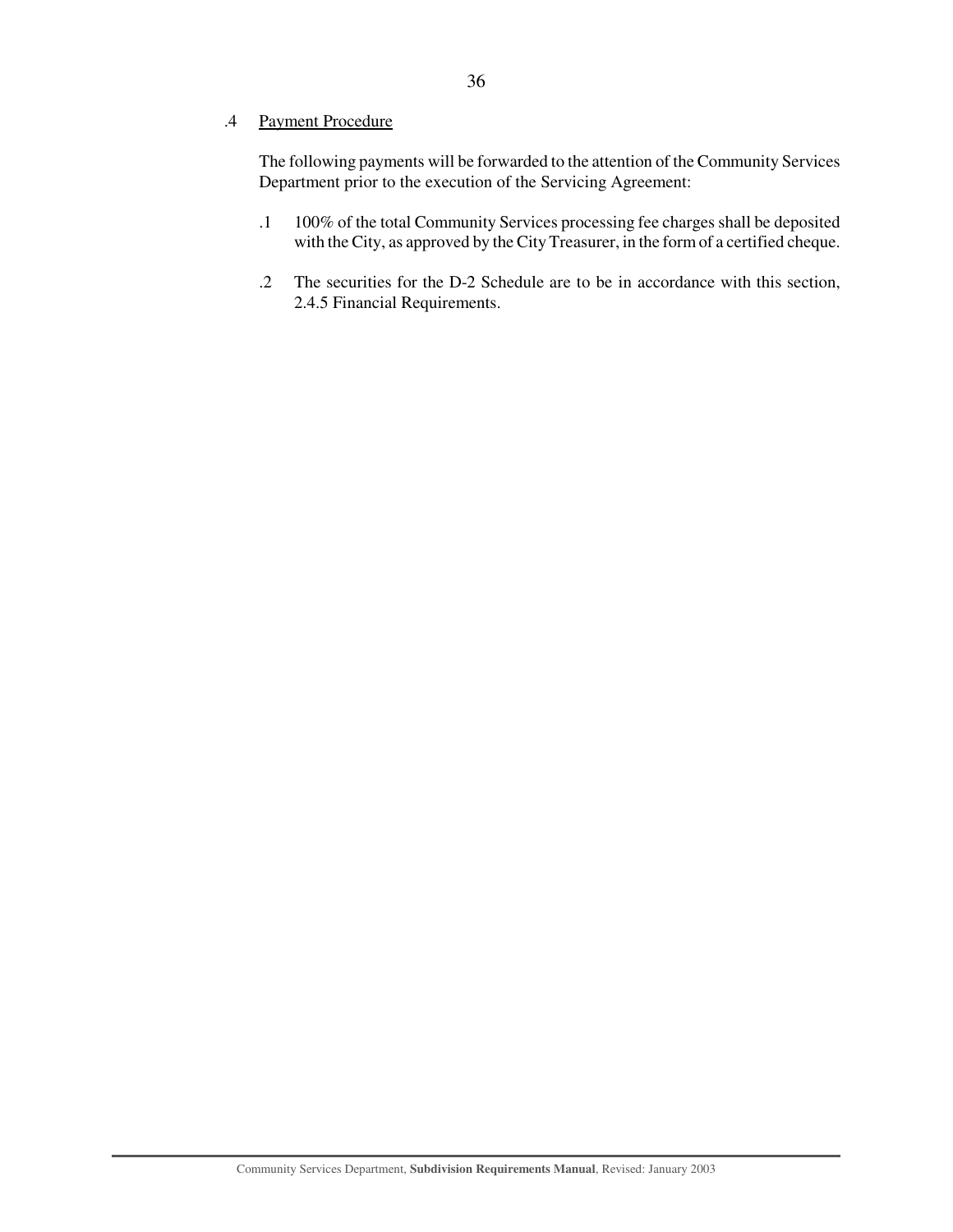## .4 Payment Procedure

The following payments will be forwarded to the attention of the Community Services Department prior to the execution of the Servicing Agreement:

- .1 100% of the total Community Services processing fee charges shall be deposited with the City, as approved by the City Treasurer, in the form of a certified cheque.
- .2 The securities for the D-2 Schedule are to be in accordance with this section, 2.4.5 Financial Requirements.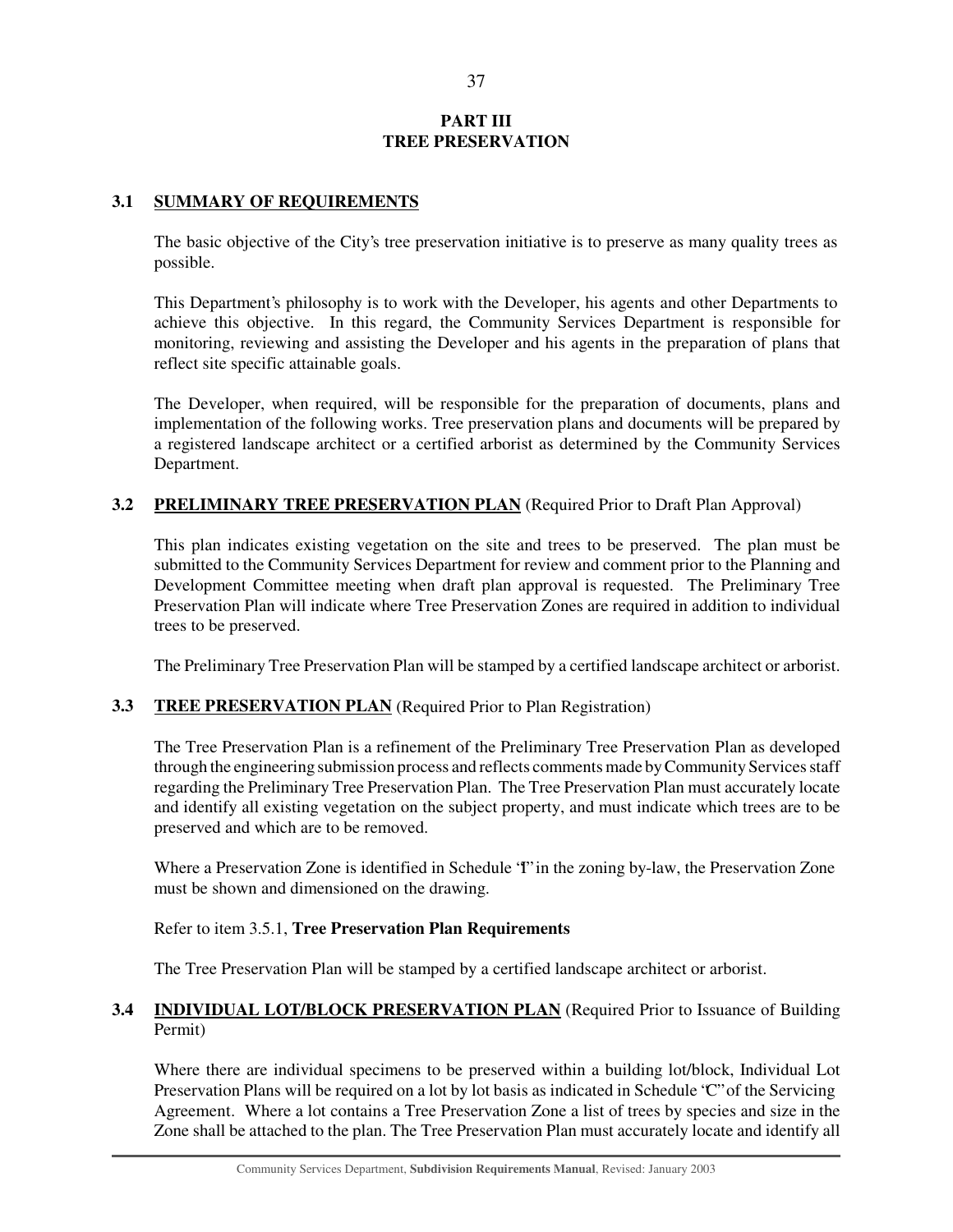## **PART III TREE PRESERVATION**

## **3.1 SUMMARY OF REQUIREMENTS**

The basic objective of the City's tree preservation initiative is to preserve as many quality trees as possible.

This Department's philosophy is to work with the Developer, his agents and other Departments to achieve this objective. In this regard, the Community Services Department is responsible for monitoring, reviewing and assisting the Developer and his agents in the preparation of plans that reflect site specific attainable goals.

The Developer, when required, will be responsible for the preparation of documents, plans and implementation of the following works. Tree preservation plans and documents will be prepared by a registered landscape architect or a certified arborist as determined by the Community Services Department.

## **3.2 PRELIMINARY TREE PRESERVATION PLAN** (Required Prior to Draft Plan Approval)

This plan indicates existing vegetation on the site and trees to be preserved. The plan must be submitted to the Community Services Department for review and comment prior to the Planning and Development Committee meeting when draft plan approval is requested. The Preliminary Tree Preservation Plan will indicate where Tree Preservation Zones are required in addition to individual trees to be preserved.

The Preliminary Tree Preservation Plan will be stamped by a certified landscape architect or arborist.

## **3.3 TREE PRESERVATION PLAN** (Required Prior to Plan Registration)

The Tree Preservation Plan is a refinement of the Preliminary Tree Preservation Plan as developed through the engineering submission process and reflects comments made by Community Services staff regarding the Preliminary Tree Preservation Plan. The Tree Preservation Plan must accurately locate and identify all existing vegetation on the subject property, and must indicate which trees are to be preserved and which are to be removed.

Where a Preservation Zone is identified in Schedule 'T' in the zoning by-law, the Preservation Zone must be shown and dimensioned on the drawing.

## Refer to item 3.5.1, **Tree Preservation Plan Requirements**

The Tree Preservation Plan will be stamped by a certified landscape architect or arborist.

## **3.4 INDIVIDUAL LOT/BLOCK PRESERVATION PLAN** (Required Prior to Issuance of Building Permit)

Where there are individual specimens to be preserved within a building lot/block, Individual Lot Preservation Plans will be required on a lot by lot basis as indicated in Schedule "C" of the Servicing Agreement. Where a lot contains a Tree Preservation Zone a list of trees by species and size in the Zone shall be attached to the plan. The Tree Preservation Plan must accurately locate and identify all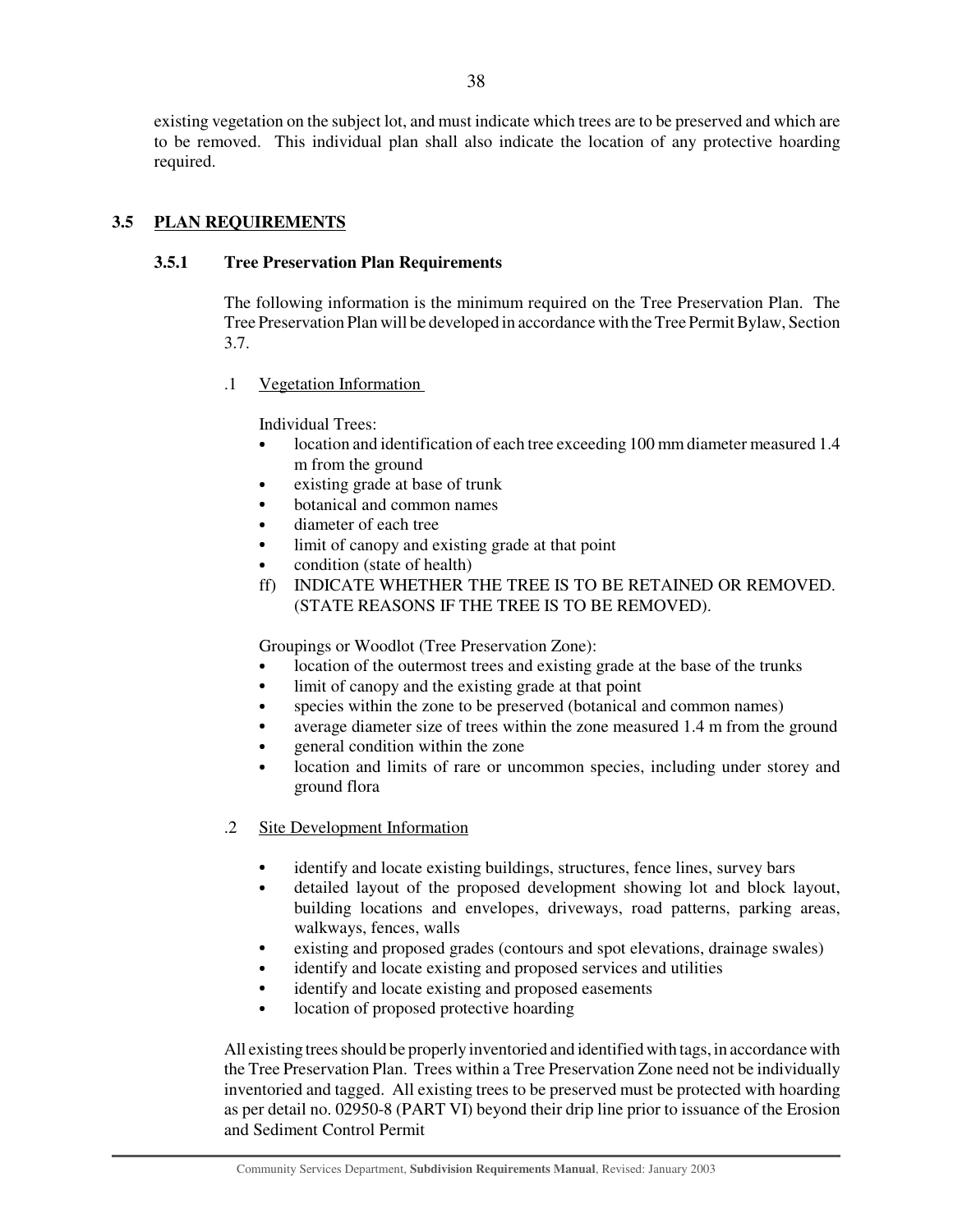existing vegetation on the subject lot, and must indicate which trees are to be preserved and which are to be removed. This individual plan shall also indicate the location of any protective hoarding required.

## **3.5 PLAN REQUIREMENTS**

## **3.5.1 Tree Preservation Plan Requirements**

The following information is the minimum required on the Tree Preservation Plan. The Tree Preservation Plan will be developed in accordance with the Tree Permit Bylaw, Section 3.7.

.1 Vegetation Information

Individual Trees:

- location and identification of each tree exceeding 100 mm diameter measured 1.4 m from the ground
- existing grade at base of trunk
- botanical and common names
- diameter of each tree
- limit of canopy and existing grade at that point
- condition (state of health)
- ff) INDICATE WHETHER THE TREE IS TO BE RETAINED OR REMOVED. (STATE REASONS IF THE TREE IS TO BE REMOVED).

Groupings or Woodlot (Tree Preservation Zone):

- location of the outermost trees and existing grade at the base of the trunks
- limit of canopy and the existing grade at that point
- species within the zone to be preserved (botanical and common names)
- average diameter size of trees within the zone measured 1.4 m from the ground
- general condition within the zone
- location and limits of rare or uncommon species, including under storey and ground flora

.2 Site Development Information

- identify and locate existing buildings, structures, fence lines, survey bars
- detailed layout of the proposed development showing lot and block layout, building locations and envelopes, driveways, road patterns, parking areas, walkways, fences, walls
- existing and proposed grades (contours and spot elevations, drainage swales)
- identify and locate existing and proposed services and utilities
- identify and locate existing and proposed easements
- location of proposed protective hoarding

All existing trees should be properly inventoried and identified with tags, in accordance with the Tree Preservation Plan. Trees within a Tree Preservation Zone need not be individually inventoried and tagged. All existing trees to be preserved must be protected with hoarding as per detail no. 02950-8 (PART VI) beyond their drip line prior to issuance of the Erosion and Sediment Control Permit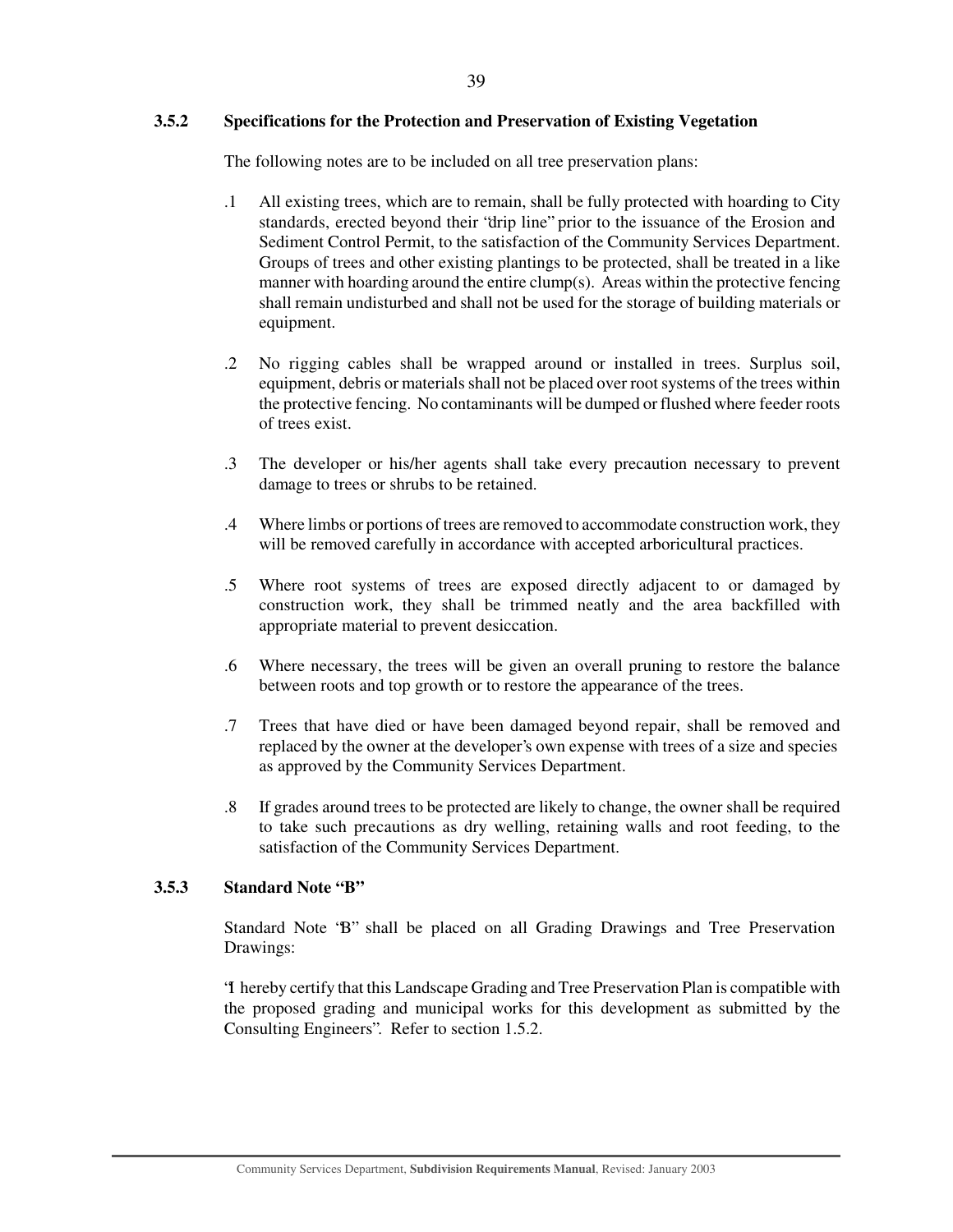## **3.5.2 Specifications for the Protection and Preservation of Existing Vegetation**

The following notes are to be included on all tree preservation plans:

- .1 All existing trees, which are to remain, shall be fully protected with hoarding to City standards, erected beyond their "drip line" prior to the issuance of the Erosion and Sediment Control Permit, to the satisfaction of the Community Services Department. Groups of trees and other existing plantings to be protected, shall be treated in a like manner with hoarding around the entire clump(s). Areas within the protective fencing shall remain undisturbed and shall not be used for the storage of building materials or equipment.
- .2 No rigging cables shall be wrapped around or installed in trees. Surplus soil, equipment, debris or materials shall not be placed over root systems of the trees within the protective fencing. No contaminants will be dumped or flushed where feeder roots of trees exist.
- .3 The developer or his/her agents shall take every precaution necessary to prevent damage to trees or shrubs to be retained.
- .4 Where limbs or portions of trees are removed to accommodate construction work, they will be removed carefully in accordance with accepted arboricultural practices.
- .5 Where root systems of trees are exposed directly adjacent to or damaged by construction work, they shall be trimmed neatly and the area backfilled with appropriate material to prevent desiccation.
- .6 Where necessary, the trees will be given an overall pruning to restore the balance between roots and top growth or to restore the appearance of the trees.
- .7 Trees that have died or have been damaged beyond repair, shall be removed and replaced by the owner at the developer's own expense with trees of a size and species as approved by the Community Services Department.
- .8 If grades around trees to be protected are likely to change, the owner shall be required to take such precautions as dry welling, retaining walls and root feeding, to the satisfaction of the Community Services Department.

#### **3.5.3 Standard Note "B"**

Standard Note "B" shall be placed on all Grading Drawings and Tree Preservation Drawings:

"I hereby certify that this Landscape Grading and Tree Preservation Plan is compatible with the proposed grading and municipal works for this development as submitted by the Consulting Engineers". Refer to section 1.5.2.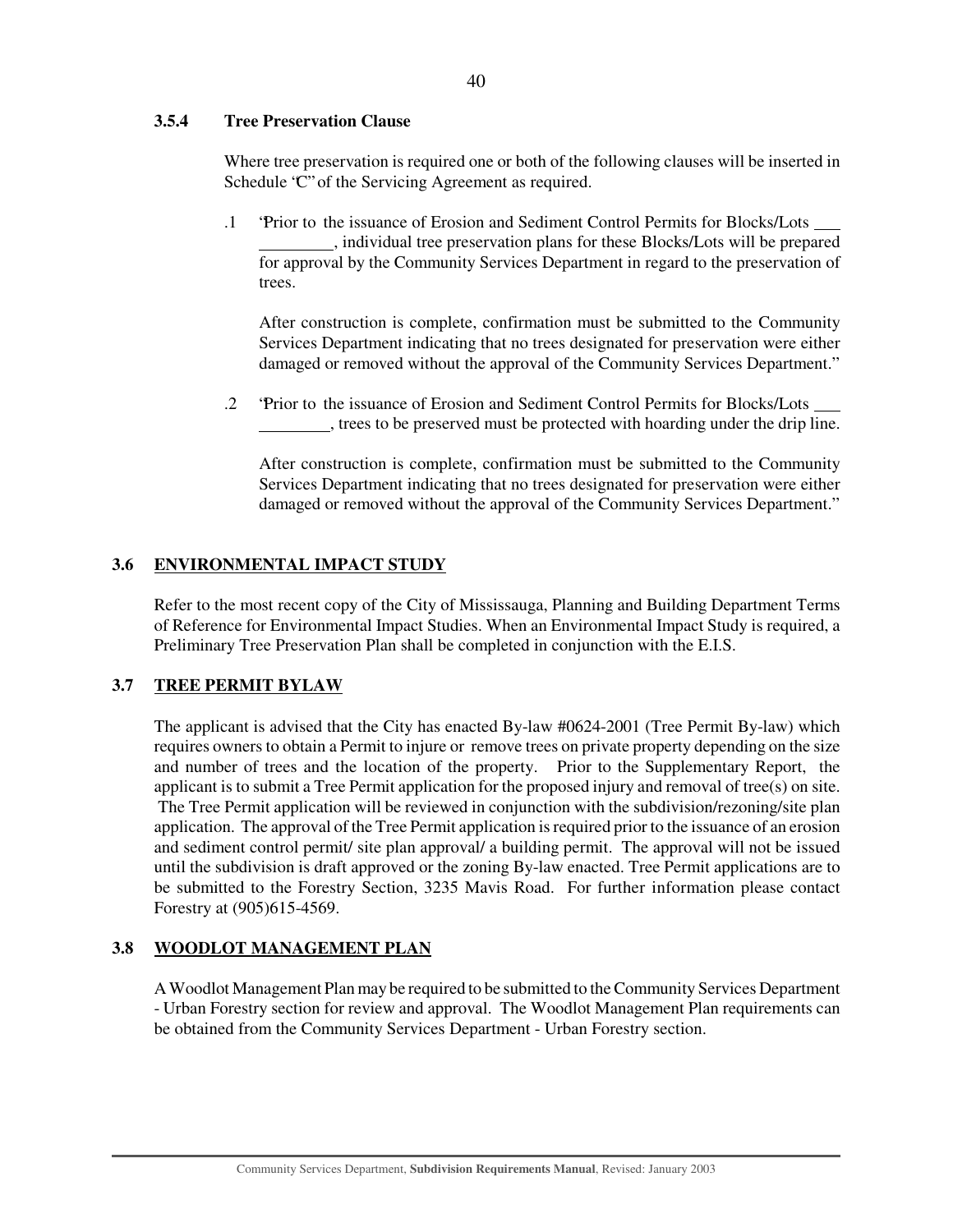## **3.5.4 Tree Preservation Clause**

Where tree preservation is required one or both of the following clauses will be inserted in Schedule "C" of the Servicing Agreement as required.

.1 "Prior to the issuance of Erosion and Sediment Control Permits for Blocks/Lots , individual tree preservation plans for these Blocks/Lots will be prepared for approval by the Community Services Department in regard to the preservation of trees.

After construction is complete, confirmation must be submitted to the Community Services Department indicating that no trees designated for preservation were either damaged or removed without the approval of the Community Services Department."

.2 "Prior to the issuance of Erosion and Sediment Control Permits for Blocks/Lots , trees to be preserved must be protected with hoarding under the drip line.

After construction is complete, confirmation must be submitted to the Community Services Department indicating that no trees designated for preservation were either damaged or removed without the approval of the Community Services Department."

## **3.6 ENVIRONMENTAL IMPACT STUDY**

Refer to the most recent copy of the City of Mississauga, Planning and Building Department Terms of Reference for Environmental Impact Studies. When an Environmental Impact Study is required, a Preliminary Tree Preservation Plan shall be completed in conjunction with the E.I.S.

## **3.7 TREE PERMIT BYLAW**

The applicant is advised that the City has enacted By-law #0624-2001 (Tree Permit By-law) which requires owners to obtain a Permit to injure or remove trees on private property depending on the size and number of trees and the location of the property. Prior to the Supplementary Report, the applicant is to submit a Tree Permit application for the proposed injury and removal of tree(s) on site. The Tree Permit application will be reviewed in conjunction with the subdivision/rezoning/site plan application. The approval of the Tree Permit application is required prior to the issuance of an erosion and sediment control permit/ site plan approval/ a building permit. The approval will not be issued until the subdivision is draft approved or the zoning By-law enacted. Tree Permit applications are to be submitted to the Forestry Section, 3235 Mavis Road. For further information please contact Forestry at (905)615-4569.

## **3.8 WOODLOT MANAGEMENT PLAN**

A Woodlot Management Plan may be required to be submitted to the Community Services Department - Urban Forestry section for review and approval. The Woodlot Management Plan requirements can be obtained from the Community Services Department - Urban Forestry section.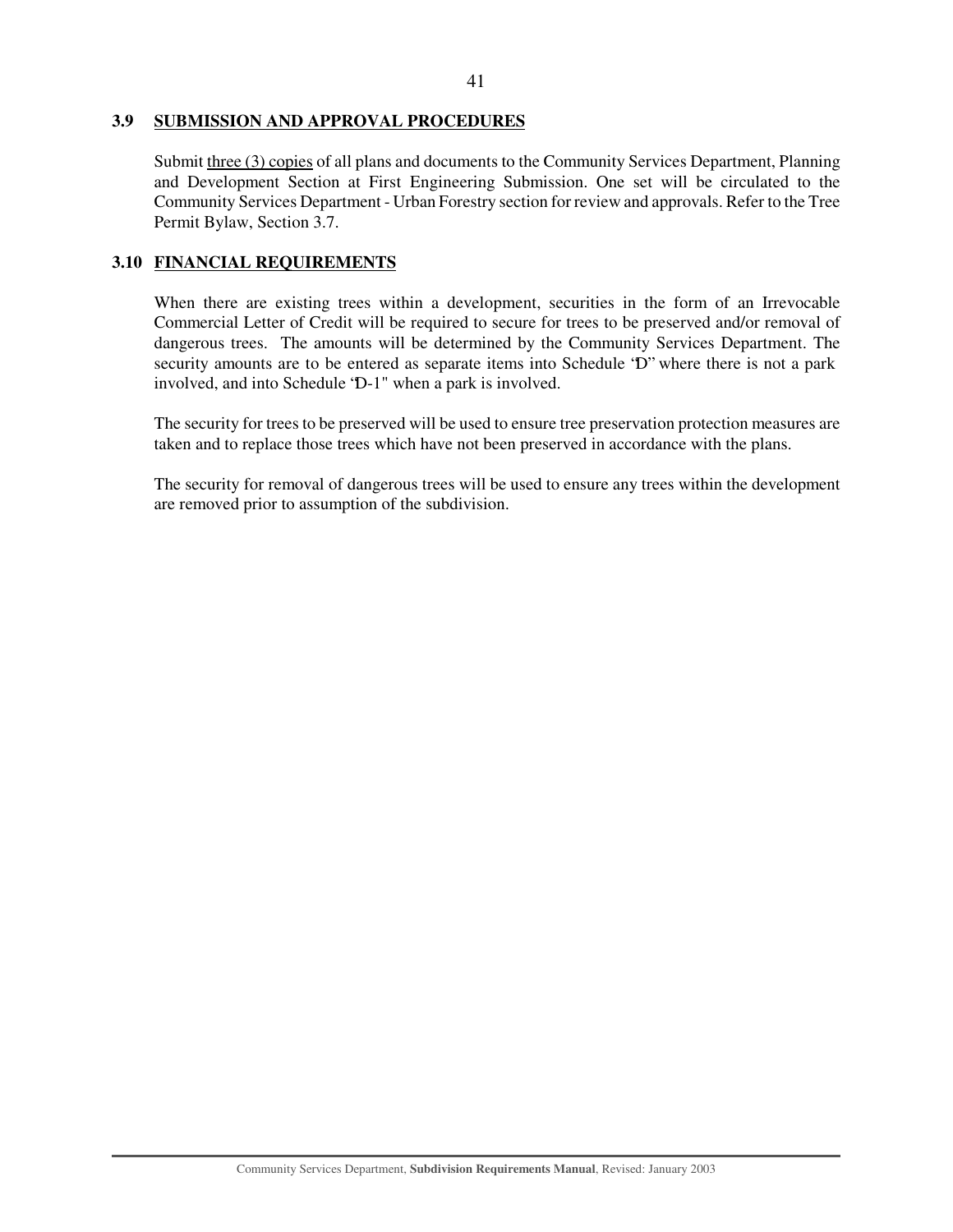#### 41

#### **3.9 SUBMISSION AND APPROVAL PROCEDURES**

Submit three (3) copies of all plans and documents to the Community Services Department, Planning and Development Section at First Engineering Submission. One set will be circulated to the Community Services Department - Urban Forestry section for review and approvals. Refer to the Tree Permit Bylaw, Section 3.7.

## **3.10 FINANCIAL REQUIREMENTS**

When there are existing trees within a development, securities in the form of an Irrevocable Commercial Letter of Credit will be required to secure for trees to be preserved and/or removal of dangerous trees. The amounts will be determined by the Community Services Department. The security amounts are to be entered as separate items into Schedule "D" where there is not a park involved, and into Schedule "D-1" when a park is involved.

The security for trees to be preserved will be used to ensure tree preservation protection measures are taken and to replace those trees which have not been preserved in accordance with the plans.

The security for removal of dangerous trees will be used to ensure any trees within the development are removed prior to assumption of the subdivision.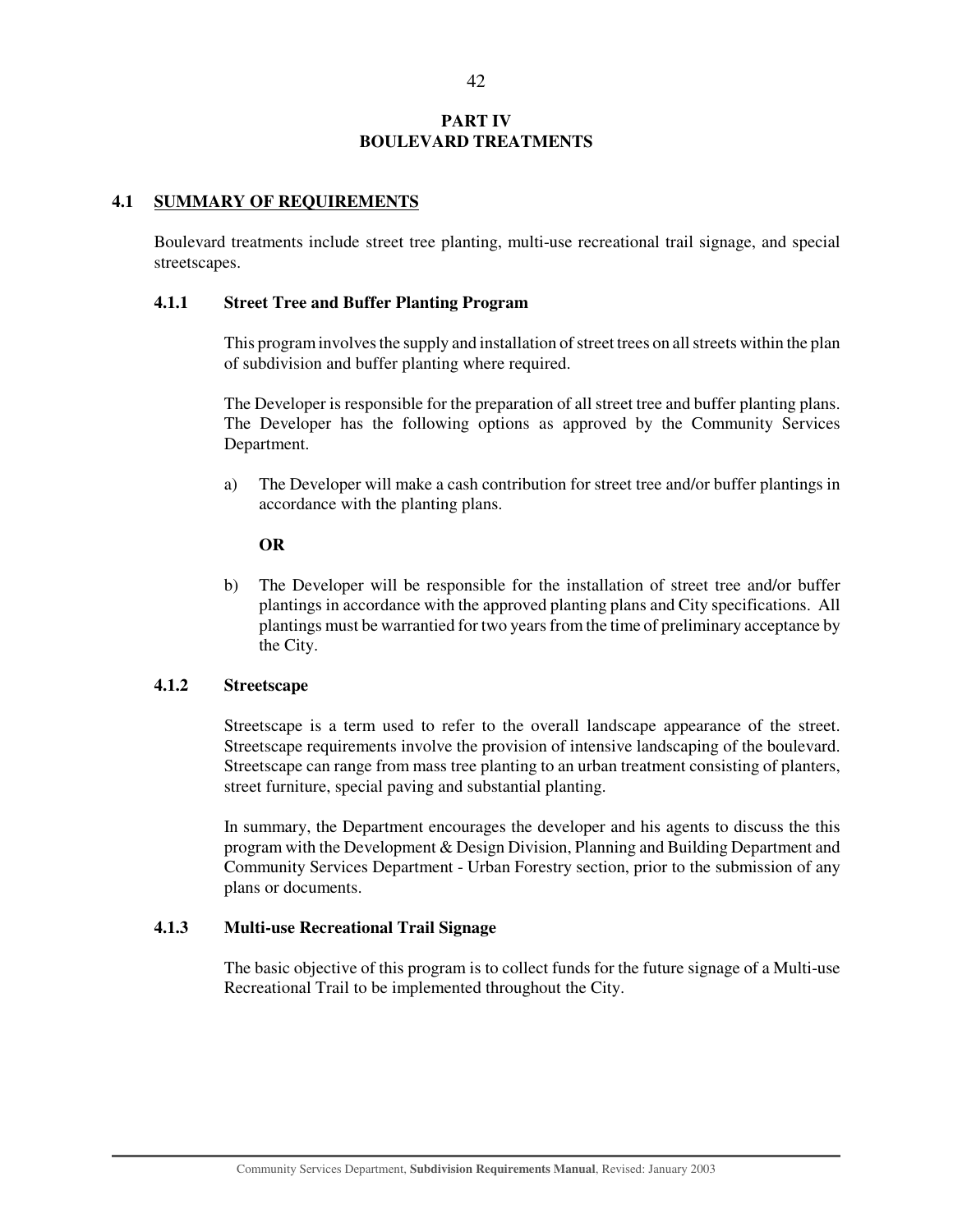## **PART IV BOULEVARD TREATMENTS**

#### **4.1 SUMMARY OF REQUIREMENTS**

Boulevard treatments include street tree planting, multi-use recreational trail signage, and special streetscapes.

#### **4.1.1 Street Tree and Buffer Planting Program**

This program involves the supply and installation of street trees on all streets within the plan of subdivision and buffer planting where required.

The Developer is responsible for the preparation of all street tree and buffer planting plans. The Developer has the following options as approved by the Community Services Department.

a) The Developer will make a cash contribution for street tree and/or buffer plantings in accordance with the planting plans.

#### **OR**

b) The Developer will be responsible for the installation of street tree and/or buffer plantings in accordance with the approved planting plans and City specifications. All plantings must be warrantied for two years from the time of preliminary acceptance by the City.

#### **4.1.2 Streetscape**

Streetscape is a term used to refer to the overall landscape appearance of the street. Streetscape requirements involve the provision of intensive landscaping of the boulevard. Streetscape can range from mass tree planting to an urban treatment consisting of planters, street furniture, special paving and substantial planting.

In summary, the Department encourages the developer and his agents to discuss the this program with the Development & Design Division, Planning and Building Department and Community Services Department - Urban Forestry section, prior to the submission of any plans or documents.

## **4.1.3 Multi-use Recreational Trail Signage**

The basic objective of this program is to collect funds for the future signage of a Multi-use Recreational Trail to be implemented throughout the City.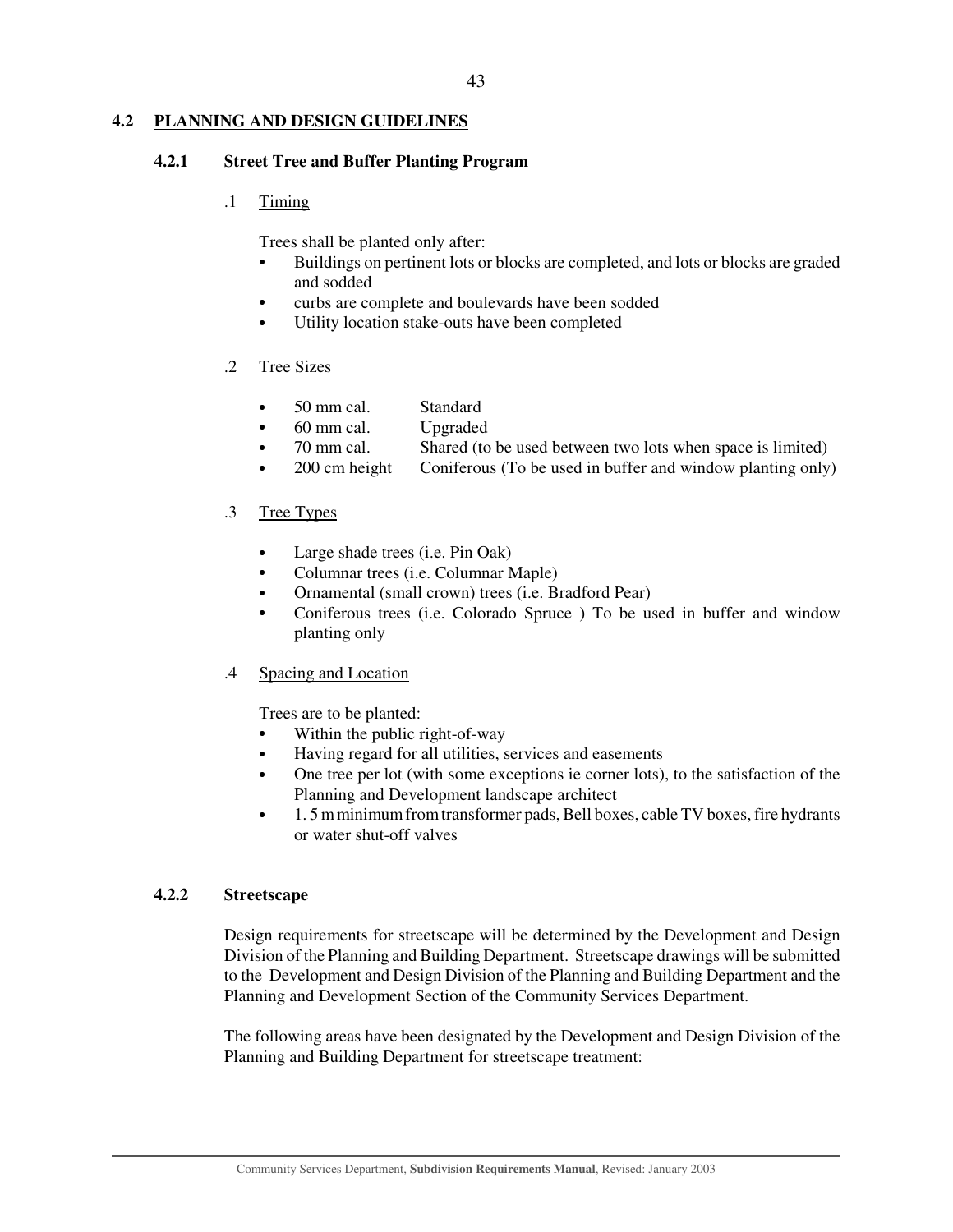## **4.2 PLANNING AND DESIGN GUIDELINES**

#### **4.2.1 Street Tree and Buffer Planting Program**

.1 Timing

Trees shall be planted only after:

- Buildings on pertinent lots or blocks are completed, and lots or blocks are graded and sodded
- curbs are complete and boulevards have been sodded
- Utility location stake-outs have been completed

## .2 Tree Sizes

- 50 mm cal. Standard
- 60 mm cal. Upgraded
- $70 \text{ mm}$  cal. Shared (to be used between two lots when space is limited)
- $\bullet$  200 cm height Coniferous (To be used in buffer and window planting only)

## .3 Tree Types

- Large shade trees (i.e. Pin Oak)
- Columnar trees (i.e. Columnar Maple)
- Ornamental (small crown) trees (i.e. Bradford Pear)
- Coniferous trees (i.e. Colorado Spruce ) To be used in buffer and window planting only

## .4 Spacing and Location

Trees are to be planted:

- Within the public right-of-way
- Having regard for all utilities, services and easements
- One tree per lot (with some exceptions ie corner lots), to the satisfaction of the Planning and Development landscape architect
- 1. 5m minimum from transformer pads, Bell boxes, cable TV boxes, fire hydrants or water shut-off valves

## **4.2.2 Streetscape**

Design requirements for streetscape will be determined by the Development and Design Division of the Planning and Building Department. Streetscape drawings will be submitted to the Development and Design Division of the Planning and Building Department and the Planning and Development Section of the Community Services Department.

The following areas have been designated by the Development and Design Division of the Planning and Building Department for streetscape treatment: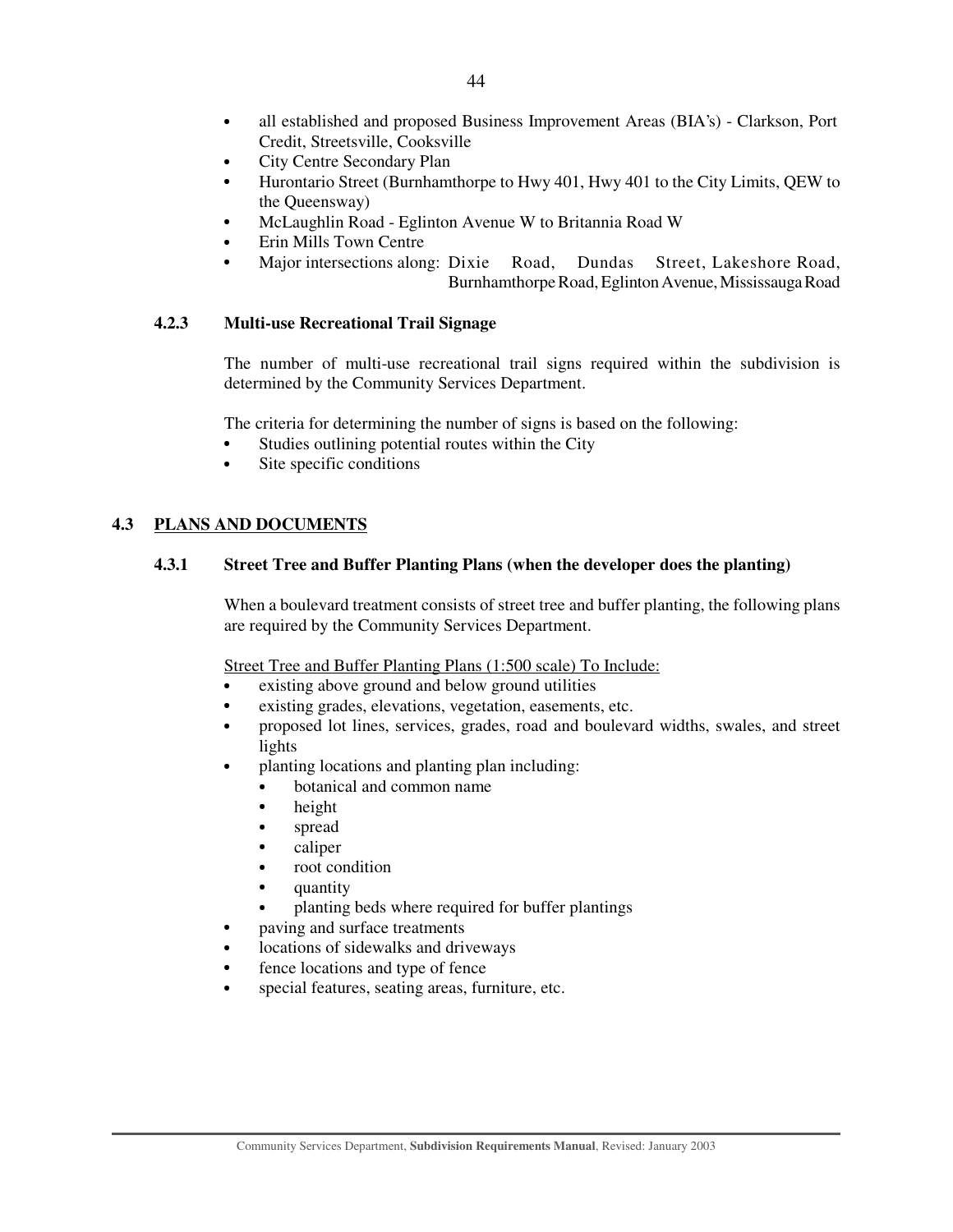- all established and proposed Business Improvement Areas (BIA's) Clarkson, Port Credit, Streetsville, Cooksville
- City Centre Secondary Plan
- Hurontario Street (Burnhamthorpe to Hwy 401, Hwy 401 to the City Limits, QEW to the Queensway)
- McLaughlin Road Eglinton Avenue W to Britannia Road W
- Erin Mills Town Centre
- Major intersections along: Dixie Road, Dundas Street, Lakeshore Road, Burnhamthorpe Road, Eglinton Avenue, Mississauga Road

## **4.2.3 Multi-use Recreational Trail Signage**

The number of multi-use recreational trail signs required within the subdivision is determined by the Community Services Department.

The criteria for determining the number of signs is based on the following:

- Studies outlining potential routes within the City
- Site specific conditions

## **4.3 PLANS AND DOCUMENTS**

## **4.3.1 Street Tree and Buffer Planting Plans (when the developer does the planting)**

When a boulevard treatment consists of street tree and buffer planting, the following plans are required by the Community Services Department.

Street Tree and Buffer Planting Plans (1:500 scale) To Include:

- existing above ground and below ground utilities
- existing grades, elevations, vegetation, easements, etc.
- proposed lot lines, services, grades, road and boulevard widths, swales, and street lights
- planting locations and planting plan including:
	- botanical and common name
	- height
	- spread
	- caliper
	- root condition
	- quantity
	- planting beds where required for buffer plantings
- paving and surface treatments
- locations of sidewalks and driveways
- fence locations and type of fence
- special features, seating areas, furniture, etc.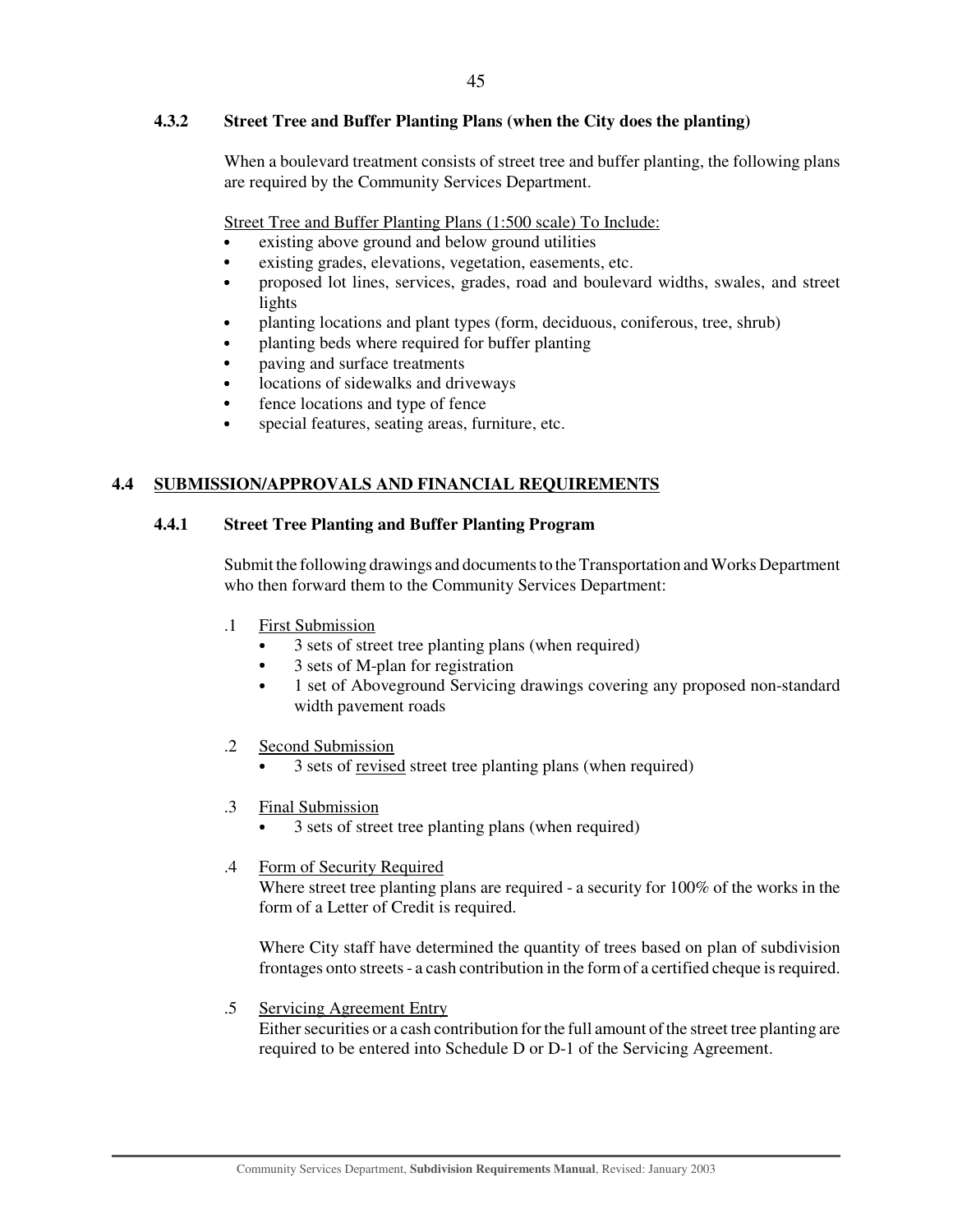## **4.3.2 Street Tree and Buffer Planting Plans (when the City does the planting)**

When a boulevard treatment consists of street tree and buffer planting, the following plans are required by the Community Services Department.

Street Tree and Buffer Planting Plans (1:500 scale) To Include:

- existing above ground and below ground utilities
- existing grades, elevations, vegetation, easements, etc.
- proposed lot lines, services, grades, road and boulevard widths, swales, and street lights
- planting locations and plant types (form, deciduous, coniferous, tree, shrub)
- planting beds where required for buffer planting
- paving and surface treatments
- locations of sidewalks and driveways
- fence locations and type of fence
- special features, seating areas, furniture, etc.

## **4.4 SUBMISSION/APPROVALS AND FINANCIAL REQUIREMENTS**

## **4.4.1 Street Tree Planting and Buffer Planting Program**

Submit the following drawings and documents to the Transportation and Works Department who then forward them to the Community Services Department:

- .1 First Submission
	- 3 sets of street tree planting plans (when required)
	- 3 sets of M-plan for registration
	- 1 set of Aboveground Servicing drawings covering any proposed non-standard width pavement roads
- .2 Second Submission
	- <sup>3</sup> sets of revised street tree planting plans (when required)
- .3 Final Submission
	- 3 sets of street tree planting plans (when required)
- .4 Form of Security Required

Where street tree planting plans are required - a security for 100% of the works in the form of a Letter of Credit is required.

Where City staff have determined the quantity of trees based on plan of subdivision frontages onto streets - a cash contribution in the form of a certified cheque is required.

.5 Servicing Agreement Entry

Either securities or a cash contribution for the full amount of the street tree planting are required to be entered into Schedule D or D-1 of the Servicing Agreement.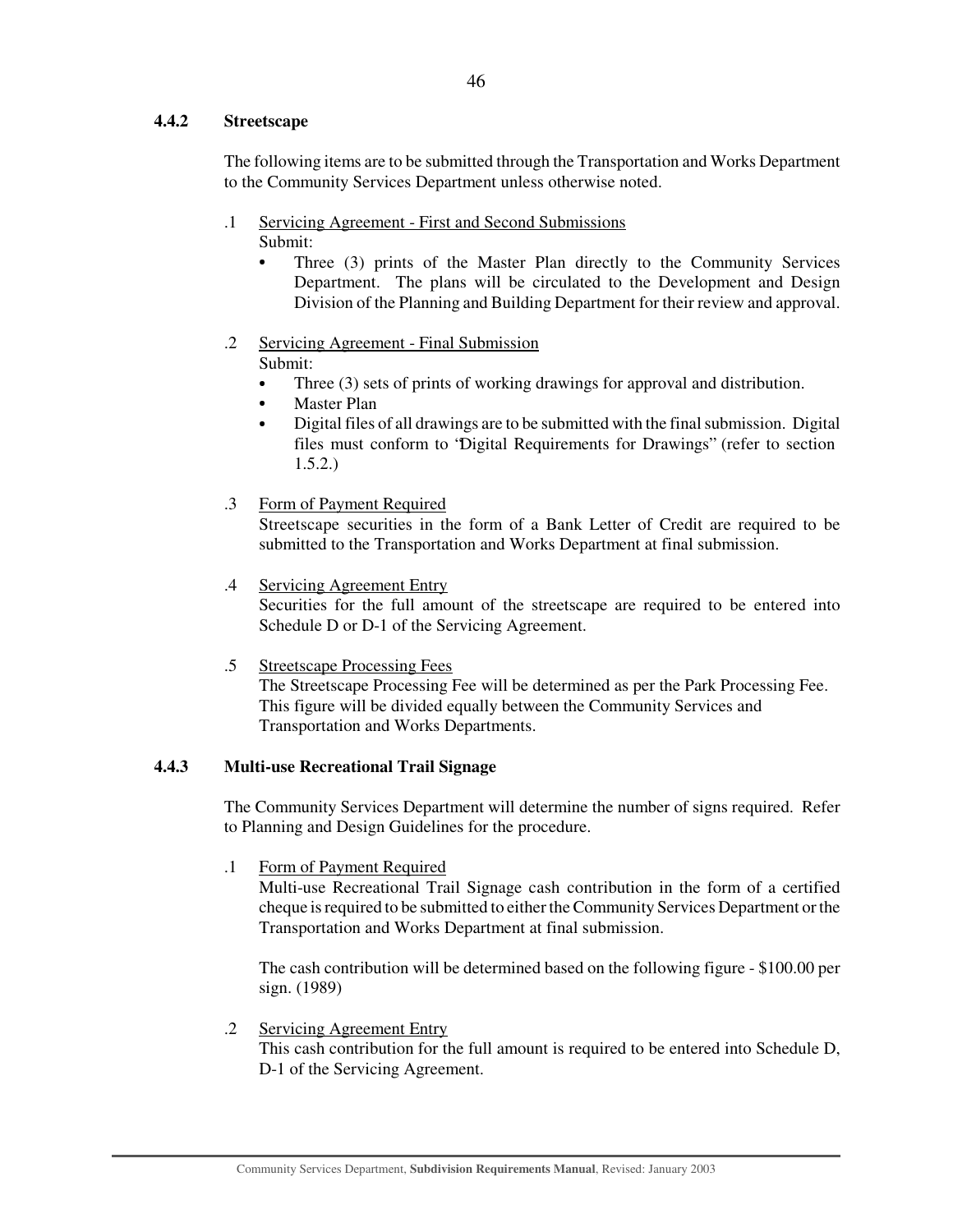## **4.4.2 Streetscape**

The following items are to be submitted through the Transportation and Works Department to the Community Services Department unless otherwise noted.

- .1 Servicing Agreement First and Second Submissions Submit:
	- Three (3) prints of the Master Plan directly to the Community Services Department. The plans will be circulated to the Development and Design Division of the Planning and Building Department for their review and approval.
- .2 Servicing Agreement Final Submission Submit:
	- Three (3) sets of prints of working drawings for approval and distribution.
	- Master Plan
	- Digital files of all drawings are to be submitted with the final submission. Digital files must conform to "Digital Requirements for Drawings" (refer to section 1.5.2.)
- .3 Form of Payment Required

Streetscape securities in the form of a Bank Letter of Credit are required to be submitted to the Transportation and Works Department at final submission.

.4 Servicing Agreement Entry

Securities for the full amount of the streetscape are required to be entered into Schedule D or D-1 of the Servicing Agreement.

.5 Streetscape Processing Fees

The Streetscape Processing Fee will be determined as per the Park Processing Fee. This figure will be divided equally between the Community Services and Transportation and Works Departments.

## **4.4.3 Multi-use Recreational Trail Signage**

The Community Services Department will determine the number of signs required. Refer to Planning and Design Guidelines for the procedure.

.1 Form of Payment Required

Multi-use Recreational Trail Signage cash contribution in the form of a certified cheque is required to be submitted to either the Community Services Department or the Transportation and Works Department at final submission.

The cash contribution will be determined based on the following figure - \$100.00 per sign. (1989)

.2 Servicing Agreement Entry This cash contribution for the full amount is required to be entered into Schedule D, D-1 of the Servicing Agreement.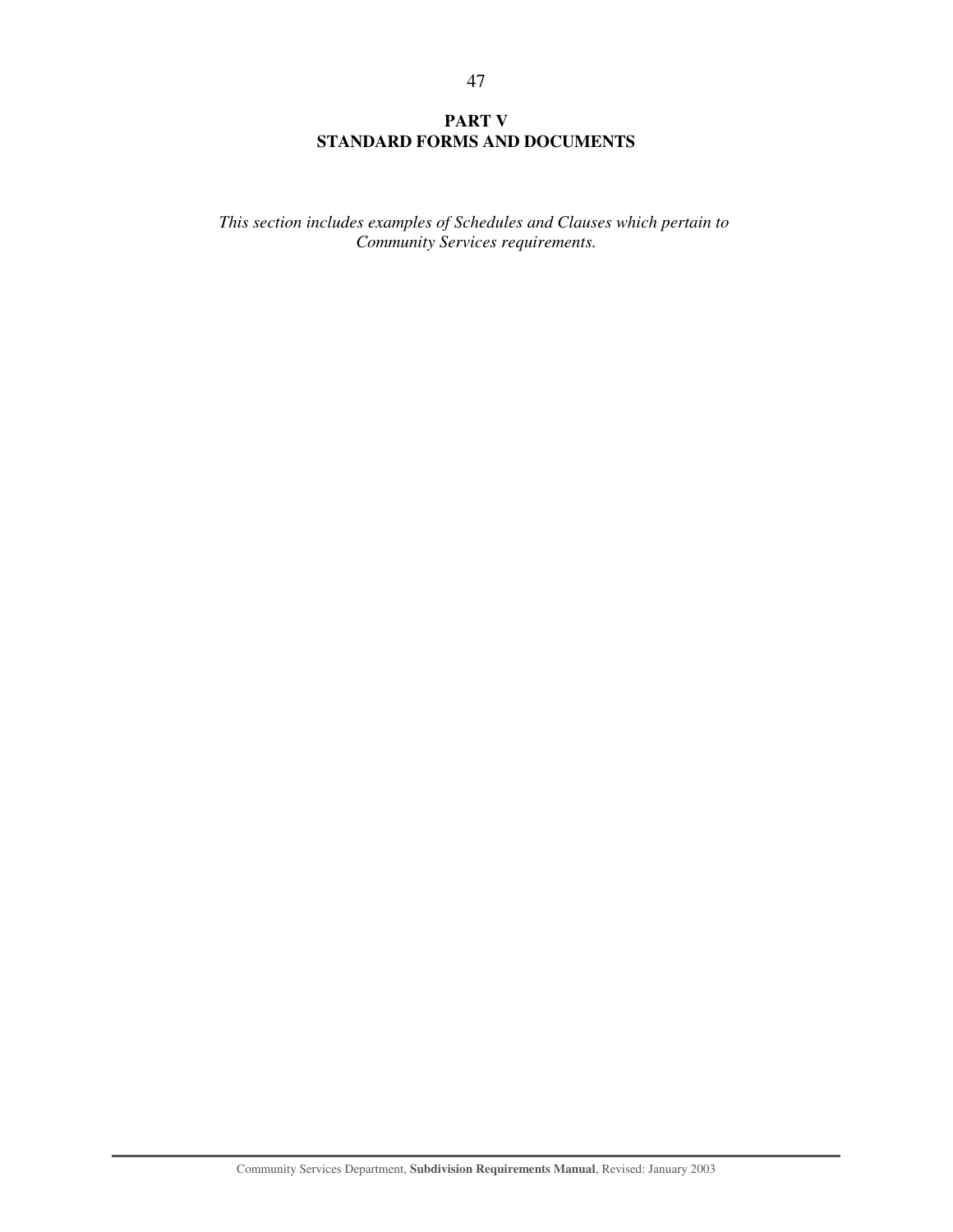## **PART V STANDARD FORMS AND DOCUMENTS**

*This section includes examples of Schedules and Clauses which pertain to Community Services requirements.*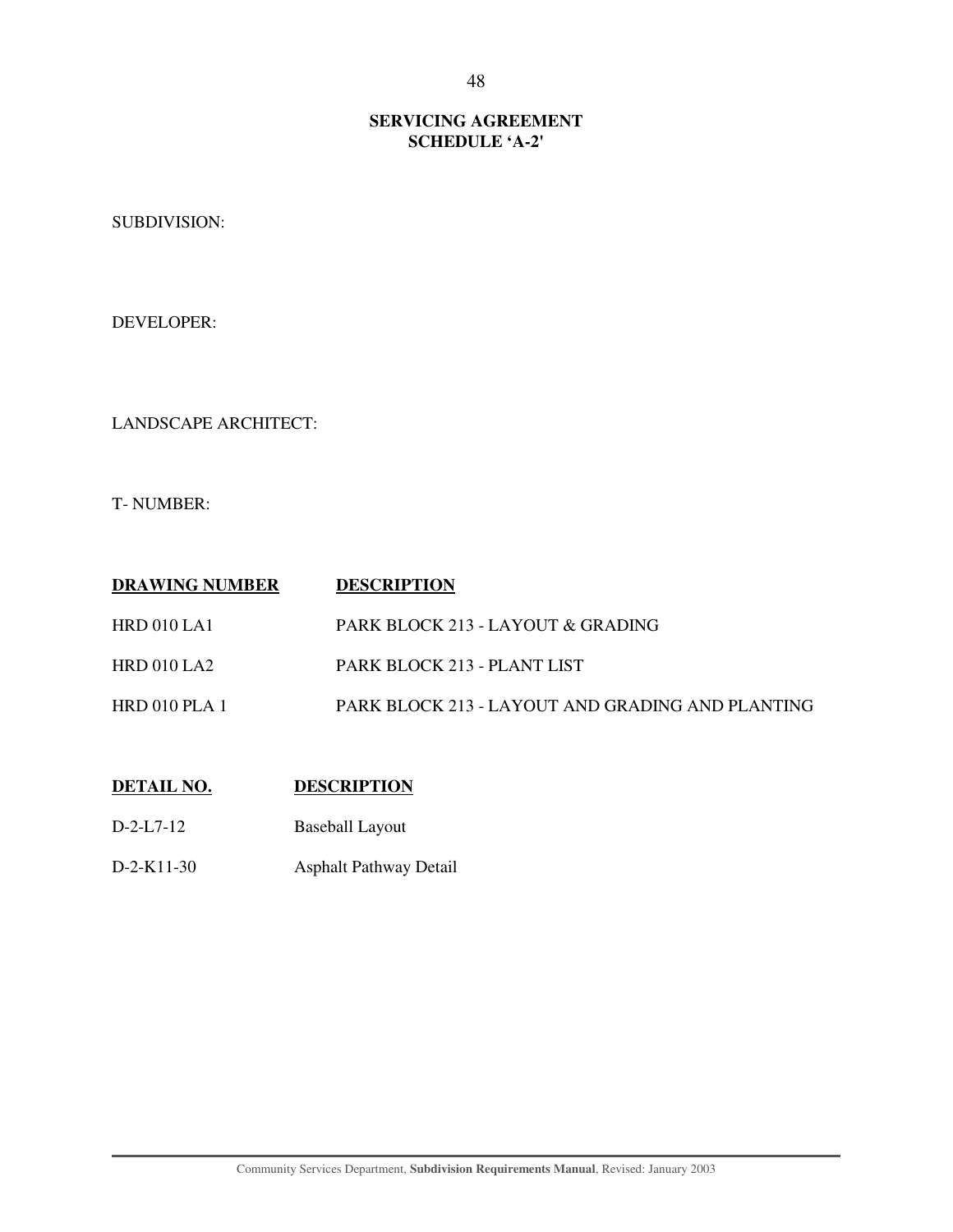## **SERVICING AGREEMENT SCHEDULE 'A-2'**

SUBDIVISION:

DEVELOPER:

LANDSCAPE ARCHITECT:

T- NUMBER:

| <b>DRAWING NUMBER</b> | <b>DESCRIPTION</b>                               |
|-----------------------|--------------------------------------------------|
| HRD 010 LA1           | PARK BLOCK 213 - LAYOUT & GRADING                |
| HRD010LA2             | PARK BLOCK 213 - PLANT LIST                      |
| HRD 010 PLA 1         | PARK BLOCK 213 - LAYOUT AND GRADING AND PLANTING |

## **DETAIL NO. DESCRIPTION**

- D-2-L7-12 Baseball Layout
- D-2-K11-30 Asphalt Pathway Detail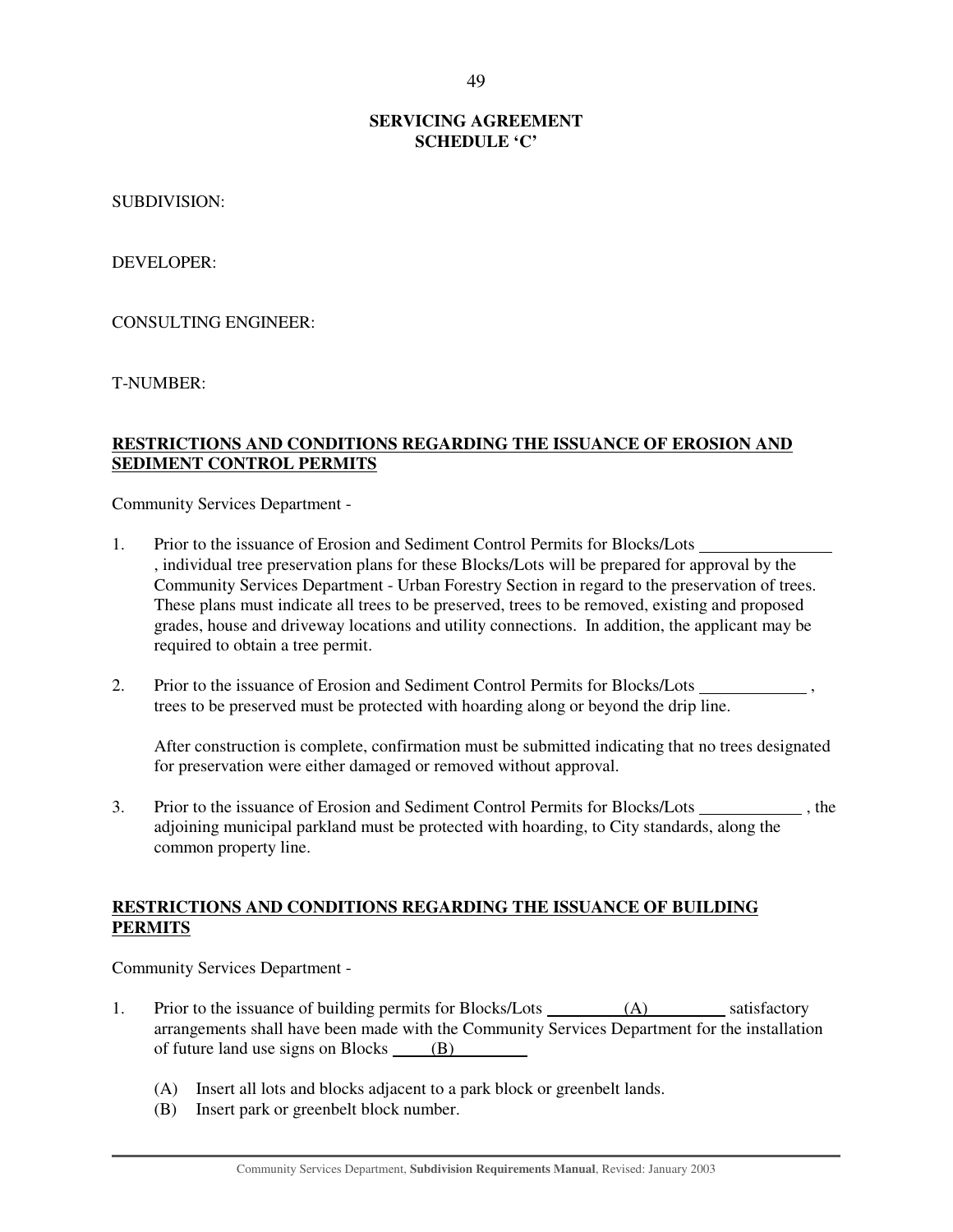## **SERVICING AGREEMENT SCHEDULE 'C'**

SUBDIVISION:

DEVELOPER:

CONSULTING ENGINEER:

T-NUMBER:

## **RESTRICTIONS AND CONDITIONS REGARDING THE ISSUANCE OF EROSION AND SEDIMENT CONTROL PERMITS**

Community Services Department -

- 1. Prior to the issuance of Erosion and Sediment Control Permits for Blocks/Lots , individual tree preservation plans for these Blocks/Lots will be prepared for approval by the Community Services Department - Urban Forestry Section in regard to the preservation of trees. These plans must indicate all trees to be preserved, trees to be removed, existing and proposed grades, house and driveway locations and utility connections. In addition, the applicant may be required to obtain a tree permit.
- 2. Prior to the issuance of Erosion and Sediment Control Permits for Blocks/Lots , trees to be preserved must be protected with hoarding along or beyond the drip line.

After construction is complete, confirmation must be submitted indicating that no trees designated for preservation were either damaged or removed without approval.

3. Prior to the issuance of Erosion and Sediment Control Permits for Blocks/Lots , the adjoining municipal parkland must be protected with hoarding, to City standards, along the common property line.

## **RESTRICTIONS AND CONDITIONS REGARDING THE ISSUANCE OF BUILDING PERMITS**

Community Services Department -

- 1. Prior to the issuance of building permits for Blocks/Lots (A) satisfactory arrangements shall have been made with the Community Services Department for the installation of future land use signs on Blocks (B)
	- (A) Insert all lots and blocks adjacent to a park block or greenbelt lands.
	- (B) Insert park or greenbelt block number.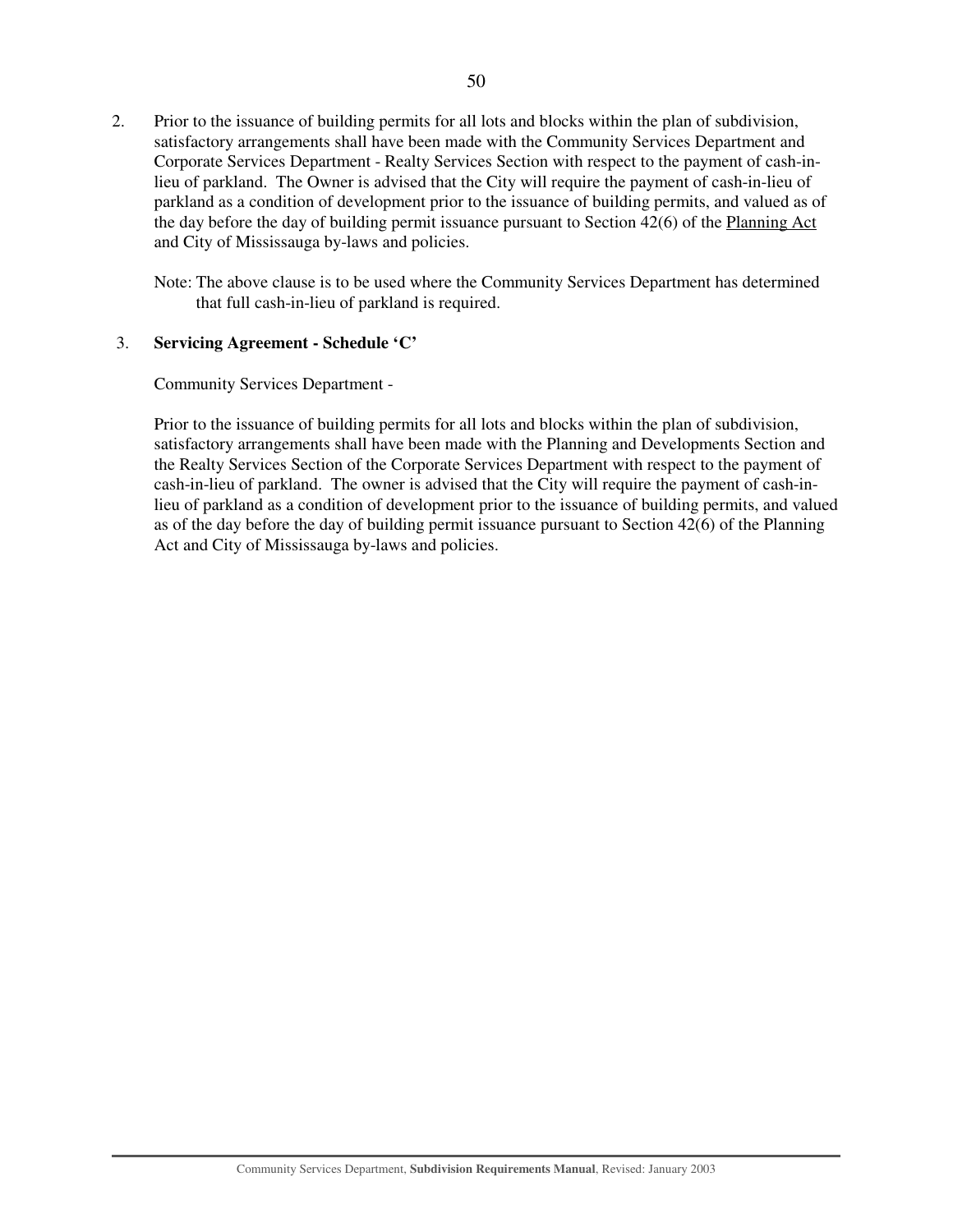2. Prior to the issuance of building permits for all lots and blocks within the plan of subdivision, satisfactory arrangements shall have been made with the Community Services Department and Corporate Services Department - Realty Services Section with respect to the payment of cash-inlieu of parkland. The Owner is advised that the City will require the payment of cash-in-lieu of parkland as a condition of development prior to the issuance of building permits, and valued as of the day before the day of building permit issuance pursuant to Section 42(6) of the Planning Act and City of Mississauga by-laws and policies.

Note: The above clause is to be used where the Community Services Department has determined that full cash-in-lieu of parkland is required.

## 3. **Servicing Agreement - Schedule 'C'**

Community Services Department -

Prior to the issuance of building permits for all lots and blocks within the plan of subdivision, satisfactory arrangements shall have been made with the Planning and Developments Section and the Realty Services Section of the Corporate Services Department with respect to the payment of cash-in-lieu of parkland. The owner is advised that the City will require the payment of cash-inlieu of parkland as a condition of development prior to the issuance of building permits, and valued as of the day before the day of building permit issuance pursuant to Section 42(6) of the Planning Act and City of Mississauga by-laws and policies.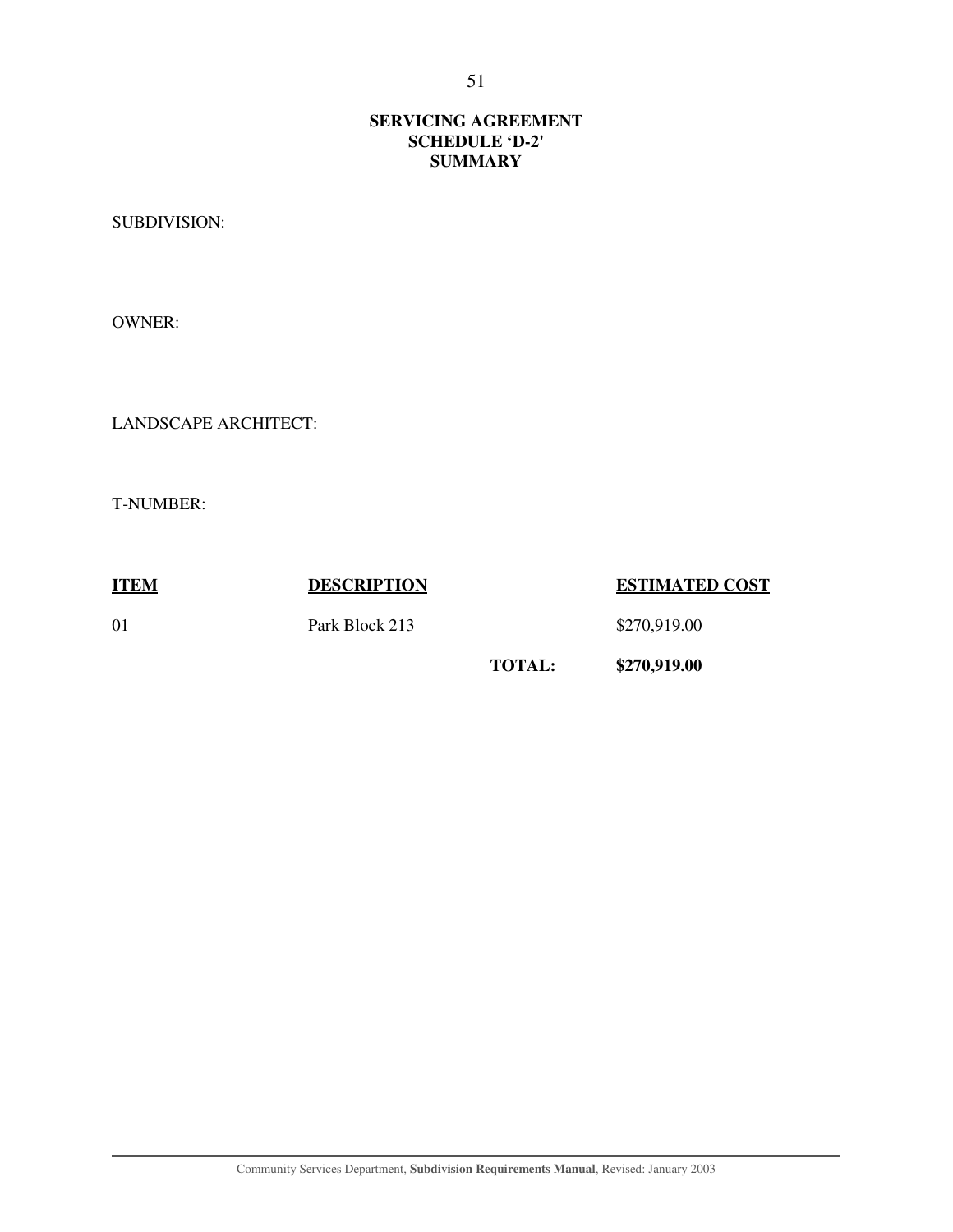## **SERVICING AGREEMENT SCHEDULE 'D-2' SUMMARY**

SUBDIVISION:

OWNER:

LANDSCAPE ARCHITECT:

T-NUMBER:

**ITEM DESCRIPTION ESTIMATED COST** 01 **Park Block 213** \$270,919.00 **TOTAL: \$270,919.00**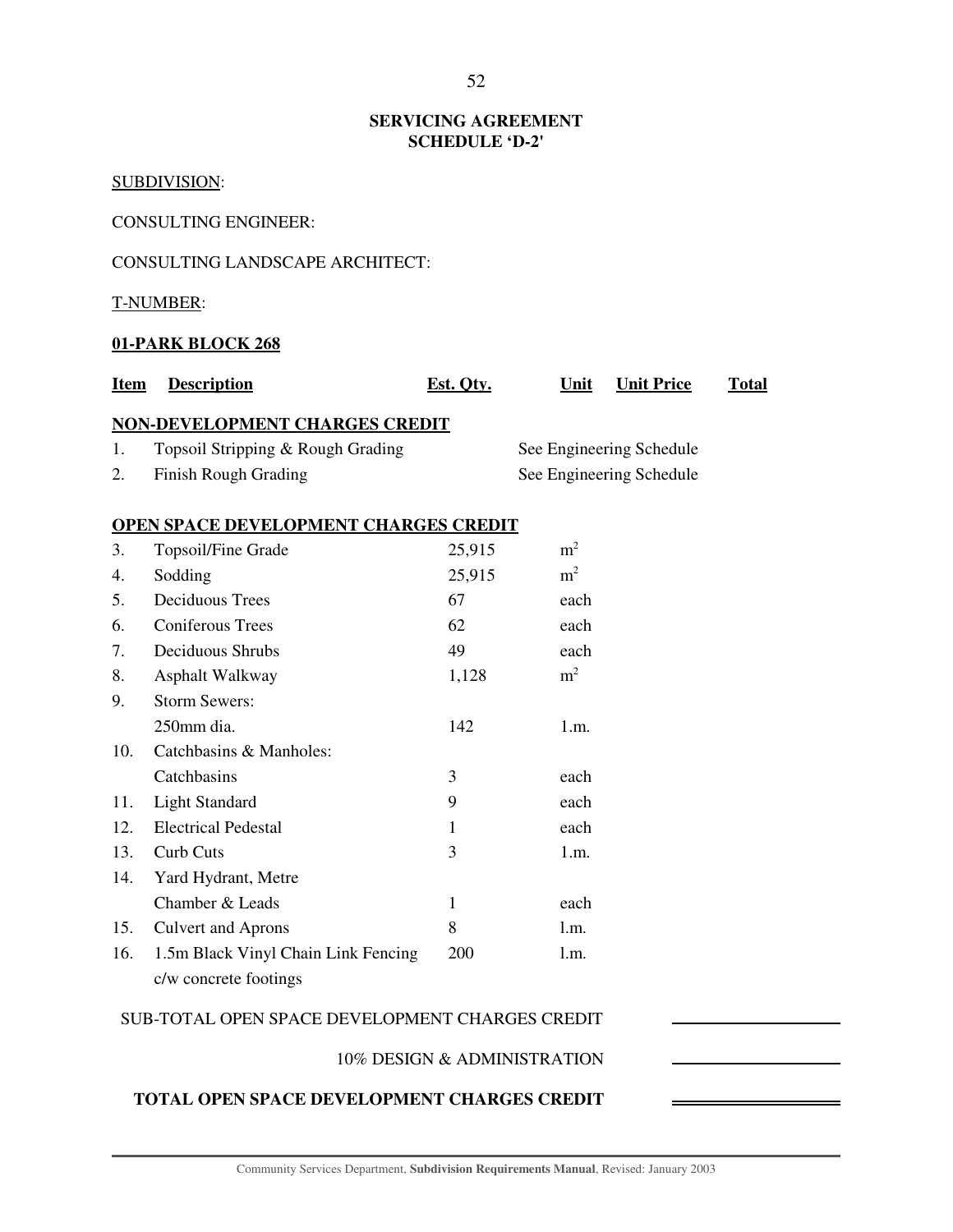## **SERVICING AGREEMENT SCHEDULE 'D-2'**

## SUBDIVISION:

CONSULTING ENGINEER:

## CONSULTING LANDSCAPE ARCHITECT:

T-NUMBER:

## **01-PARK BLOCK 268**

| <b>Item</b> | <b>Description</b>                                           | Est. Qty.    | <b>Unit Price</b><br>Unit | <b>Total</b> |
|-------------|--------------------------------------------------------------|--------------|---------------------------|--------------|
|             | NON-DEVELOPMENT CHARGES CREDIT                               |              |                           |              |
| 1.          | Topsoil Stripping & Rough Grading                            |              | See Engineering Schedule  |              |
| 2.          | Finish Rough Grading                                         |              | See Engineering Schedule  |              |
|             | OPEN SPACE DEVELOPMENT CHARGES CREDIT                        |              |                           |              |
| 3.          | Topsoil/Fine Grade                                           | 25,915       | m <sup>2</sup>            |              |
| 4.          | Sodding                                                      | 25,915       | m <sup>2</sup>            |              |
| 5.          | Deciduous Trees                                              | 67           | each                      |              |
| 6.          | <b>Coniferous Trees</b>                                      | 62           | each                      |              |
| 7.          | Deciduous Shrubs                                             | 49           | each                      |              |
| 8.          | Asphalt Walkway                                              | 1,128        | m <sup>2</sup>            |              |
| 9.          | <b>Storm Sewers:</b>                                         |              |                           |              |
|             | 250mm dia.                                                   | 142          | 1.m.                      |              |
| 10.         | Catchbasins & Manholes:                                      |              |                           |              |
|             | Catchbasins                                                  | 3            | each                      |              |
| 11.         | <b>Light Standard</b>                                        | 9            | each                      |              |
| 12.         | <b>Electrical Pedestal</b>                                   | $\mathbf{1}$ | each                      |              |
| 13.         | <b>Curb Cuts</b>                                             | 3            | 1.m.                      |              |
| 14.         | Yard Hydrant, Metre                                          |              |                           |              |
|             | Chamber & Leads                                              | $\mathbf{1}$ | each                      |              |
| 15.         | <b>Culvert and Aprons</b>                                    | 8            | 1.m.                      |              |
| 16.         | 1.5m Black Vinyl Chain Link Fencing<br>c/w concrete footings | 200          | 1.m.                      |              |

## SUB-TOTAL OPEN SPACE DEVELOPMENT CHARGES CREDIT

10% DESIGN & ADMINISTRATION

## **TOTAL OPEN SPACE DEVELOPMENT CHARGES CREDIT**

Community Services Department, **Subdivision Requirements Manual**, Revised: January 2003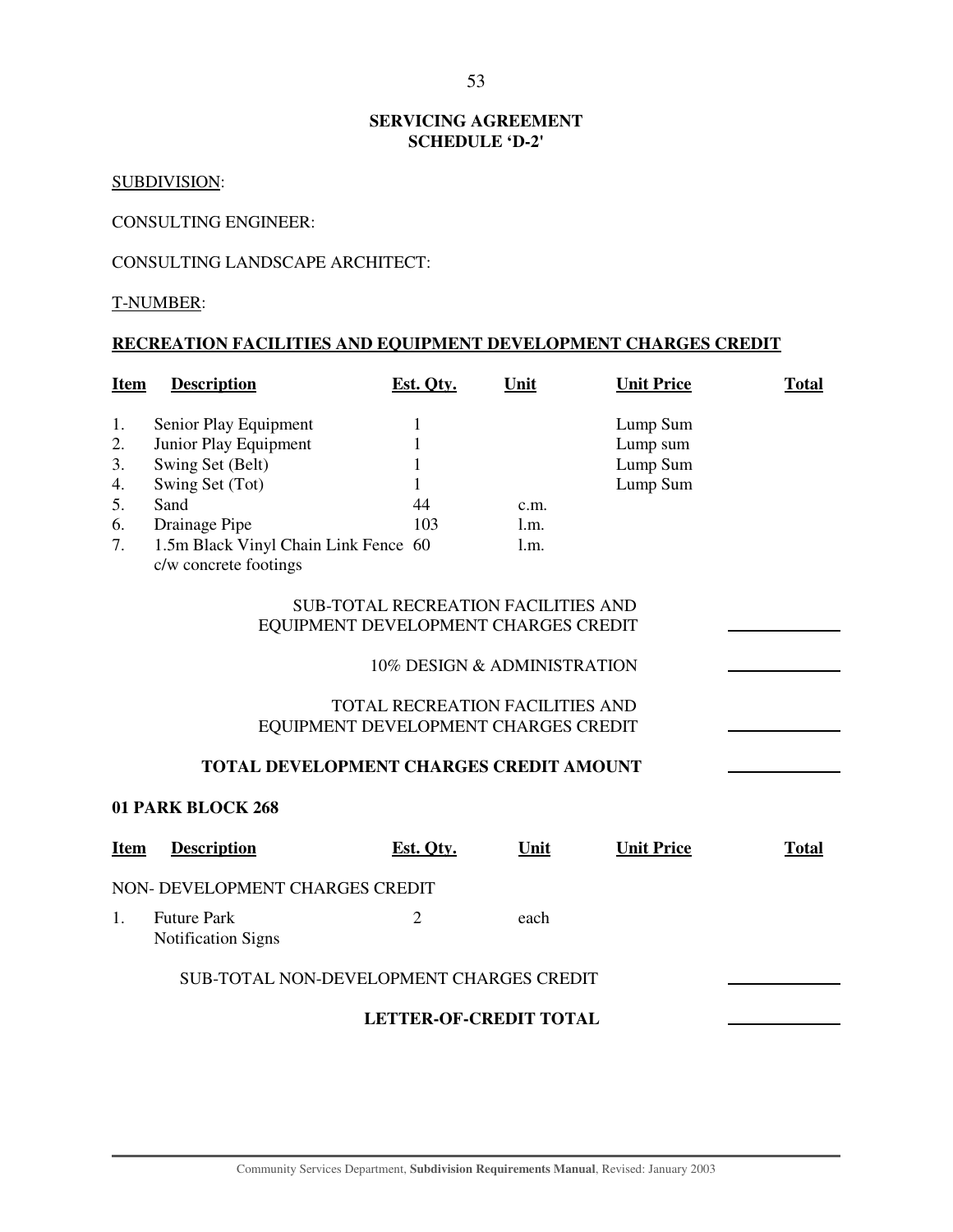## **SERVICING AGREEMENT SCHEDULE 'D-2'**

## SUBDIVISION:

## CONSULTING ENGINEER:

## CONSULTING LANDSCAPE ARCHITECT:

#### T-NUMBER:

## **RECREATION FACILITIES AND EQUIPMENT DEVELOPMENT CHARGES CREDIT**

| <b>Item</b>                                                             | <b>Description</b>                                                                                                                                                              | Est. Qty.                     | Unit                                       | <b>Unit Price</b>                            | <b>Total</b> |  |  |  |  |
|-------------------------------------------------------------------------|---------------------------------------------------------------------------------------------------------------------------------------------------------------------------------|-------------------------------|--------------------------------------------|----------------------------------------------|--------------|--|--|--|--|
| 1.<br>2.<br>3.<br>4.<br>5.<br>6.<br>7.                                  | Senior Play Equipment<br>Junior Play Equipment<br>Swing Set (Belt)<br>Swing Set (Tot)<br>Sand<br>Drainage Pipe<br>1.5m Black Vinyl Chain Link Fence 60<br>c/w concrete footings | 1<br>1<br>1<br>1<br>44<br>103 | c.m.<br>1.m.<br>1.m.                       | Lump Sum<br>Lump sum<br>Lump Sum<br>Lump Sum |              |  |  |  |  |
|                                                                         | EQUIPMENT DEVELOPMENT CHARGES CREDIT                                                                                                                                            |                               | <b>SUB-TOTAL RECREATION FACILITIES AND</b> |                                              |              |  |  |  |  |
|                                                                         |                                                                                                                                                                                 |                               | 10% DESIGN & ADMINISTRATION                |                                              |              |  |  |  |  |
| TOTAL RECREATION FACILITIES AND<br>EQUIPMENT DEVELOPMENT CHARGES CREDIT |                                                                                                                                                                                 |                               |                                            |                                              |              |  |  |  |  |
|                                                                         | TOTAL DEVELOPMENT CHARGES CREDIT AMOUNT                                                                                                                                         |                               |                                            |                                              |              |  |  |  |  |
|                                                                         | 01 PARK BLOCK 268                                                                                                                                                               |                               |                                            |                                              |              |  |  |  |  |
| <b>Item</b>                                                             | <b>Description</b>                                                                                                                                                              | Est. Qty.                     | Unit                                       | <b>Unit Price</b>                            | <b>Total</b> |  |  |  |  |
|                                                                         | NON- DEVELOPMENT CHARGES CREDIT                                                                                                                                                 |                               |                                            |                                              |              |  |  |  |  |
| 1.                                                                      | <b>Future Park</b><br><b>Notification Signs</b>                                                                                                                                 | 2                             | each                                       |                                              |              |  |  |  |  |
|                                                                         | SUB-TOTAL NON-DEVELOPMENT CHARGES CREDIT                                                                                                                                        |                               |                                            |                                              |              |  |  |  |  |
| <b>LETTER-OF-CREDIT TOTAL</b>                                           |                                                                                                                                                                                 |                               |                                            |                                              |              |  |  |  |  |
|                                                                         |                                                                                                                                                                                 |                               |                                            |                                              |              |  |  |  |  |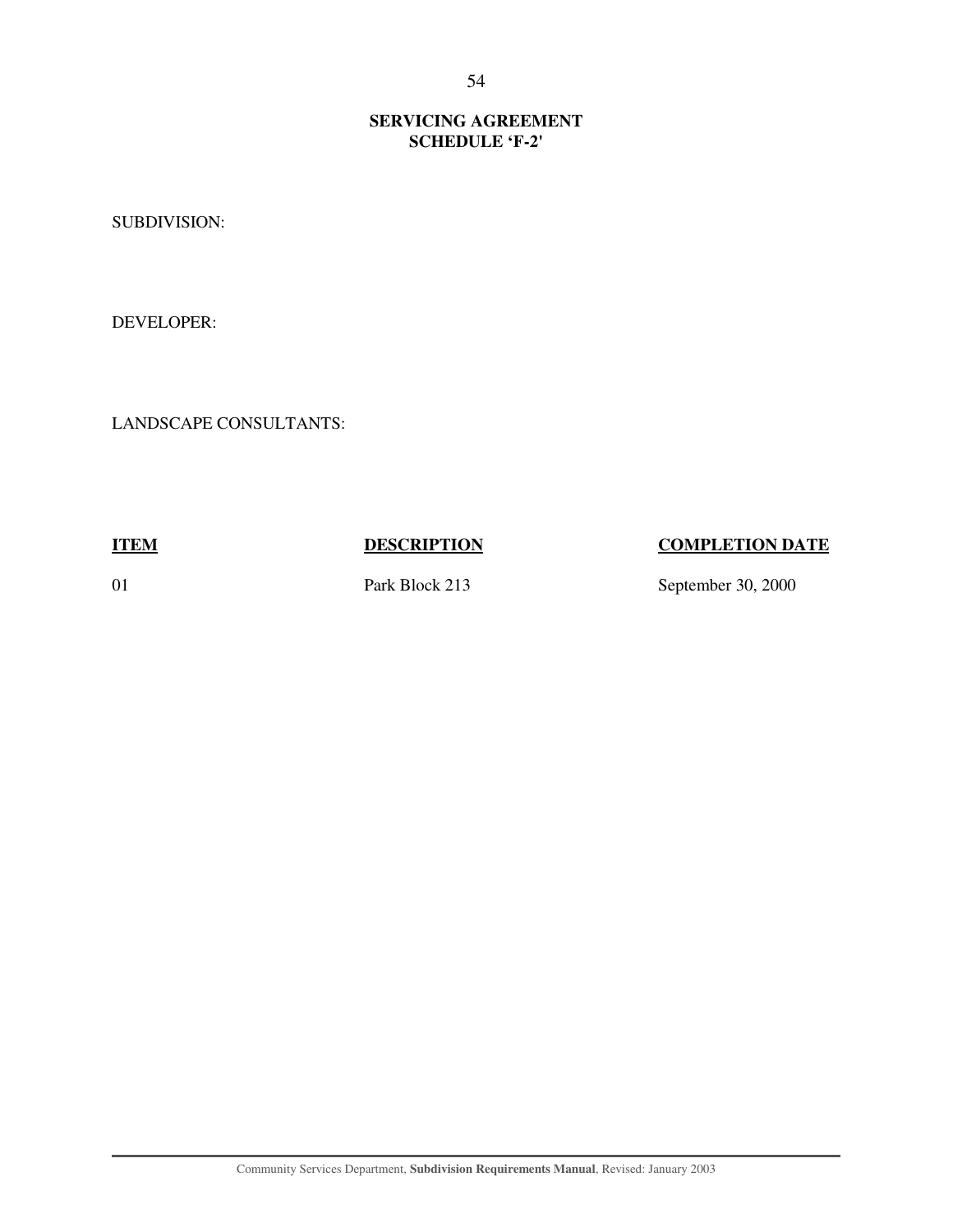## **SERVICING AGREEMENT SCHEDULE 'F-2'**

SUBDIVISION:

DEVELOPER:

LANDSCAPE CONSULTANTS:

**ITEM DESCRIPTION COMPLETION DATE** 

01 Park Block 213 September 30, 2000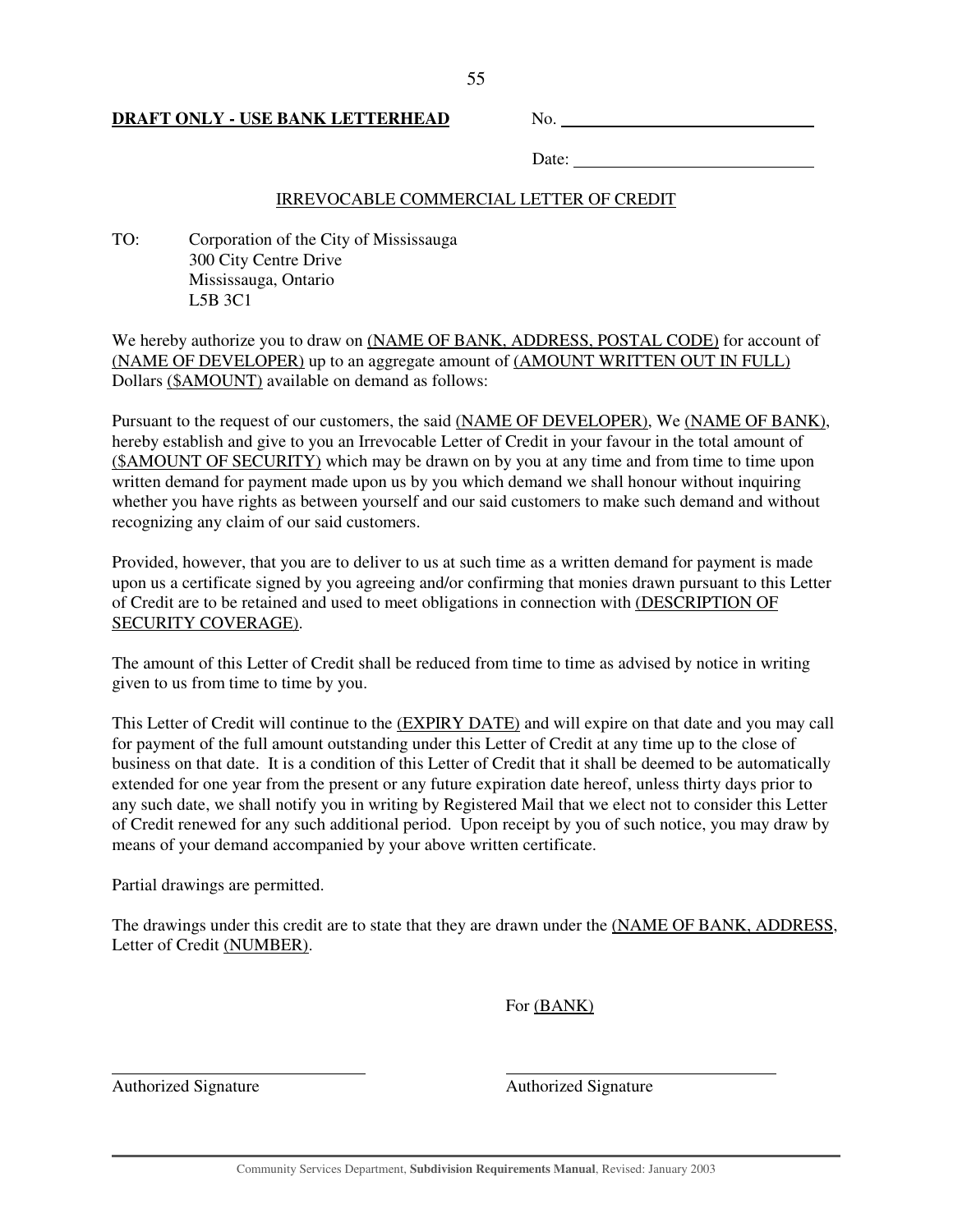## **DRAFT ONLY - USE BANK LETTERHEAD** No.

Date:

## IRREVOCABLE COMMERCIAL LETTER OF CREDIT

TO: Corporation of the City of Mississauga 300 City Centre Drive Mississauga, Ontario L5B 3C1

We hereby authorize you to draw on (NAME OF BANK, ADDRESS, POSTAL CODE) for account of (NAME OF DEVELOPER) up to an aggregate amount of (AMOUNT WRITTEN OUT IN FULL) Dollars (\$AMOUNT) available on demand as follows:

Pursuant to the request of our customers, the said (NAME OF DEVELOPER), We (NAME OF BANK), hereby establish and give to you an Irrevocable Letter of Credit in your favour in the total amount of (\$AMOUNT OF SECURITY) which may be drawn on by you at any time and from time to time upon written demand for payment made upon us by you which demand we shall honour without inquiring whether you have rights as between yourself and our said customers to make such demand and without recognizing any claim of our said customers.

Provided, however, that you are to deliver to us at such time as a written demand for payment is made upon us a certificate signed by you agreeing and/or confirming that monies drawn pursuant to this Letter of Credit are to be retained and used to meet obligations in connection with (DESCRIPTION OF SECURITY COVERAGE).

The amount of this Letter of Credit shall be reduced from time to time as advised by notice in writing given to us from time to time by you.

This Letter of Credit will continue to the (EXPIRY DATE) and will expire on that date and you may call for payment of the full amount outstanding under this Letter of Credit at any time up to the close of business on that date. It is a condition of this Letter of Credit that it shall be deemed to be automatically extended for one year from the present or any future expiration date hereof, unless thirty days prior to any such date, we shall notify you in writing by Registered Mail that we elect not to consider this Letter of Credit renewed for any such additional period. Upon receipt by you of such notice, you may draw by means of your demand accompanied by your above written certificate.

Partial drawings are permitted.

The drawings under this credit are to state that they are drawn under the (NAME OF BANK, ADDRESS, Letter of Credit (NUMBER).

For (BANK)

 $\overline{a}$ 

Authorized Signature **Authorized Signature** Authorized Signature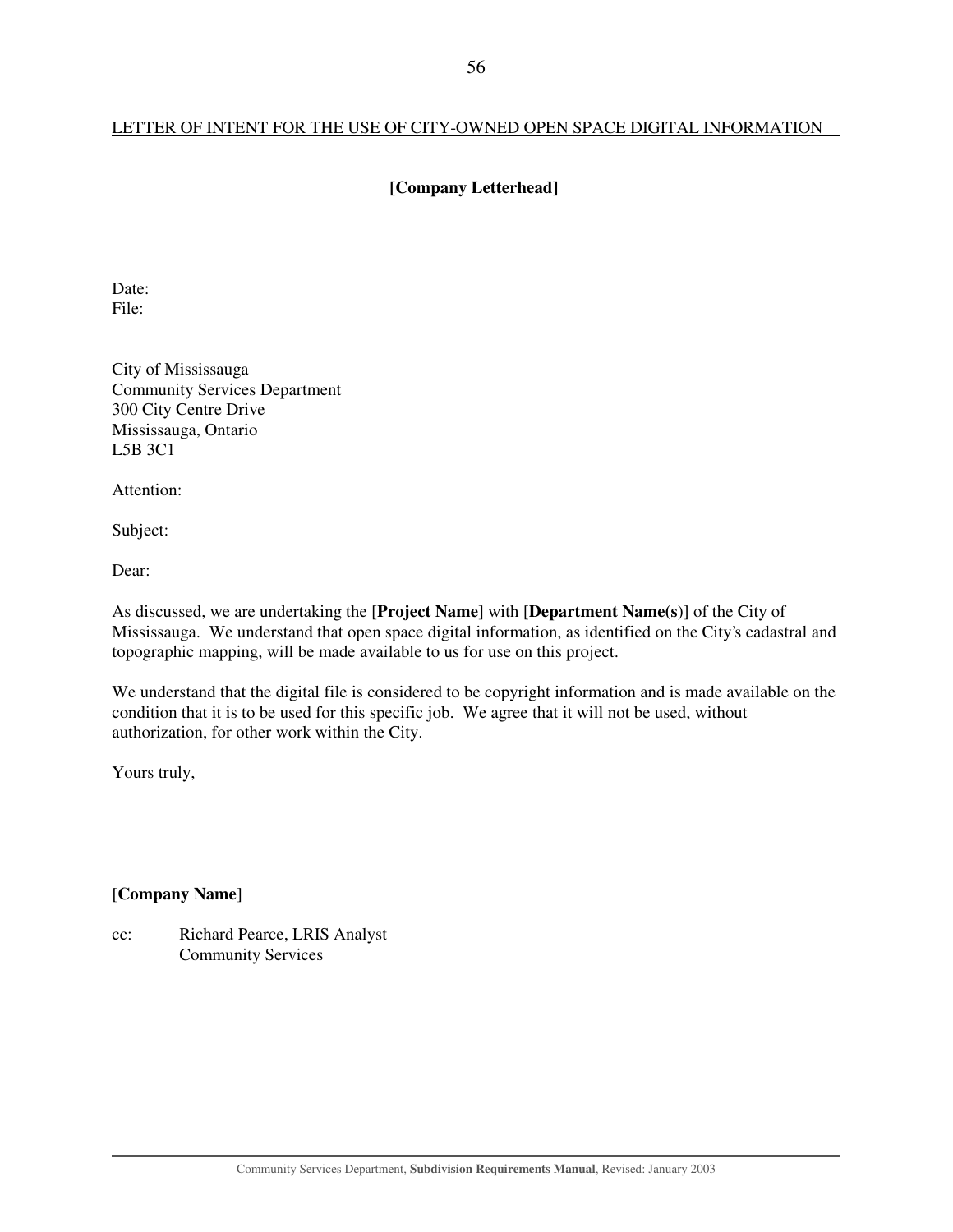## LETTER OF INTENT FOR THE USE OF CITY-OWNED OPEN SPACE DIGITAL INFORMATION

## **[Company Letterhead]**

Date: File:

City of Mississauga Community Services Department 300 City Centre Drive Mississauga, Ontario L5B 3C1

Attention:

Subject:

Dear:

As discussed, we are undertaking the [**Project Name**] with [**Department Name(s**)] of the City of Mississauga. We understand that open space digital information, as identified on the City's cadastral and topographic mapping, will be made available to us for use on this project.

We understand that the digital file is considered to be copyright information and is made available on the condition that it is to be used for this specific job. We agree that it will not be used, without authorization, for other work within the City.

Yours truly,

[**Company Name**]

cc: Richard Pearce, LRIS Analyst Community Services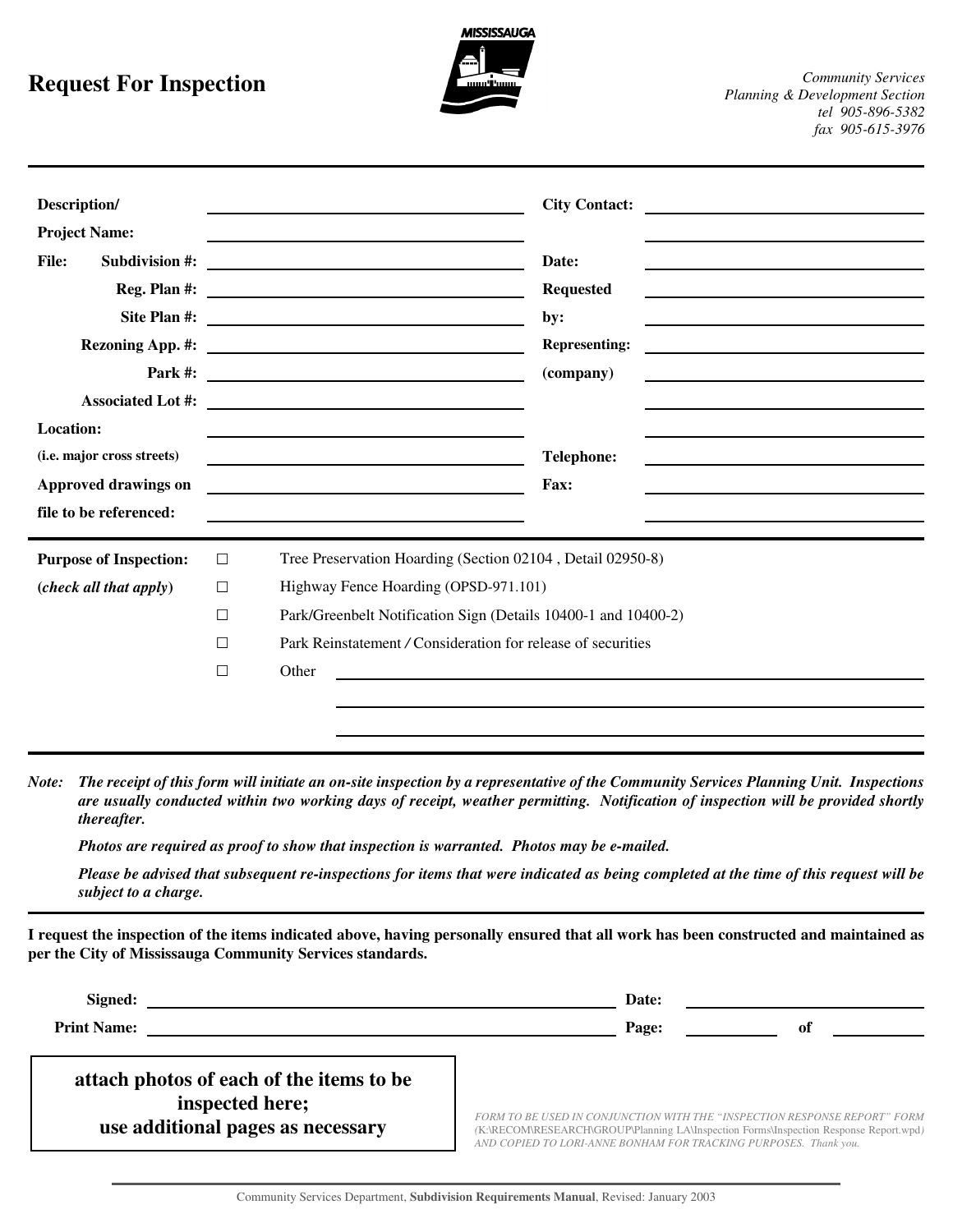# **Request For Inspection**



| Description/<br><b>Project Name:</b><br><b>File:</b><br>Subdivision #:<br>Reg. Plan #:<br><b>Location:</b> |                                                | <b>City Contact:</b><br>Date:<br><b>Requested</b><br><u> 1989 - Johann Barbara, martin amerikan basal dan berasal dalam basal dalam basal dalam basal dalam basal dala</u><br>by:<br><b>Representing:</b><br>Park #: $\qquad \qquad$<br>(company) |
|------------------------------------------------------------------------------------------------------------|------------------------------------------------|---------------------------------------------------------------------------------------------------------------------------------------------------------------------------------------------------------------------------------------------------|
| (i.e. major cross streets)                                                                                 |                                                | <b>Telephone:</b><br><u> 1980 - Johann Barn, mars an t-Amerikaansk politiker (</u>                                                                                                                                                                |
| Approved drawings on                                                                                       |                                                | Fax:                                                                                                                                                                                                                                              |
| file to be referenced:                                                                                     |                                                |                                                                                                                                                                                                                                                   |
| <b>Purpose of Inspection:</b><br>(check all that apply)                                                    | $\Box$<br>$\Box$<br>$\Box$<br>$\Box$<br>$\Box$ | Tree Preservation Hoarding (Section 02104, Detail 02950-8)<br>Highway Fence Hoarding (OPSD-971.101)<br>Park/Greenbelt Notification Sign (Details 10400-1 and 10400-2)<br>Park Reinstatement / Consideration for release of securities<br>Other    |

*Note: The receipt of this form will initiate an on-site inspection by a representative of the Community Services Planning Unit. Inspections are usually conducted within two working days of receipt, weather permitting. Notification of inspection will be provided shortly thereafter.* 

*Photos are required as proof to show that inspection is warranted. Photos may be e-mailed.*

*Please be advised that subsequent re-inspections for items that were indicated as being completed at the time of this request will be subject to a charge.*

**I request the inspection of the items indicated above, having personally ensured that all work has been constructed and maintained as per the City of Mississauga Community Services standards.**

| Date: |                                                                                                                                                                                                                                        |
|-------|----------------------------------------------------------------------------------------------------------------------------------------------------------------------------------------------------------------------------------------|
| Page: | 0t                                                                                                                                                                                                                                     |
|       |                                                                                                                                                                                                                                        |
|       | FORM TO BE USED IN CONJUNCTION WITH THE "INSPECTION RESPONSE REPORT" FORM<br>(K:\RECOM\RESEARCH\GROUP\Planning LA\Inspection Forms\Inspection Response Report.wpd)<br>AND COPIED TO LORI-ANNE BONHAM FOR TRACKING PURPOSES. Thank you. |